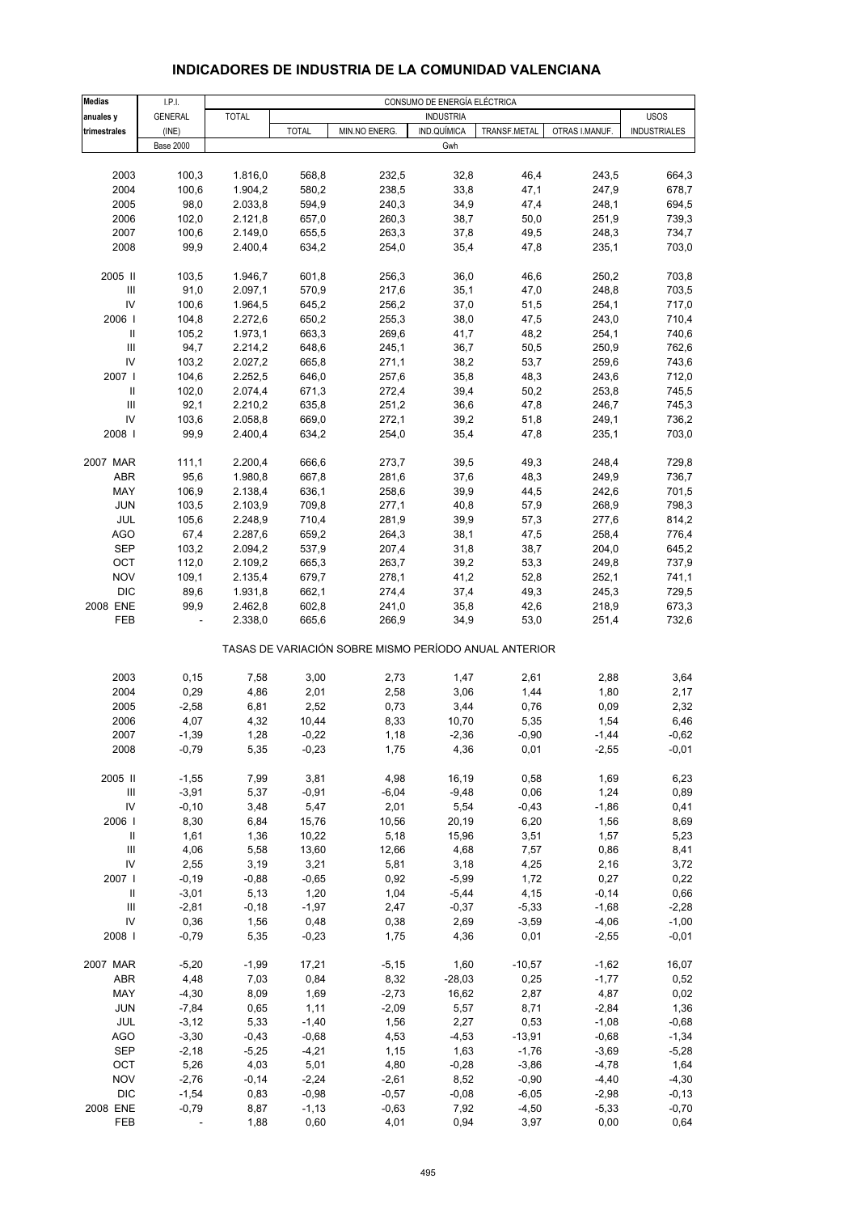| <b>Medias</b>                      | I.P.I.           |              |              |                                                       | CONSUMO DE ENERGÍA ELÉCTRICA |                                |                     |
|------------------------------------|------------------|--------------|--------------|-------------------------------------------------------|------------------------------|--------------------------------|---------------------|
| anuales y                          | <b>GENERAL</b>   | <b>TOTAL</b> |              |                                                       | <b>INDUSTRIA</b>             |                                | <b>USOS</b>         |
| trimestrales                       | (INE)            |              | <b>TOTAL</b> | MIN.NO ENERG.                                         | IND.QUÍMICA                  | OTRAS I.MANUF.<br>TRANSF.METAL | <b>INDUSTRIALES</b> |
|                                    | <b>Base 2000</b> |              |              |                                                       | Gwh                          |                                |                     |
|                                    |                  |              |              |                                                       |                              |                                |                     |
| 2003                               | 100,3            | 1.816,0      | 568,8        | 232,5                                                 | 32,8                         | 46,4<br>243,5                  | 664,3               |
| 2004                               | 100,6            |              | 580,2        |                                                       | 33,8                         | 47,1<br>247,9                  | 678,7               |
|                                    |                  | 1.904,2      |              | 238,5                                                 |                              |                                |                     |
| 2005                               | 98,0             | 2.033,8      | 594,9        | 240,3                                                 | 34,9                         | 47,4<br>248,1                  | 694,5               |
| 2006                               | 102,0            | 2.121,8      | 657,0        | 260,3                                                 | 38,7                         | 50,0<br>251,9                  | 739,3               |
| 2007                               | 100,6            | 2.149,0      | 655,5        | 263,3                                                 | 37,8                         | 49,5<br>248,3                  | 734,7               |
| 2008                               | 99,9             | 2.400,4      | 634,2        | 254,0                                                 | 35,4                         | 47,8<br>235,1                  | 703,0               |
|                                    |                  |              |              |                                                       |                              |                                |                     |
| 2005 II                            | 103,5            | 1.946,7      | 601,8        | 256,3                                                 | 36,0                         | 46,6<br>250,2                  | 703,8               |
| $\ensuremath{\mathsf{III}}\xspace$ | 91,0             | 2.097,1      | 570,9        | 217,6                                                 | 35,1                         | 47,0<br>248,8                  | 703,5               |
| IV                                 | 100,6            | 1.964,5      | 645,2        | 256,2                                                 | 37,0                         | 51,5<br>254,1                  | 717,0               |
| 2006                               | 104,8            | 2.272,6      | 650,2        | 255,3                                                 | 38,0                         | 47,5<br>243,0                  | 710,4               |
| $\, \parallel$                     | 105,2            | 1.973,1      | 663,3        | 269,6                                                 | 41,7                         | 48,2<br>254,1                  | 740,6               |
| III                                | 94,7             | 2.214,2      | 648,6        | 245,1                                                 | 36,7                         | 50,5<br>250,9                  | 762,6               |
| IV                                 | 103,2            |              |              |                                                       |                              |                                |                     |
|                                    |                  | 2.027,2      | 665,8        | 271,1                                                 | 38,2                         | 53,7<br>259,6                  | 743,6               |
| 2007                               | 104,6            | 2.252,5      | 646,0        | 257,6                                                 | 35,8                         | 48,3<br>243,6                  | 712,0               |
| $\, \parallel$                     | 102,0            | 2.074,4      | 671,3        | 272,4                                                 | 39,4                         | 50,2<br>253,8                  | 745,5               |
| Ш                                  | 92,1             | 2.210,2      | 635,8        | 251,2                                                 | 36,6                         | 47,8<br>246,7                  | 745,3               |
| IV                                 | 103,6            | 2.058,8      | 669,0        | 272,1                                                 | 39,2                         | 51,8<br>249,1                  | 736,2               |
| 2008                               | 99,9             | 2.400,4      | 634,2        | 254,0                                                 | 35,4                         | 47,8<br>235,1                  | 703,0               |
|                                    |                  |              |              |                                                       |                              |                                |                     |
| 2007 MAR                           | 111,1            | 2.200,4      | 666,6        | 273,7                                                 | 39,5                         | 49,3<br>248,4                  | 729,8               |
| ABR                                | 95,6             | 1.980,8      | 667,8        | 281,6                                                 | 37,6                         | 48,3<br>249,9                  | 736,7               |
| MAY                                | 106,9            | 2.138,4      | 636,1        | 258,6                                                 | 39,9                         | 44,5<br>242,6                  | 701,5               |
|                                    |                  |              |              |                                                       |                              |                                |                     |
| <b>JUN</b>                         | 103,5            | 2.103,9      | 709,8        | 277,1                                                 | 40,8                         | 57,9<br>268,9                  | 798,3               |
| JUL                                | 105,6            | 2.248,9      | 710,4        | 281,9                                                 | 39,9                         | 57,3<br>277,6                  | 814,2               |
| <b>AGO</b>                         | 67,4             | 2.287,6      | 659,2        | 264,3                                                 | 38,1                         | 47,5<br>258,4                  | 776,4               |
| <b>SEP</b>                         | 103,2            | 2.094,2      | 537,9        | 207,4                                                 | 31,8                         | 38,7<br>204,0                  | 645,2               |
| OCT                                | 112,0            | 2.109,2      | 665,3        | 263,7                                                 | 39,2                         | 53,3<br>249,8                  | 737,9               |
| <b>NOV</b>                         | 109,1            | 2.135,4      | 679,7        | 278,1                                                 | 41,2                         | 52,8<br>252,1                  | 741,1               |
| <b>DIC</b>                         | 89,6             | 1.931,8      | 662,1        | 274,4                                                 | 37,4                         | 49,3<br>245,3                  | 729,5               |
| 2008 ENE                           | 99,9             | 2.462,8      | 602,8        | 241,0                                                 | 35,8                         | 42,6<br>218,9                  | 673,3               |
| FEB                                |                  | 2.338,0      | 665,6        | 266,9                                                 | 34,9                         | 53,0<br>251,4                  | 732,6               |
|                                    |                  |              |              |                                                       |                              |                                |                     |
|                                    |                  |              |              | TASAS DE VARIACIÓN SOBRE MISMO PERÍODO ANUAL ANTERIOR |                              |                                |                     |
| 2003                               | 0, 15            | 7,58         | 3,00         | 2,73                                                  | 1,47                         | 2,61<br>2,88                   | 3,64                |
|                                    |                  |              |              |                                                       |                              |                                |                     |
| 2004                               | 0,29             | 4,86         | 2,01         | 2,58                                                  | 3,06                         | 1,44<br>1,80                   | 2,17                |
| 2005                               | $-2,58$          | 6,81         | 2,52         | 0,73                                                  | 3,44                         | 0,76<br>0,09                   | 2,32                |
| 2006                               | 4,07             | 4,32         | 10,44        | 8,33                                                  | 10,70                        | 5,35<br>1,54                   | 6,46                |
| 2007                               | $-1,39$          | 1,28         | $-0,22$      | 1,18                                                  | $-2,36$                      | $-0,90$<br>$-1,44$             | $-0,62$             |
| 2008                               | $-0,79$          | 5,35         | $-0,23$      | 1,75                                                  | 4,36                         | $-2,55$<br>0,01                | $-0,01$             |
|                                    |                  |              |              |                                                       |                              |                                |                     |
| 2005 II                            | $-1,55$          | 7,99         | 3,81         | 4,98                                                  | 16,19                        | 0,58<br>1,69                   | 6,23                |
| Ш                                  | $-3,91$          | 5,37         | $-0,91$      | $-6,04$                                               | $-9,48$                      | 0,06<br>1,24                   | 0,89                |
| IV                                 | $-0, 10$         | 3,48         | 5,47         | 2,01                                                  | 5,54                         | $-0,43$<br>$-1,86$             | 0,41                |
| 2006                               | 8,30             | 6,84         | 15,76        | 10,56                                                 | 20,19                        | 6,20<br>1,56                   | 8,69                |
| $\, \parallel$                     | 1,61             | 1,36         | 10,22        | 5,18                                                  | 15,96                        | 3,51<br>1,57                   | 5,23                |
| $\mathbf{III}$                     |                  |              |              | 12,66                                                 | 4,68                         |                                |                     |
|                                    | 4,06             | 5,58         | 13,60        |                                                       |                              | 7,57<br>0,86<br>2,16           | 8,41                |
| IV                                 | 2,55             | 3,19         | 3,21         | 5,81                                                  | 3,18                         | 4,25                           | 3,72                |
| 2007                               | $-0,19$          | $-0,88$      | $-0,65$      | 0,92                                                  | $-5,99$                      | 1,72<br>0,27                   | 0,22                |
| $\mathbf{II}$                      | $-3,01$          | 5,13         | 1,20         | 1,04                                                  | $-5,44$                      | 4,15<br>$-0,14$                | 0,66                |
| $\ensuremath{\mathsf{III}}\xspace$ | $-2,81$          | $-0,18$      | $-1,97$      | 2,47                                                  | $-0,37$                      | $-5,33$<br>$-1,68$             | $-2,28$             |
| IV                                 | 0,36             | 1,56         | 0,48         | 0,38                                                  | 2,69                         | $-3,59$<br>$-4,06$             | $-1,00$             |
| 2008                               | $-0,79$          | 5,35         | $-0,23$      | 1,75                                                  | 4,36                         | 0,01<br>$-2,55$                | $-0,01$             |
|                                    |                  |              |              |                                                       |                              |                                |                     |
| 2007 MAR                           | $-5,20$          | $-1,99$      | 17,21        | $-5,15$                                               | 1,60                         | $-10,57$<br>$-1,62$            | 16,07               |
| ABR                                | 4,48             | 7,03         | 0,84         | 8,32                                                  | $-28,03$                     | 0,25<br>$-1,77$                | 0,52                |
| MAY                                | $-4,30$          | 8,09         | 1,69         | $-2,73$                                               | 16,62                        | 2,87<br>4,87                   | 0,02                |
| JUN                                | $-7,84$          | 0,65         | 1,11         | $-2,09$                                               | 5,57                         | 8,71<br>$-2,84$                | 1,36                |
|                                    |                  |              |              |                                                       |                              |                                |                     |
| JUL                                | $-3,12$          | 5,33         | $-1,40$      | 1,56                                                  | 2,27                         | 0,53<br>$-1,08$                | $-0,68$             |
| AGO                                | $-3,30$          | $-0,43$      | $-0,68$      | 4,53                                                  | $-4,53$                      | $-13,91$<br>$-0,68$            | $-1,34$             |
| <b>SEP</b>                         | $-2,18$          | $-5,25$      | $-4,21$      | 1,15                                                  | 1,63                         | $-1,76$<br>$-3,69$             | $-5,28$             |
| OCT                                | 5,26             | 4,03         | 5,01         | 4,80                                                  | $-0,28$                      | $-3,86$<br>$-4,78$             | 1,64                |
| <b>NOV</b>                         | $-2,76$          | $-0,14$      | $-2,24$      | $-2,61$                                               | 8,52                         | $-0,90$<br>$-4,40$             | $-4,30$             |
| <b>DIC</b>                         | $-1,54$          | 0,83         | $-0,98$      | $-0,57$                                               | $-0,08$                      | $-6,05$<br>$-2,98$             | $-0,13$             |
| 2008 ENE                           | $-0,79$          | 8,87         | $-1,13$      | $-0,63$                                               | 7,92                         | $-4,50$<br>$-5,33$             | $-0,70$             |
| FEB                                |                  | 1,88         | 0,60         | 4,01                                                  | 0,94                         | 3,97<br>0,00                   | 0,64                |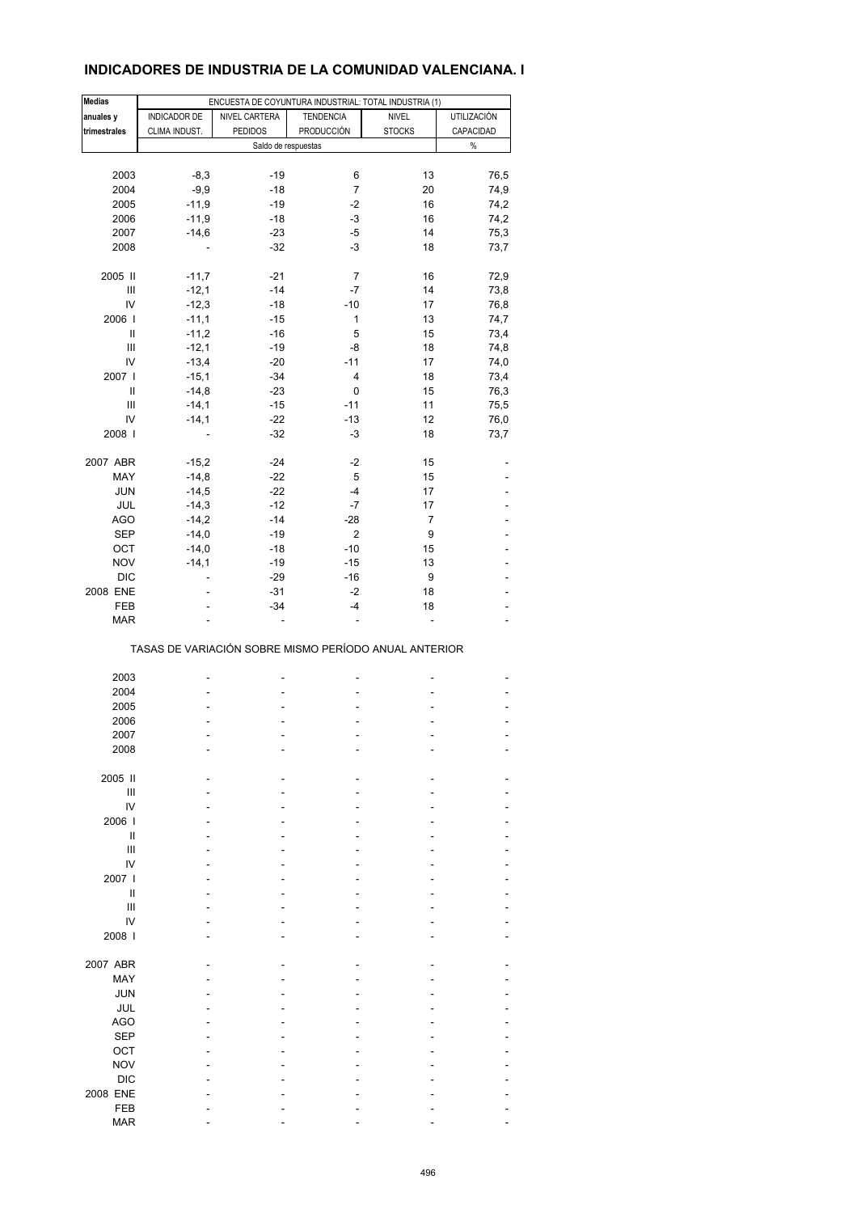## **INDICADORES DE INDUSTRIA DE LA COMUNIDAD VALENCIANA. I**

| <b>Medias</b> |               | ENCUESTA DE COYUNTURA INDUSTRIAL: TOTAL INDUSTRIA (1) |                  |                |                |
|---------------|---------------|-------------------------------------------------------|------------------|----------------|----------------|
| anuales y     | INDICADOR DE  | NIVEL CARTERA                                         | <b>TENDENCIA</b> | <b>NIVEL</b>   | UTILIZACIÓN    |
| trimestrales  | CLIMA INDUST. | <b>PEDIDOS</b>                                        | PRODUCCIÓN       | <b>STOCKS</b>  | CAPACIDAD      |
|               |               | Saldo de respuestas                                   |                  |                | $\%$           |
|               |               |                                                       |                  |                |                |
| 2003          | $-8,3$        | $-19$                                                 | 6                | 13             | 76,5           |
| 2004          | $-9,9$        | $-18$                                                 | $\overline{7}$   | 20             | 74,9           |
| 2005          | $-11,9$       | $-19$                                                 | $-2$             | 16             | 74,2           |
| 2006          | $-11,9$       | $-18$                                                 | $-3$             | 16             | 74,2           |
| 2007          | $-14,6$       | $-23$                                                 | $-5$             | 14             | 75,3           |
| 2008          |               | $-32$                                                 | $-3$             | 18             | 73,7           |
| 2005 II       | $-11,7$       | $-21$                                                 | 7                | 16             | 72,9           |
| Ш             | $-12,1$       | $-14$                                                 | -7               | 14             | 73,8           |
| IV            | $-12,3$       | $-18$                                                 | $-10$            | 17             | 76,8           |
| 2006          | $-11,1$       | $-15$                                                 | 1                | 13             | 74,7           |
| Ш             | $-11,2$       | $-16$                                                 | 5                | 15             | 73,4           |
| Ш             | $-12,1$       | $-19$                                                 | -8               | 18             | 74,8           |
| IV            | $-13,4$       | $-20$                                                 | $-11$            | 17             | 74,0           |
| 2007          | $-15,1$       | $-34$                                                 | 4                | 18             | 73,4           |
| Ш             | $-14,8$       | $-23$                                                 | 0                | 15             | 76,3           |
| Ш             | $-14,1$       | $-15$                                                 | $-11$            | 11             | 75,5           |
| IV            | $-14,1$       | $-22$                                                 | $-13$            | 12             | 76,0           |
| 2008          |               | $-32$                                                 | $-3$             | 18             | 73,7           |
| 2007 ABR      | $-15.2$       | $-24$                                                 | $-2$             | 15             |                |
| MAY           | $-14,8$       | $-22$                                                 | 5                | 15             |                |
| <b>JUN</b>    | $-14,5$       | $-22$                                                 | -4               | 17             |                |
| JUL           | $-14,3$       | $-12$                                                 | $-7$             | 17             |                |
| <b>AGO</b>    | $-14,2$       | $-14$                                                 | $-28$            | $\overline{7}$ |                |
| SEP           | $-14,0$       | $-19$                                                 | 2                | 9              |                |
| OCT           | $-14,0$       | $-18$                                                 | $-10$            | 15             |                |
| <b>NOV</b>    | $-14,1$       | $-19$                                                 | $-15$            | 13             |                |
| <b>DIC</b>    |               | $-29$                                                 | $-16$            | 9              |                |
| 2008 ENE      |               | $-31$                                                 | $-2$             | 18             |                |
| FEB           | L,            | $-34$                                                 | $-4$             | 18             | $\overline{a}$ |
| <b>MAR</b>    |               |                                                       | Ĭ.               |                |                |
|               |               | TASAS DE VARIACIÓN SOBRE MISMO PERÍODO ANUAL ANTERIOR |                  |                |                |
| 2003          |               |                                                       |                  |                |                |
| 2004          |               | ٠                                                     |                  |                |                |
| 2005          |               |                                                       |                  |                |                |
| 2006          |               |                                                       |                  |                |                |
| 2007          |               |                                                       |                  |                |                |
| 2008          |               |                                                       |                  |                |                |
|               |               |                                                       |                  |                |                |
| 2005 II       |               |                                                       |                  |                |                |
| Ш             |               |                                                       |                  |                |                |
| IV            |               |                                                       |                  |                |                |
| 2006          |               |                                                       |                  |                |                |
| Ш             |               |                                                       |                  |                |                |
| Ш             |               |                                                       |                  |                |                |
| IV            |               |                                                       |                  |                |                |
| 2007 l        |               |                                                       |                  |                |                |
| Ш             |               |                                                       |                  |                |                |
| Ш             |               |                                                       |                  |                |                |
| IV            |               |                                                       |                  |                |                |
| 2008          |               |                                                       |                  |                |                |
| 2007 ABR      |               |                                                       |                  |                |                |
| MAY           |               |                                                       |                  |                |                |
| <b>JUN</b>    |               |                                                       |                  |                |                |
| JUL           |               |                                                       |                  |                |                |
| <b>AGO</b>    |               |                                                       |                  |                |                |
| <b>SEP</b>    |               |                                                       |                  |                |                |
| OCT           |               |                                                       |                  |                |                |
| <b>NOV</b>    |               |                                                       |                  |                |                |
| <b>DIC</b>    |               |                                                       |                  |                |                |
| 2008 ENE      |               |                                                       |                  |                |                |
| FEB           |               |                                                       |                  |                |                |
| <b>MAR</b>    |               |                                                       |                  |                |                |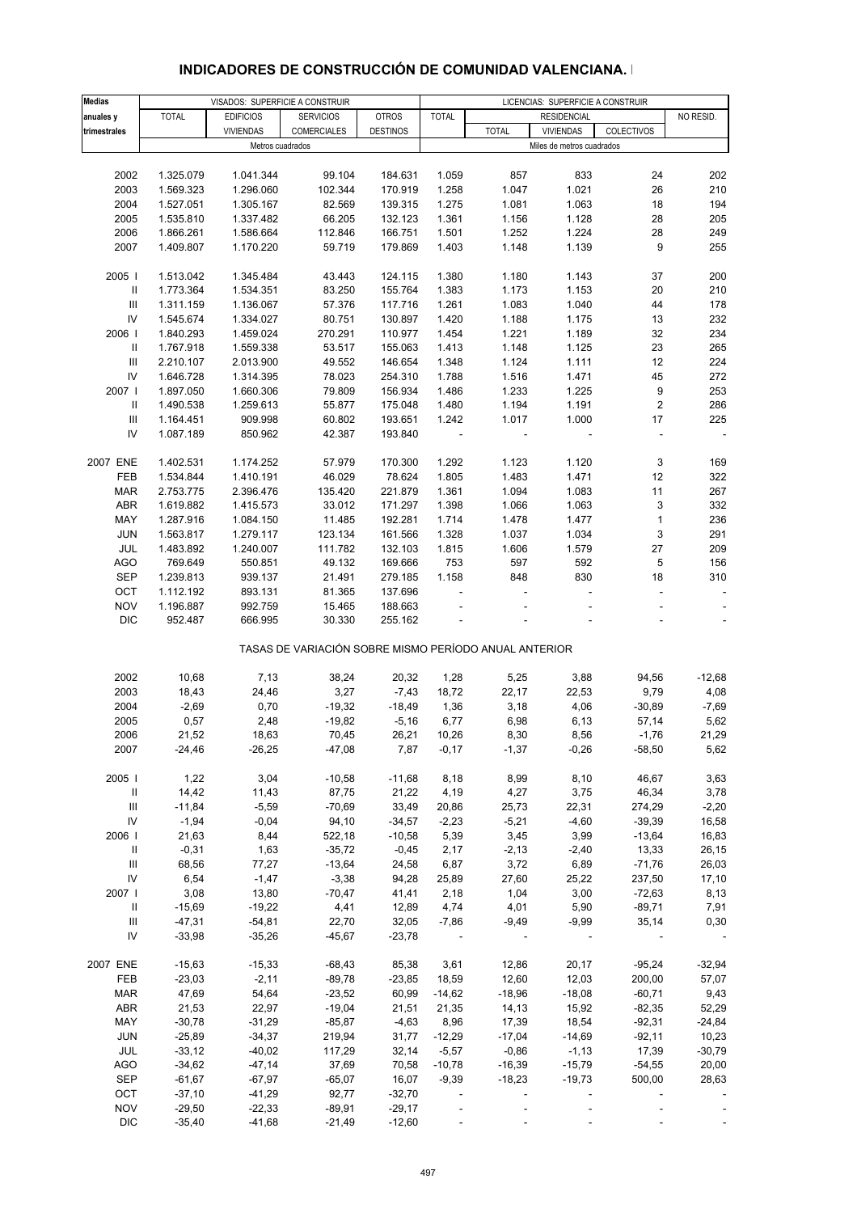| <b>Medias</b>                      |              | VISADOS: SUPERFICIE A CONSTRUIR |                                                       |                 |              |              | LICENCIAS: SUPERFICIE A CONSTRUIR |              |           |
|------------------------------------|--------------|---------------------------------|-------------------------------------------------------|-----------------|--------------|--------------|-----------------------------------|--------------|-----------|
| anuales y                          | <b>TOTAL</b> | <b>EDIFICIOS</b>                | <b>SERVICIOS</b>                                      | <b>OTROS</b>    | <b>TOTAL</b> |              | <b>RESIDENCIAL</b>                |              | NO RESID. |
|                                    |              |                                 |                                                       |                 |              |              | <b>VIVIENDAS</b>                  |              |           |
| trimestrales                       |              | <b>VIVIENDAS</b>                | COMERCIALES                                           | <b>DESTINOS</b> |              | <b>TOTAL</b> |                                   | COLECTIVOS   |           |
|                                    |              | Metros cuadrados                |                                                       |                 |              |              | Miles de metros cuadrados         |              |           |
|                                    |              |                                 |                                                       |                 |              |              |                                   |              |           |
| 2002                               | 1.325.079    | 1.041.344                       | 99.104                                                | 184.631         | 1.059        | 857          | 833                               | 24           | 202       |
| 2003                               | 1.569.323    | 1.296.060                       | 102.344                                               | 170.919         | 1.258        | 1.047        | 1.021                             | 26           | 210       |
| 2004                               | 1.527.051    | 1.305.167                       | 82.569                                                | 139.315         | 1.275        | 1.081        | 1.063                             | 18           | 194       |
| 2005                               | 1.535.810    | 1.337.482                       | 66.205                                                | 132.123         | 1.361        | 1.156        | 1.128                             | 28           | 205       |
| 2006                               | 1.866.261    | 1.586.664                       | 112.846                                               | 166.751         | 1.501        | 1.252        | 1.224                             | 28           | 249       |
|                                    |              |                                 |                                                       |                 |              |              |                                   |              |           |
| 2007                               | 1.409.807    | 1.170.220                       | 59.719                                                | 179.869         | 1.403        | 1.148        | 1.139                             | 9            | 255       |
|                                    |              |                                 |                                                       |                 |              |              |                                   |              |           |
| 2005                               | 1.513.042    | 1.345.484                       | 43.443                                                | 124.115         | 1.380        | 1.180        | 1.143                             | 37           | 200       |
| Ш                                  | 1.773.364    | 1.534.351                       | 83.250                                                | 155.764         | 1.383        | 1.173        | 1.153                             | 20           | 210       |
| Ш                                  | 1.311.159    | 1.136.067                       | 57.376                                                | 117.716         | 1.261        | 1.083        | 1.040                             | 44           | 178       |
| IV                                 | 1.545.674    | 1.334.027                       | 80.751                                                | 130.897         | 1.420        | 1.188        | 1.175                             | 13           | 232       |
| 2006                               | 1.840.293    | 1.459.024                       | 270.291                                               | 110.977         | 1.454        | 1.221        | 1.189                             | 32           | 234       |
| Ш                                  | 1.767.918    | 1.559.338                       | 53.517                                                | 155.063         | 1.413        | 1.148        | 1.125                             | 23           | 265       |
|                                    |              |                                 |                                                       |                 |              |              |                                   |              |           |
| Ш                                  | 2.210.107    | 2.013.900                       | 49.552                                                | 146.654         | 1.348        | 1.124        | 1.111                             | 12           | 224       |
| IV                                 | 1.646.728    | 1.314.395                       | 78.023                                                | 254.310         | 1.788        | 1.516        | 1.471                             | 45           | 272       |
| 2007                               | 1.897.050    | 1.660.306                       | 79.809                                                | 156.934         | 1.486        | 1.233        | 1.225                             | 9            | 253       |
| Ш                                  | 1.490.538    | 1.259.613                       | 55.877                                                | 175.048         | 1.480        | 1.194        | 1.191                             | 2            | 286       |
| Ш                                  | 1.164.451    | 909.998                         | 60.802                                                | 193.651         | 1.242        | 1.017        | 1.000                             | 17           | 225       |
| IV                                 | 1.087.189    | 850.962                         | 42.387                                                | 193.840         |              |              |                                   | L.           |           |
|                                    |              |                                 |                                                       |                 |              |              |                                   |              |           |
| 2007 ENE                           | 1.402.531    | 1.174.252                       | 57.979                                                | 170.300         | 1.292        | 1.123        | 1.120                             | 3            | 169       |
|                                    |              |                                 |                                                       |                 |              |              |                                   |              |           |
| FEB                                | 1.534.844    | 1.410.191                       | 46.029                                                | 78.624          | 1.805        | 1.483        | 1.471                             | 12           | 322       |
| <b>MAR</b>                         | 2.753.775    | 2.396.476                       | 135.420                                               | 221.879         | 1.361        | 1.094        | 1.083                             | 11           | 267       |
| ABR                                | 1.619.882    | 1.415.573                       | 33.012                                                | 171.297         | 1.398        | 1.066        | 1.063                             | 3            | 332       |
| MAY                                | 1.287.916    | 1.084.150                       | 11.485                                                | 192.281         | 1.714        | 1.478        | 1.477                             | $\mathbf{1}$ | 236       |
| <b>JUN</b>                         | 1.563.817    | 1.279.117                       | 123.134                                               | 161.566         | 1.328        | 1.037        | 1.034                             | 3            | 291       |
| JUL                                | 1.483.892    | 1.240.007                       | 111.782                                               | 132.103         | 1.815        | 1.606        | 1.579                             | 27           | 209       |
| AGO                                | 769.649      | 550.851                         | 49.132                                                | 169.666         | 753          | 597          | 592                               | 5            | 156       |
|                                    |              |                                 |                                                       |                 |              |              |                                   |              |           |
| <b>SEP</b>                         | 1.239.813    | 939.137                         | 21.491                                                | 279.185         | 1.158        | 848          | 830                               | 18           | 310       |
| OCT                                | 1.112.192    | 893.131                         | 81.365                                                | 137.696         |              |              |                                   | ÷,           |           |
| <b>NOV</b>                         | 1.196.887    | 992.759                         | 15.465                                                | 188.663         |              |              |                                   | L,           |           |
| <b>DIC</b>                         | 952.487      | 666.995                         | 30.330                                                | 255.162         |              |              |                                   |              | $\Box$    |
|                                    |              |                                 | TASAS DE VARIACIÓN SOBRE MISMO PERÍODO ANUAL ANTERIOR |                 |              |              |                                   |              |           |
|                                    |              |                                 |                                                       |                 |              |              |                                   |              |           |
| 2002                               | 10,68        | 7,13                            | 38,24                                                 | 20,32           | 1,28         | 5,25         | 3,88                              | 94,56        | $-12,68$  |
| 2003                               | 18,43        | 24,46                           | 3,27                                                  | $-7,43$         | 18,72        | 22,17        | 22,53                             | 9,79         | 4,08      |
| 2004                               | $-2,69$      | 0,70                            | $-19,32$                                              | $-18,49$        | 1,36         | 3,18         | 4,06                              | $-30,89$     | $-7,69$   |
| 2005                               | 0,57         | 2,48                            | $-19,82$                                              | $-5,16$         | 6,77         | 6,98         | 6,13                              | 57,14        | 5,62      |
| 2006                               |              |                                 |                                                       |                 | 10,26        |              |                                   |              |           |
|                                    | 21,52        | 18,63                           | 70,45                                                 | 26,21           |              | 8,30         | 8,56                              | $-1,76$      | 21,29     |
| 2007                               | $-24,46$     | $-26,25$                        | $-47,08$                                              | 7,87            | $-0,17$      | $-1,37$      | $-0,26$                           | $-58,50$     | 5,62      |
|                                    |              |                                 |                                                       |                 |              |              |                                   |              |           |
| 2005                               | 1,22         | 3,04                            | $-10,58$                                              | $-11,68$        | 8,18         | 8,99         | 8,10                              | 46,67        | 3,63      |
| Ш                                  | 14,42        | 11,43                           | 87,75                                                 | 21,22           | 4,19         | 4,27         | 3,75                              | 46,34        | 3,78      |
| Ш                                  | $-11,84$     | $-5,59$                         | $-70,69$                                              | 33,49           | 20,86        | 25,73        | 22,31                             | 274,29       | $-2,20$   |
| IV                                 | $-1,94$      | $-0,04$                         | 94,10                                                 | $-34,57$        | $-2,23$      | $-5,21$      | $-4,60$                           | $-39,39$     | 16,58     |
| 2006                               | 21,63        | 8,44                            | 522,18                                                | $-10,58$        | 5,39         | 3,45         | 3,99                              | $-13,64$     | 16,83     |
| $\mathbf{H}$                       | $-0,31$      | 1,63                            | $-35,72$                                              | $-0,45$         | 2,17         | $-2,13$      | $-2,40$                           | 13,33        | 26,15     |
| $\ensuremath{\mathsf{III}}\xspace$ | 68,56        | 77,27                           | $-13,64$                                              | 24,58           | 6,87         | 3,72         | 6,89                              | $-71,76$     | 26,03     |
|                                    |              |                                 |                                                       |                 |              |              |                                   |              |           |
| ${\sf IV}$                         | 6,54         | $-1,47$                         | $-3,38$                                               | 94,28           | 25,89        | 27,60        | 25,22                             | 237,50       | 17,10     |
| 2007                               | 3,08         | 13,80                           | $-70,47$                                              | 41,41           | 2,18         | 1,04         | 3,00                              | $-72,63$     | 8,13      |
| Ш                                  | $-15,69$     | $-19,22$                        | 4,41                                                  | 12,89           | 4,74         | 4,01         | 5,90                              | $-89,71$     | 7,91      |
| Ш                                  | $-47,31$     | $-54,81$                        | 22,70                                                 | 32,05           | $-7,86$      | $-9,49$      | $-9,99$                           | 35,14        | 0,30      |
| IV                                 | $-33,98$     | $-35,26$                        | $-45,67$                                              | $-23,78$        |              |              |                                   |              |           |
|                                    |              |                                 |                                                       |                 |              |              |                                   |              |           |
| 2007 ENE                           | $-15,63$     | $-15,33$                        | $-68,43$                                              | 85,38           | 3,61         | 12,86        | 20,17                             | $-95,24$     | $-32,94$  |
| FEB                                | $-23,03$     | $-2,11$                         | $-89,78$                                              | $-23,85$        | 18,59        | 12,60        | 12,03                             | 200,00       | 57,07     |
| <b>MAR</b>                         | 47,69        | 54,64                           | $-23,52$                                              | 60,99           |              | $-18,96$     | $-18,08$                          | $-60,71$     |           |
|                                    |              |                                 |                                                       |                 | $-14,62$     |              |                                   |              | 9,43      |
| ABR                                | 21,53        | 22,97                           | $-19,04$                                              | 21,51           | 21,35        | 14,13        | 15,92                             | $-82,35$     | 52,29     |
| MAY                                | $-30,78$     | $-31,29$                        | $-85,87$                                              | $-4,63$         | 8,96         | 17,39        | 18,54                             | $-92,31$     | $-24,84$  |
| <b>JUN</b>                         | $-25,89$     | $-34,37$                        | 219,94                                                | 31,77           | $-12,29$     | $-17,04$     | $-14,69$                          | $-92,11$     | 10,23     |
| JUL                                | $-33,12$     | $-40,02$                        | 117,29                                                | 32,14           | $-5,57$      | $-0,86$      | $-1,13$                           | 17,39        | $-30,79$  |
| <b>AGO</b>                         | $-34,62$     | $-47,14$                        | 37,69                                                 | 70,58           | $-10,78$     | $-16,39$     | $-15,79$                          | $-54,55$     | 20,00     |
| <b>SEP</b>                         | $-61,67$     | $-67,97$                        | $-65,07$                                              | 16,07           | $-9,39$      | $-18,23$     | $-19,73$                          | 500,00       | 28,63     |
| OCT                                | $-37,10$     | $-41,29$                        | 92,77                                                 | $-32,70$        |              |              |                                   |              |           |
| <b>NOV</b>                         | $-29,50$     |                                 |                                                       |                 |              |              |                                   |              |           |
|                                    |              | $-22,33$                        | $-89,91$                                              | $-29,17$        |              |              |                                   |              |           |

## **INDICADORES DE CONSTRUCCIÓN DE COMUNIDAD VALENCIANA. I**

DIC -35,40 -41,68 -21,49 -12,60 - - - - -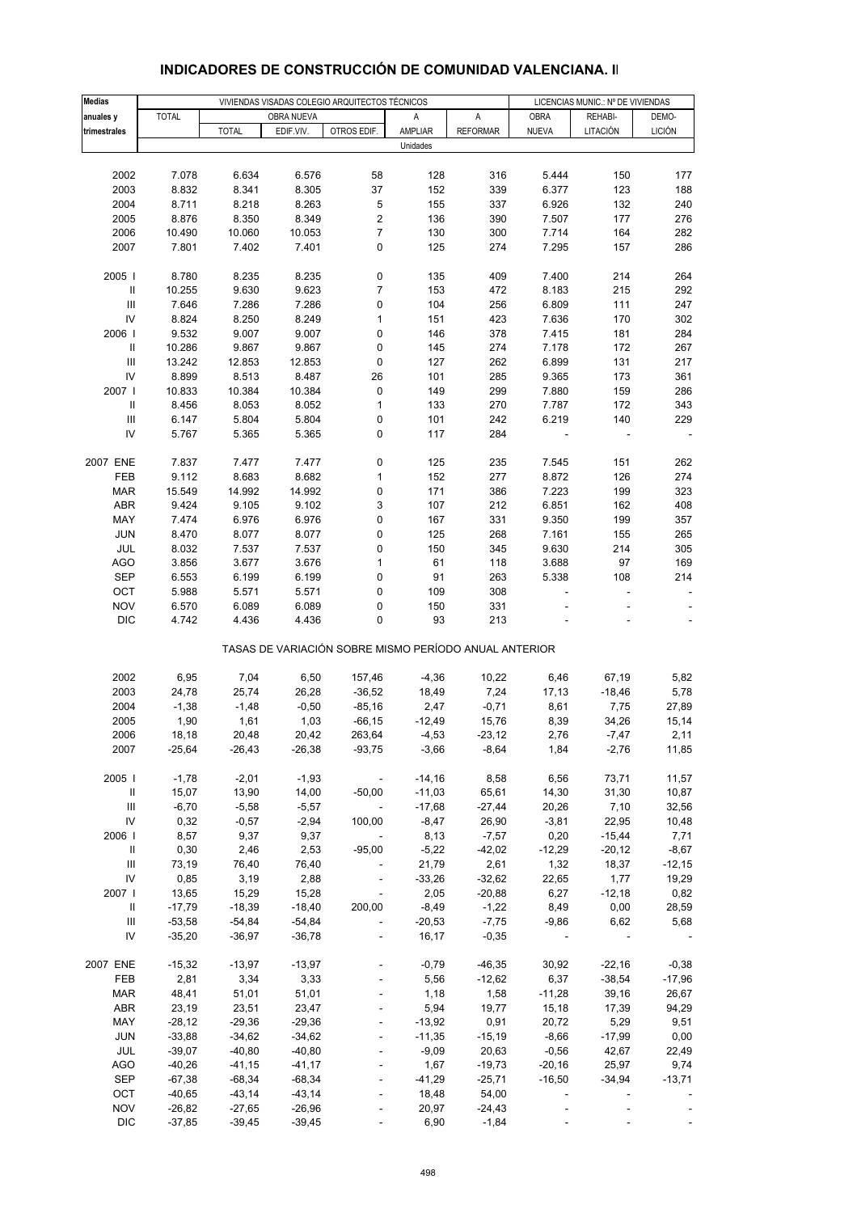| <b>Medias</b>                    |                 |                 |                 | VIVIENDAS VISADAS COLEGIO ARQUITECTOS TÉCNICOS |                                                       |                  |                  | LICENCIAS MUNIC.: Nº DE VIVIENDAS |                          |
|----------------------------------|-----------------|-----------------|-----------------|------------------------------------------------|-------------------------------------------------------|------------------|------------------|-----------------------------------|--------------------------|
| anuales y                        | <b>TOTAL</b>    |                 | OBRA NUEVA      |                                                | Α                                                     | Α                | <b>OBRA</b>      | REHABI-                           | DEMO-                    |
| trimestrales                     |                 | <b>TOTAL</b>    | EDIF.VIV.       | OTROS EDIF.                                    | AMPLIAR                                               | <b>REFORMAR</b>  | <b>NUEVA</b>     | LITACIÓN                          | <b>LICIÓN</b>            |
|                                  |                 |                 |                 |                                                | Unidades                                              |                  |                  |                                   |                          |
|                                  |                 |                 |                 |                                                |                                                       |                  |                  |                                   |                          |
| 2002                             | 7.078           | 6.634           | 6.576           | 58                                             | 128                                                   | 316              | 5.444            | 150                               | 177                      |
| 2003                             | 8.832           | 8.341           | 8.305           | 37                                             | 152                                                   | 339              | 6.377            | 123                               | 188                      |
| 2004<br>2005                     | 8.711           | 8.218           | 8.263           | 5<br>$\mathbf 2$                               | 155<br>136                                            | 337              | 6.926            | 132                               | 240<br>276               |
| 2006                             | 8.876<br>10.490 | 8.350<br>10.060 | 8.349<br>10.053 | $\overline{7}$                                 | 130                                                   | 390<br>300       | 7.507<br>7.714   | 177<br>164                        | 282                      |
| 2007                             | 7.801           | 7.402           | 7.401           | 0                                              | 125                                                   | 274              | 7.295            | 157                               | 286                      |
|                                  |                 |                 |                 |                                                |                                                       |                  |                  |                                   |                          |
| 2005                             | 8.780           | 8.235           | 8.235           | 0                                              | 135                                                   | 409              | 7.400            | 214                               | 264                      |
| $\, \parallel$                   | 10.255          | 9.630           | 9.623           | 7                                              | 153                                                   | 472              | 8.183            | 215                               | 292                      |
| III                              | 7.646           | 7.286           | 7.286           | 0                                              | 104                                                   | 256              | 6.809            | 111                               | 247                      |
| IV                               | 8.824           | 8.250           | 8.249           | 1                                              | 151                                                   | 423              | 7.636            | 170                               | 302                      |
| 2006                             | 9.532           | 9.007           | 9.007           | 0                                              | 146                                                   | 378              | 7.415            | 181                               | 284                      |
| Ш                                | 10.286          | 9.867           | 9.867           | 0                                              | 145                                                   | 274              | 7.178            | 172                               | 267                      |
| Ш                                | 13.242          | 12.853          | 12.853          | 0                                              | 127                                                   | 262              | 6.899            | 131                               | 217                      |
| IV                               | 8.899           | 8.513           | 8.487           | 26                                             | 101                                                   | 285              | 9.365            | 173                               | 361                      |
| 2007 l                           | 10.833          | 10.384          | 10.384          | 0                                              | 149                                                   | 299              | 7.880            | 159                               | 286                      |
| Ш                                | 8.456           | 8.053           | 8.052<br>5.804  | $\mathbf{1}$                                   | 133                                                   | 270              | 7.787            | 172                               | 343<br>229               |
| Ш<br>IV                          | 6.147<br>5.767  | 5.804<br>5.365  | 5.365           | 0<br>0                                         | 101<br>117                                            | 242<br>284       | 6.219            | 140<br>÷,                         | $\overline{\phantom{a}}$ |
|                                  |                 |                 |                 |                                                |                                                       |                  |                  |                                   |                          |
| 2007 ENE                         | 7.837           | 7.477           | 7.477           | 0                                              | 125                                                   | 235              | 7.545            | 151                               | 262                      |
| FEB                              | 9.112           | 8.683           | 8.682           | $\mathbf{1}$                                   | 152                                                   | 277              | 8.872            | 126                               | 274                      |
| <b>MAR</b>                       | 15.549          | 14.992          | 14.992          | 0                                              | 171                                                   | 386              | 7.223            | 199                               | 323                      |
| ABR                              | 9.424           | 9.105           | 9.102           | 3                                              | 107                                                   | 212              | 6.851            | 162                               | 408                      |
| MAY                              | 7.474           | 6.976           | 6.976           | 0                                              | 167                                                   | 331              | 9.350            | 199                               | 357                      |
| <b>JUN</b>                       | 8.470           | 8.077           | 8.077           | 0                                              | 125                                                   | 268              | 7.161            | 155                               | 265                      |
| JUL                              | 8.032           | 7.537           | 7.537           | 0                                              | 150                                                   | 345              | 9.630            | 214                               | 305                      |
| <b>AGO</b>                       | 3.856           | 3.677           | 3.676           | $\mathbf{1}$                                   | 61                                                    | 118              | 3.688            | 97                                | 169                      |
| <b>SEP</b>                       | 6.553           | 6.199           | 6.199           | 0                                              | 91                                                    | 263              | 5.338            | 108                               | 214                      |
| OCT                              | 5.988           | 5.571           | 5.571           | 0                                              | 109                                                   | 308              |                  |                                   |                          |
| <b>NOV</b>                       | 6.570           | 6.089           | 6.089           | 0                                              | 150                                                   | 331              |                  |                                   |                          |
| <b>DIC</b>                       | 4.742           | 4.436           | 4.436           | 0                                              | 93                                                    | 213              |                  |                                   |                          |
|                                  |                 |                 |                 |                                                | TASAS DE VARIACIÓN SOBRE MISMO PERÍODO ANUAL ANTERIOR |                  |                  |                                   |                          |
| 2002                             | 6,95            | 7,04            | 6,50            | 157,46                                         | $-4,36$                                               | 10,22            | 6,46             | 67,19                             | 5,82                     |
| 2003                             | 24,78           | 25,74           | 26,28           | $-36,52$                                       | 18,49                                                 | 7,24             | 17,13            | $-18,46$                          | 5,78                     |
| 2004                             | $-1,38$         | $-1,48$         | $-0,50$         | $-85,16$                                       | 2,47                                                  | $-0,71$          | 8,61             | 7,75                              | 27,89                    |
| 2005                             | 1,90            | 1,61            | 1,03            | $-66, 15$                                      | $-12,49$                                              | 15,76            | 8,39             | 34,26                             | 15,14                    |
| 2006                             | 18,18           | 20,48           | 20,42           | 263,64                                         | $-4,53$                                               | $-23,12$         | 2,76             | $-7,47$                           | 2,11                     |
| 2007                             | $-25,64$        | $-26,43$        | $-26,38$        | $-93,75$                                       | $-3,66$                                               | $-8,64$          | 1,84             | $-2,76$                           | 11,85                    |
|                                  |                 |                 |                 |                                                |                                                       |                  |                  |                                   |                          |
| 2005                             | $-1,78$         | $-2,01$         | $-1,93$         | $\sim$ $-$                                     | $-14,16$                                              | 8,58             | 6,56             | 73,71                             | 11,57                    |
| Ш                                | 15,07           | 13,90           | 14,00           | $-50,00$                                       | $-11,03$                                              | 65,61            | 14,30            | 31,30                             | 10,87                    |
| $\mathop{\mathsf{III}}\nolimits$ | $-6,70$         | $-5,58$         | $-5,57$         | $\sim$                                         | $-17,68$                                              | $-27,44$         | 20,26            | 7,10                              | 32,56                    |
| IV<br>2006                       | 0,32<br>8,57    | $-0,57$<br>9,37 | $-2,94$<br>9,37 | 100,00                                         | $-8,47$<br>8,13                                       | 26,90<br>$-7,57$ | $-3,81$<br>0,20  | 22,95<br>$-15,44$                 | 10,48<br>7,71            |
| $\mathbf{II}$                    | 0,30            | 2,46            | 2,53            | $-95,00$                                       | $-5,22$                                               | $-42,02$         | $-12,29$         | $-20,12$                          | $-8,67$                  |
| Ш                                | 73,19           | 76,40           | 76,40           | $\sim$ $-$                                     | 21,79                                                 | 2,61             | 1,32             | 18,37                             | $-12,15$                 |
| ${\sf IV}$                       | 0,85            | 3,19            | 2,88            |                                                | $-33,26$                                              | $-32,62$         | 22,65            | 1,77                              | 19,29                    |
| 2007                             | 13,65           | 15,29           | 15,28           | $\mathcal{L}_{\mathcal{A}}$                    | 2,05                                                  | $-20,88$         | 6,27             | $-12,18$                          | 0,82                     |
| Ш                                | $-17,79$        | $-18,39$        | $-18,40$        | 200,00                                         | $-8,49$                                               | $-1,22$          | 8,49             | 0,00                              | 28,59                    |
| Ш                                | $-53,58$        | $-54,84$        | $-54,84$        | $\overline{\phantom{a}}$                       | $-20,53$                                              | $-7,75$          | $-9,86$          | 6,62                              | 5,68                     |
| IV                               | $-35,20$        | $-36,97$        | $-36,78$        | $\blacksquare$                                 | 16,17                                                 | $-0,35$          |                  |                                   |                          |
|                                  |                 |                 |                 |                                                |                                                       |                  |                  |                                   |                          |
| 2007 ENE                         | $-15,32$        | $-13,97$        | $-13,97$        |                                                | $-0,79$                                               | $-46,35$         | 30,92            | $-22,16$                          | $-0,38$                  |
| FEB<br><b>MAR</b>                | 2,81<br>48,41   | 3,34<br>51,01   | 3,33<br>51,01   | $\blacksquare$                                 | 5,56<br>1,18                                          | $-12,62$<br>1,58 | 6,37<br>$-11,28$ | $-38,54$<br>39,16                 | $-17,96$<br>26,67        |
| <b>ABR</b>                       | 23,19           | 23,51           | 23,47           |                                                | 5,94                                                  | 19,77            | 15, 18           | 17,39                             | 94,29                    |
| MAY                              | $-28,12$        | $-29,36$        | $-29,36$        |                                                | $-13,92$                                              | 0,91             | 20,72            | 5,29                              | 9,51                     |
| <b>JUN</b>                       | $-33,88$        | $-34,62$        | $-34,62$        | $\overline{\phantom{a}}$                       | $-11,35$                                              | $-15,19$         | $-8,66$          | $-17,99$                          | 0,00                     |
| JUL                              | $-39,07$        | $-40,80$        | $-40,80$        |                                                | $-9,09$                                               | 20,63            | $-0,56$          | 42,67                             | 22,49                    |
| <b>AGO</b>                       | $-40,26$        | $-41,15$        | $-41, 17$       |                                                | 1,67                                                  | $-19,73$         | $-20,16$         | 25,97                             | 9,74                     |
| SEP                              | $-67,38$        | $-68,34$        | $-68,34$        | $\blacksquare$                                 | $-41,29$                                              | $-25,71$         | $-16,50$         | $-34,94$                          | $-13,71$                 |
| OCT                              | $-40,65$        | $-43,14$        | $-43,14$        |                                                | 18,48                                                 | 54,00            |                  |                                   |                          |
| <b>NOV</b>                       | $-26,82$        | $-27,65$        | $-26,96$        |                                                | 20,97                                                 | $-24,43$         |                  |                                   |                          |
| <b>DIC</b>                       | $-37,85$        | $-39,45$        | $-39,45$        |                                                | 6,90                                                  | $-1,84$          |                  |                                   |                          |

# **INDICADORES DE CONSTRUCCIÓN DE COMUNIDAD VALENCIANA. II**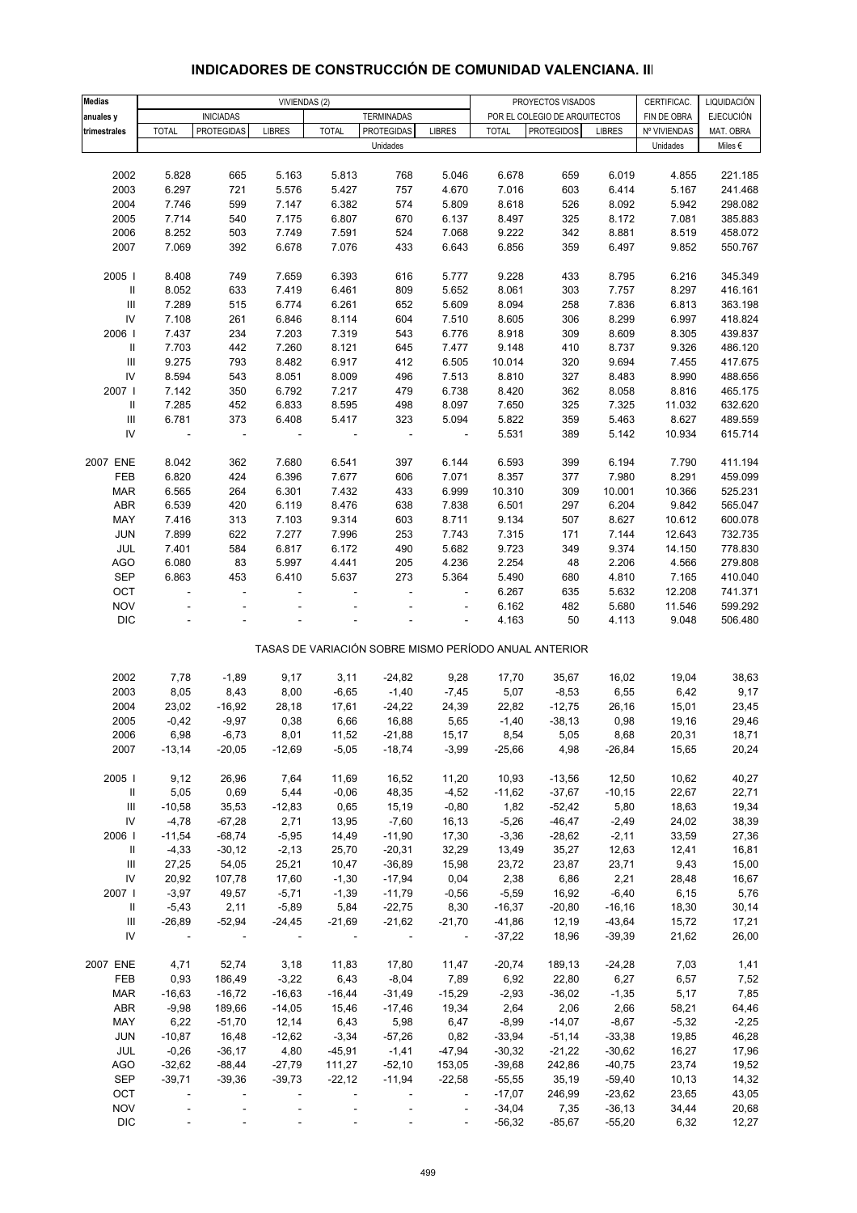# **INDICADORES DE CONSTRUCCIÓN DE COMUNIDAD VALENCIANA. III**

| <b>Medias</b>                      | VIVIENDAS (2)            |                   |                          |                          |                          | CERTIFICAC.<br>PROYECTOS VISADOS |                                                       |                               |               | LIQUIDACIÓN  |                  |
|------------------------------------|--------------------------|-------------------|--------------------------|--------------------------|--------------------------|----------------------------------|-------------------------------------------------------|-------------------------------|---------------|--------------|------------------|
| anuales y                          |                          | <b>INICIADAS</b>  |                          |                          | <b>TERMINADAS</b>        |                                  |                                                       | POR EL COLEGIO DE ARQUITECTOS |               | FIN DE OBRA  | <b>EJECUCIÓN</b> |
| trimestrales                       | <b>TOTAL</b>             | <b>PROTEGIDAS</b> | <b>LIBRES</b>            | <b>TOTAL</b>             | <b>PROTEGIDAS</b>        | <b>LIBRES</b>                    | <b>TOTAL</b>                                          | <b>PROTEGIDOS</b>             | <b>LIBRES</b> | Nº VIVIENDAS | MAT. OBRA        |
|                                    |                          |                   |                          |                          | Unidades                 |                                  |                                                       |                               |               | Unidades     | Miles €          |
|                                    |                          |                   |                          |                          |                          |                                  |                                                       |                               |               |              |                  |
| 2002                               | 5.828                    | 665               | 5.163                    | 5.813                    | 768                      | 5.046                            | 6.678                                                 | 659                           | 6.019         | 4.855        | 221.185          |
| 2003                               | 6.297                    | 721               | 5.576                    | 5.427                    | 757                      | 4.670                            | 7.016                                                 | 603                           | 6.414         | 5.167        | 241.468          |
| 2004                               | 7.746                    | 599               | 7.147                    | 6.382                    | 574                      | 5.809                            | 8.618                                                 | 526                           | 8.092         | 5.942        | 298.082          |
| 2005                               | 7.714                    | 540               | 7.175                    | 6.807                    | 670                      | 6.137                            | 8.497                                                 | 325                           | 8.172         | 7.081        | 385.883          |
| 2006                               | 8.252                    | 503               | 7.749                    | 7.591                    | 524                      | 7.068                            | 9.222                                                 | 342                           | 8.881         | 8.519        | 458.072          |
| 2007                               | 7.069                    | 392               | 6.678                    | 7.076                    | 433                      | 6.643                            | 6.856                                                 | 359                           | 6.497         | 9.852        | 550.767          |
|                                    |                          |                   |                          |                          |                          |                                  |                                                       |                               |               |              |                  |
| 2005                               | 8.408                    | 749               | 7.659                    | 6.393                    | 616                      | 5.777                            | 9.228                                                 | 433                           | 8.795         | 6.216        | 345.349          |
| Ш                                  | 8.052                    | 633               | 7.419                    | 6.461                    | 809                      | 5.652                            | 8.061                                                 | 303                           | 7.757         | 8.297        | 416.161          |
| $\ensuremath{\mathsf{III}}\xspace$ | 7.289                    | 515               | 6.774                    | 6.261                    | 652                      | 5.609                            | 8.094                                                 | 258                           | 7.836         | 6.813        | 363.198          |
| IV                                 | 7.108                    | 261               | 6.846                    | 8.114                    | 604                      | 7.510                            | 8.605                                                 | 306                           | 8.299         | 6.997        | 418.824          |
| 2006                               | 7.437                    | 234               | 7.203                    | 7.319                    | 543                      | 6.776                            | 8.918                                                 | 309                           | 8.609         | 8.305        | 439.837          |
| $\, \parallel$                     | 7.703                    | 442               | 7.260                    | 8.121                    | 645                      | 7.477                            | 9.148                                                 | 410                           | 8.737         | 9.326        | 486.120          |
| $\ensuremath{\mathsf{III}}\xspace$ | 9.275                    | 793               | 8.482                    | 6.917                    | 412                      | 6.505                            | 10.014                                                | 320                           | 9.694         | 7.455        | 417.675          |
| IV                                 | 8.594                    | 543               | 8.051                    | 8.009                    | 496                      | 7.513                            | 8.810                                                 | 327                           | 8.483         | 8.990        | 488.656          |
| 2007                               | 7.142                    | 350               | 6.792                    | 7.217                    | 479                      | 6.738                            | 8.420                                                 | 362                           | 8.058         | 8.816        | 465.175          |
| $\, \parallel$                     | 7.285                    | 452               | 6.833                    | 8.595                    | 498                      | 8.097                            | 7.650                                                 | 325                           | 7.325         | 11.032       | 632.620          |
| $\ensuremath{\mathsf{III}}\xspace$ | 6.781                    | 373               | 6.408                    | 5.417                    | 323                      | 5.094                            | 5.822                                                 | 359                           | 5.463         | 8.627        | 489.559          |
| IV                                 | $\overline{\phantom{a}}$ | $\Box$            | $\overline{\phantom{a}}$ | $\sim$                   | $\overline{\phantom{a}}$ | $\Box$                           | 5.531                                                 | 389                           | 5.142         | 10.934       | 615.714          |
|                                    |                          |                   |                          |                          |                          |                                  |                                                       |                               |               |              |                  |
| 2007 ENE                           | 8.042                    | 362               | 7.680                    | 6.541                    | 397                      | 6.144                            | 6.593                                                 | 399                           | 6.194         | 7.790        | 411.194          |
| FEB                                | 6.820                    | 424               | 6.396                    | 7.677                    | 606                      | 7.071                            | 8.357                                                 | 377                           | 7.980         | 8.291        | 459.099          |
| <b>MAR</b>                         | 6.565                    | 264               | 6.301                    | 7.432                    | 433                      | 6.999                            | 10.310                                                | 309                           | 10.001        | 10.366       | 525.231          |
| <b>ABR</b>                         | 6.539                    | 420               | 6.119                    | 8.476                    | 638                      | 7.838                            | 6.501                                                 | 297                           | 6.204         | 9.842        | 565.047          |
| MAY                                | 7.416                    | 313               | 7.103                    | 9.314                    | 603                      | 8.711                            | 9.134                                                 | 507                           | 8.627         | 10.612       | 600.078          |
| JUN                                | 7.899                    | 622               | 7.277                    | 7.996                    | 253                      | 7.743                            | 7.315                                                 | 171                           | 7.144         | 12.643       | 732.735          |
| JUL                                | 7.401                    | 584               | 6.817                    | 6.172                    | 490                      | 5.682                            | 9.723                                                 | 349                           | 9.374         | 14.150       | 778.830          |
| <b>AGO</b>                         | 6.080                    | 83                | 5.997                    | 4.441                    | 205                      | 4.236                            | 2.254                                                 | 48                            | 2.206         | 4.566        | 279.808          |
| <b>SEP</b>                         | 6.863                    | 453               | 6.410                    | 5.637                    | 273                      | 5.364                            | 5.490                                                 | 680                           | 4.810         | 7.165        | 410.040          |
| OCT                                |                          | ٠                 |                          |                          |                          |                                  | 6.267                                                 | 635                           | 5.632         | 12.208       | 741.371          |
| <b>NOV</b>                         |                          |                   |                          |                          |                          | ÷                                | 6.162                                                 | 482                           | 5.680         | 11.546       | 599.292          |
| <b>DIC</b>                         |                          |                   |                          |                          |                          | ÷                                | 4.163                                                 | 50                            | 4.113         | 9.048        | 506.480          |
|                                    |                          |                   |                          |                          |                          |                                  |                                                       |                               |               |              |                  |
|                                    |                          |                   |                          |                          |                          |                                  | TASAS DE VARIACIÓN SOBRE MISMO PERÍODO ANUAL ANTERIOR |                               |               |              |                  |
|                                    |                          |                   |                          |                          |                          |                                  |                                                       |                               |               |              |                  |
| 2002                               | 7,78                     | $-1,89$           | 9,17                     | 3,11                     | $-24,82$                 | 9,28                             | 17,70                                                 | 35,67                         | 16,02         | 19,04        | 38,63            |
| 2003                               | 8,05                     | 8,43              | 8,00                     | $-6,65$                  | $-1,40$                  | $-7,45$                          | 5,07                                                  | $-8,53$                       | 6,55          | 6,42         | 9,17             |
| 2004                               | 23,02                    | $-16,92$          | 28,18                    | 17,61                    | $-24,22$                 | 24,39                            | 22,82                                                 | $-12,75$                      | 26,16         | 15,01        | 23,45            |
| 2005                               | $-0,42$                  | $-9,97$           | 0,38                     | 6,66                     | 16,88                    | 5,65                             | $-1,40$                                               | $-38,13$                      | 0,98          | 19,16        | 29,46            |
| 2006                               | 6,98                     | $-6,73$           | 8,01                     | 11,52                    | $-21,88$                 | 15,17                            | 8,54                                                  | 5,05                          | 8,68          | 20,31        | 18,71            |
| 2007                               | $-13,14$                 | $-20,05$          | $-12,69$                 | $-5,05$                  | $-18,74$                 | $-3,99$                          | $-25,66$                                              | 4,98                          | $-26,84$      | 15,65        | 20,24            |
|                                    |                          |                   |                          |                          |                          |                                  |                                                       |                               |               |              |                  |
| 2005                               | 9,12                     | 26,96             | 7,64                     | 11,69                    | 16,52                    | 11,20                            | 10,93                                                 | $-13,56$                      | 12,50         | 10,62        | 40,27            |
| Ш                                  | 5,05                     | 0,69              | 5,44                     | $-0,06$                  | 48,35                    | $-4,52$                          | $-11,62$                                              | $-37,67$                      | $-10,15$      | 22,67        | 22,71            |
| $\mathbf{III}$                     | $-10,58$                 | 35,53             | $-12,83$                 | 0,65                     | 15,19                    | $-0,80$                          | 1,82                                                  | $-52,42$                      | 5,80          | 18,63        | 19,34            |
| IV                                 | $-4,78$                  | $-67,28$          | 2,71                     | 13,95                    | $-7,60$                  | 16,13                            | $-5,26$                                               | $-46,47$                      | $-2,49$       | 24,02        | 38,39            |
| 2006                               | $-11,54$                 | $-68,74$          | $-5,95$                  | 14,49                    | $-11,90$                 | 17,30                            | $-3,36$                                               | $-28,62$                      | $-2,11$       | 33,59        | 27,36            |
| $\, \parallel$                     | $-4,33$                  | $-30,12$          | $-2,13$                  | 25,70                    | $-20,31$                 | 32,29                            | 13,49                                                 | 35,27                         | 12,63         | 12,41        | 16,81            |
| Ш                                  | 27,25                    | 54,05             | 25,21                    | 10,47                    | $-36,89$                 | 15,98                            | 23,72                                                 | 23,87                         | 23,71         | 9,43         | 15,00            |
| IV                                 | 20,92                    | 107,78            | 17,60                    | $-1,30$                  | $-17,94$                 | 0,04                             | 2,38                                                  | 6,86                          | 2,21          | 28,48        | 16,67            |
| 2007                               | $-3,97$                  | 49,57             | $-5,71$                  | $-1,39$                  | $-11,79$                 | $-0,56$                          | $-5,59$                                               | 16,92                         | $-6,40$       | 6,15         | 5,76             |
| Ш                                  | $-5,43$                  | 2,11              | $-5,89$                  | 5,84                     | $-22,75$                 | 8,30                             | $-16,37$                                              | $-20,80$                      | $-16,16$      | 18,30        | 30,14            |
| $\ensuremath{\mathsf{III}}\xspace$ | $-26,89$                 | $-52,94$          | $-24,45$                 | $-21,69$                 | $-21,62$                 | $-21,70$                         | $-41,86$                                              | 12,19                         | $-43,64$      | 15,72        | 17,21            |
| IV                                 |                          |                   |                          |                          |                          | $\blacksquare$                   | $-37,22$                                              | 18,96                         | $-39,39$      | 21,62        | 26,00            |
|                                    |                          |                   |                          |                          |                          |                                  |                                                       |                               |               |              |                  |
| 2007 ENE                           | 4,71                     | 52,74             | 3,18                     | 11,83                    | 17,80                    | 11,47                            | $-20,74$                                              | 189,13                        | $-24,28$      | 7,03         | 1,41             |
| FEB                                | 0,93                     | 186,49            | $-3,22$                  | 6,43                     | $-8,04$                  | 7,89                             | 6,92                                                  | 22,80                         | 6,27          | 6,57         | 7,52             |
| <b>MAR</b>                         | $-16,63$                 | $-16,72$          | $-16,63$                 | $-16,44$                 | $-31,49$                 | $-15,29$                         | $-2,93$                                               | $-36,02$                      | $-1,35$       | 5,17         | 7,85             |
| ABR                                | $-9,98$                  | 189,66            | $-14,05$                 | 15,46                    | $-17,46$                 | 19,34                            | 2,64                                                  | 2,06                          | 2,66          | 58,21        | 64,46            |
| MAY                                | 6,22                     | $-51,70$          | 12,14                    | 6,43                     | 5,98                     | 6,47                             | $-8,99$                                               | $-14,07$                      | $-8,67$       | $-5,32$      | $-2,25$          |
| JUN                                | $-10,87$                 | 16,48             | $-12,62$                 | $-3,34$                  | $-57,26$                 | 0,82                             | $-33,94$                                              | $-51,14$                      | $-33,38$      | 19,85        | 46,28            |
| JUL                                | $-0,26$                  | $-36,17$          | 4,80                     | $-45,91$                 | $-1,41$                  | $-47,94$                         | $-30,32$                                              | $-21,22$                      | $-30,62$      | 16,27        | 17,96            |
| AGO                                | $-32,62$                 | $-88,44$          | $-27,79$                 | 111,27                   | $-52,10$                 | 153,05                           | $-39,68$                                              | 242,86                        | $-40,75$      | 23,74        | 19,52            |
| SEP                                | $-39,71$                 | $-39,36$          | $-39,73$                 | $-22,12$                 | $-11,94$                 | $-22,58$                         | $-55,55$                                              | 35,19                         | $-59,40$      | 10,13        | 14,32            |
| OCT                                |                          |                   |                          |                          |                          | $\overline{\phantom{a}}$         | $-17,07$                                              | 246,99                        | $-23,62$      | 23,65        | 43,05            |
| <b>NOV</b>                         |                          |                   |                          |                          |                          | $\overline{\phantom{a}}$         | $-34,04$                                              | 7,35                          | $-36,13$      | 34,44        | 20,68            |
| <b>DIC</b>                         | $\blacksquare$           | $\blacksquare$    | $\blacksquare$           | $\overline{\phantom{a}}$ | $\overline{\phantom{a}}$ | $\Box$                           | $-56,32$                                              | $-85,67$                      | $-55,20$      | 6,32         | 12,27            |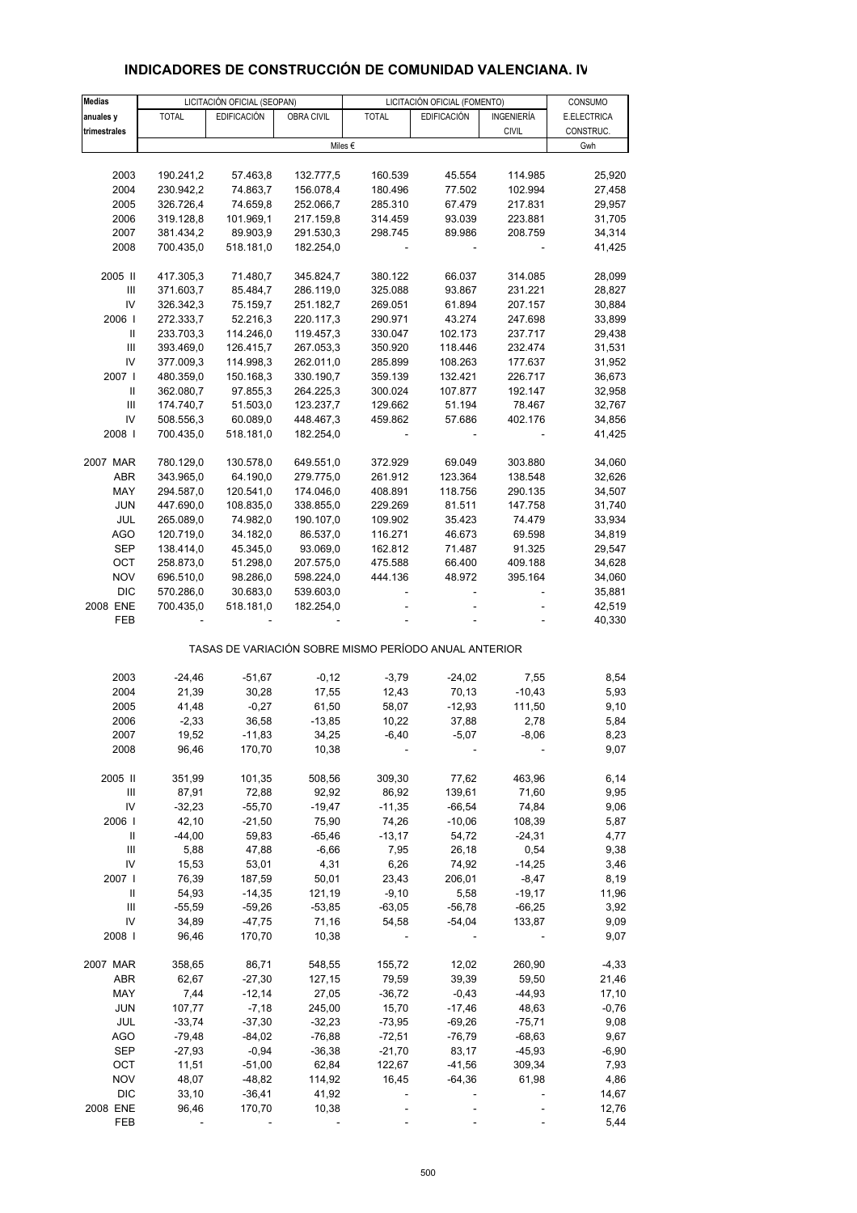| <b>Medias</b>                           |               | LICITACIÓN OFICIAL (SEOPAN) |                   |                                                       | LICITACIÓN OFICIAL (FOMENTO) |                     | CONSUMO          |
|-----------------------------------------|---------------|-----------------------------|-------------------|-------------------------------------------------------|------------------------------|---------------------|------------------|
| anuales y                               | <b>TOTAL</b>  | <b>EDIFICACIÓN</b>          | OBRA CIVIL        | <b>TOTAL</b>                                          | <b>EDIFICACIÓN</b>           | <b>INGENIERÍA</b>   | E.ELECTRICA      |
| trimestrales                            |               |                             |                   |                                                       |                              | <b>CIVIL</b>        | CONSTRUC.        |
|                                         |               |                             |                   | Miles €                                               |                              |                     | Gwh              |
|                                         |               |                             |                   |                                                       |                              |                     |                  |
| 2003                                    | 190.241,2     | 57.463,8                    | 132.777,5         | 160.539                                               | 45.554                       | 114.985             | 25,920           |
| 2004                                    | 230.942,2     | 74.863,7                    | 156.078,4         | 180.496                                               | 77.502                       | 102.994             | 27,458           |
| 2005                                    | 326.726,4     | 74.659,8                    | 252.066,7         | 285.310                                               | 67.479                       | 217.831             | 29,957           |
| 2006                                    | 319.128,8     | 101.969,1                   | 217.159,8         | 314.459                                               | 93.039                       | 223.881             | 31,705           |
| 2007                                    | 381.434,2     | 89.903,9                    | 291.530,3         | 298.745                                               | 89.986                       | 208.759             | 34,314           |
| 2008                                    | 700.435,0     | 518.181,0                   | 182.254,0         |                                                       |                              |                     | 41,425           |
| 2005 II                                 | 417.305,3     | 71.480,7                    | 345.824,7         | 380.122                                               | 66.037                       | 314.085             | 28,099           |
| Ш                                       | 371.603,7     | 85.484,7                    | 286.119,0         | 325.088                                               | 93.867                       | 231.221             | 28,827           |
| IV                                      | 326.342,3     | 75.159,7                    | 251.182,7         | 269.051                                               | 61.894                       | 207.157             | 30,884           |
| 2006                                    | 272.333,7     | 52.216,3                    | 220.117,3         | 290.971                                               | 43.274                       | 247.698             | 33,899           |
| Ш                                       | 233.703,3     | 114.246,0                   | 119.457,3         | 330.047                                               | 102.173                      | 237.717             | 29,438           |
| Ш                                       | 393.469,0     | 126.415,7                   | 267.053,3         | 350.920                                               | 118.446                      | 232.474             | 31,531           |
| IV                                      | 377.009,3     | 114.998,3                   | 262.011,0         | 285.899                                               | 108.263                      | 177.637             | 31,952           |
| 2007 l                                  | 480.359,0     | 150.168,3                   | 330.190,7         | 359.139                                               | 132.421                      | 226.717             | 36,673           |
| Ш                                       | 362.080,7     | 97.855,3                    | 264.225,3         | 300.024                                               | 107.877                      | 192.147             | 32,958           |
| Ш                                       | 174.740,7     | 51.503,0                    | 123.237,7         | 129.662                                               | 51.194                       | 78.467              | 32,767           |
| IV                                      | 508.556,3     | 60.089,0                    | 448.467,3         | 459.862                                               | 57.686                       | 402.176             | 34,856           |
| 2008                                    | 700.435,0     | 518.181,0                   | 182.254,0         |                                                       |                              |                     | 41,425           |
|                                         |               |                             |                   |                                                       |                              |                     |                  |
| 2007 MAR                                | 780.129,0     | 130.578,0                   | 649.551,0         | 372.929                                               | 69.049                       | 303.880             | 34,060           |
| ABR                                     | 343.965,0     | 64.190,0                    | 279.775,0         | 261.912                                               | 123.364                      | 138.548             | 32,626           |
| MAY                                     | 294.587,0     | 120.541,0                   | 174.046,0         | 408.891                                               | 118.756                      | 290.135             | 34,507           |
| <b>JUN</b>                              | 447.690,0     | 108.835,0                   | 338.855,0         | 229.269                                               | 81.511                       | 147.758             | 31,740           |
| JUL                                     | 265.089,0     | 74.982,0                    | 190.107,0         | 109.902                                               | 35.423                       | 74.479              | 33,934           |
| AGO                                     | 120.719,0     | 34.182,0                    | 86.537,0          | 116.271                                               | 46.673                       | 69.598              | 34,819           |
| <b>SEP</b>                              | 138.414,0     | 45.345,0                    | 93.069,0          | 162.812                                               | 71.487                       | 91.325              | 29,547           |
| OCT                                     | 258.873,0     | 51.298,0                    | 207.575,0         | 475.588                                               | 66.400                       | 409.188             | 34,628           |
| <b>NOV</b>                              | 696.510,0     | 98.286,0                    | 598.224,0         | 444.136                                               | 48.972                       | 395.164             | 34,060           |
| <b>DIC</b>                              | 570.286,0     | 30.683,0                    | 539.603,0         |                                                       |                              |                     | 35,881           |
| 2008 ENE<br>FEB                         | 700.435,0     | 518.181,0                   | 182.254,0         |                                                       |                              |                     | 42,519<br>40,330 |
|                                         |               |                             |                   |                                                       |                              |                     |                  |
|                                         |               |                             |                   | TASAS DE VARIACIÓN SOBRE MISMO PERÍODO ANUAL ANTERIOR |                              |                     |                  |
| 2003                                    | $-24,46$      | $-51,67$                    | $-0,12$           | $-3,79$                                               | $-24,02$                     | 7,55                | 8,54             |
| 2004                                    | 21,39         | 30,28                       | 17,55             | 12,43                                                 | 70,13                        | $-10,43$            | 5,93             |
| 2005                                    | 41,48         | $-0,27$                     | 61,50             | 58,07                                                 | $-12,93$                     | 111,50              | 9,10             |
| 2006                                    | $-2,33$       | 36,58                       | $-13,85$          | 10,22                                                 | 37,88                        | 2,78                | 5,84             |
| 2007                                    | 19,52         | -11,83                      | 34,25             | $-6,40$                                               | $-5,07$                      | $-8.06$             | 8.23             |
| 2008                                    | 96,46         | 170,70                      | 10,38             |                                                       |                              |                     | 9,07             |
|                                         |               |                             |                   |                                                       |                              |                     |                  |
| 2005 II                                 | 351,99        | 101,35                      | 508,56            | 309,30                                                | 77,62                        | 463,96              | 6,14             |
| Ш                                       | 87,91         | 72,88                       | 92,92             | 86,92                                                 | 139,61                       | 71,60               | 9,95             |
| IV<br>2006                              | $-32,23$      | $-55,70$                    | $-19,47$          | $-11,35$                                              | $-66,54$                     | 74,84               | 9,06             |
|                                         | 42,10         | $-21,50$                    | 75,90             | 74,26                                                 | $-10,06$                     | 108,39              | 5,87             |
| Ш<br>$\ensuremath{\mathsf{III}}\xspace$ | $-44,00$      | 59,83                       | $-65,46$          | $-13,17$                                              | 54,72                        | $-24,31$            | 4,77             |
| IV                                      | 5,88<br>15,53 | 47,88<br>53,01              | $-6,66$<br>4,31   | 7,95<br>6,26                                          | 26,18<br>74,92               | 0,54<br>$-14,25$    | 9,38<br>3,46     |
| 2007                                    | 76,39         | 187,59                      | 50,01             | 23,43                                                 | 206,01                       |                     | 8,19             |
| Ш                                       | 54,93         | $-14,35$                    | 121,19            | $-9,10$                                               | 5,58                         | $-8,47$<br>$-19,17$ | 11,96            |
| Ш                                       | $-55,59$      | $-59,26$                    |                   | $-63,05$                                              | $-56,78$                     | $-66,25$            | 3,92             |
| IV                                      | 34,89         | $-47,75$                    | $-53,85$<br>71,16 | 54,58                                                 | $-54,04$                     | 133,87              | 9,09             |
| 2008                                    | 96,46         | 170,70                      | 10,38             |                                                       |                              |                     | 9,07             |
|                                         |               |                             |                   |                                                       |                              |                     |                  |
| 2007 MAR                                | 358,65        | 86,71                       | 548,55            | 155,72                                                | 12,02                        | 260,90              | $-4,33$          |
| ABR                                     | 62,67         | $-27,30$                    | 127,15            | 79,59                                                 | 39,39                        | 59,50               | 21,46            |
| MAY                                     | 7,44          | $-12,14$                    | 27,05             | $-36,72$                                              | $-0,43$                      | $-44,93$            | 17,10            |
| <b>JUN</b>                              | 107,77        | $-7,18$                     | 245,00            | 15,70                                                 | $-17,46$                     | 48,63               | $-0,76$          |
| JUL                                     | $-33,74$      | $-37,30$                    | $-32,23$          | $-73,95$                                              | $-69,26$                     | $-75,71$            | 9,08             |
| <b>AGO</b>                              | $-79,48$      | $-84,02$                    | $-76,88$          | $-72,51$                                              | $-76,79$                     | $-68,63$            | 9,67             |
| <b>SEP</b>                              | $-27,93$      | $-0,94$                     | $-36,38$          | $-21,70$                                              | 83,17                        | $-45,93$            | $-6,90$          |
| OCT                                     | 11,51         | $-51,00$                    | 62,84             | 122,67                                                | $-41,56$                     | 309,34              | 7,93             |
| <b>NOV</b>                              | 48,07         | $-48,82$                    | 114,92            | 16,45                                                 | $-64,36$                     | 61,98               | 4,86             |
| <b>DIC</b>                              | 33,10         | $-36,41$                    | 41,92             |                                                       |                              |                     | 14,67            |
| 2008 ENE                                | 96,46         | 170,70                      | 10,38             |                                                       |                              |                     | 12,76            |
| FEB                                     |               |                             |                   |                                                       |                              |                     | 5,44             |

## **INDICADORES DE CONSTRUCCIÓN DE COMUNIDAD VALENCIANA. IV**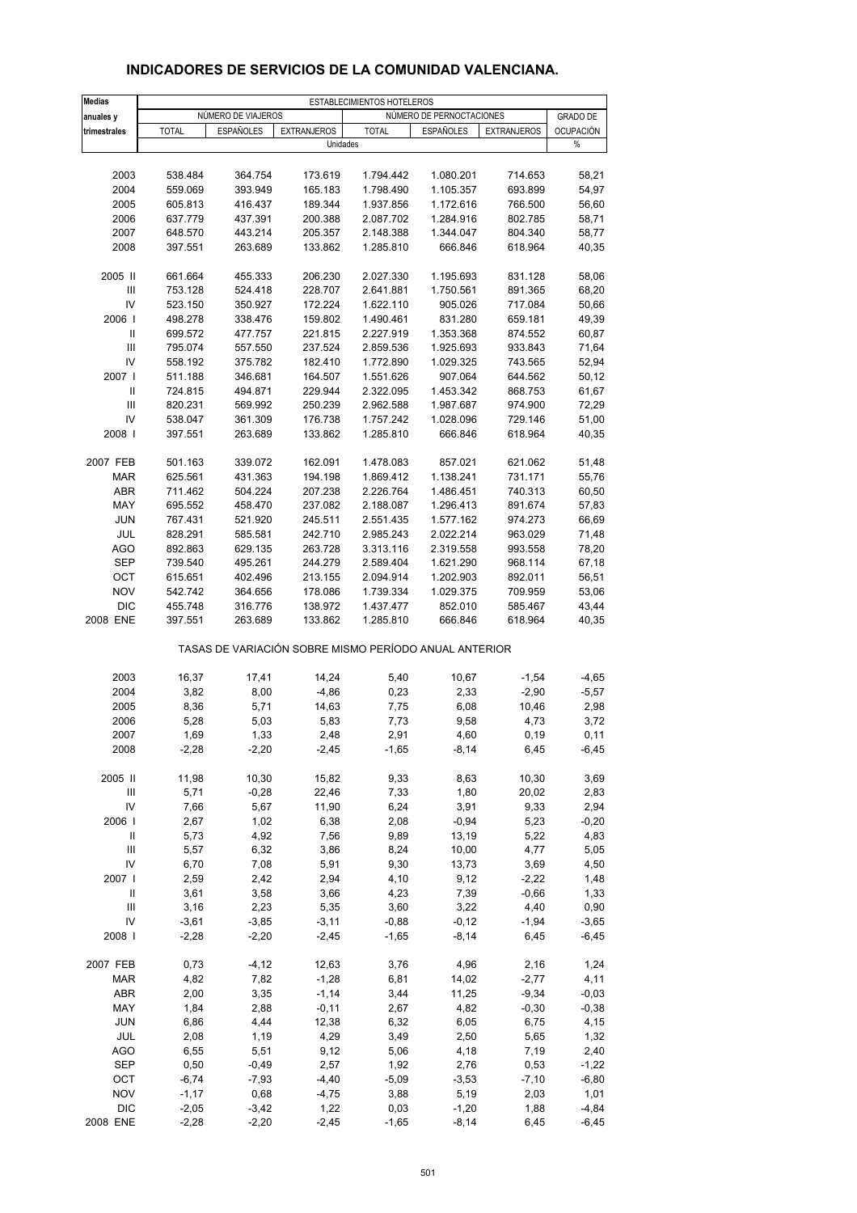| <b>Medias</b>                      |                    |                    |                    | ESTABLECIMIENTOS HOTELEROS |                                                       |                    |                  |
|------------------------------------|--------------------|--------------------|--------------------|----------------------------|-------------------------------------------------------|--------------------|------------------|
| anuales y                          |                    | NÚMERO DE VIAJEROS |                    |                            | NÚMERO DE PERNOCTACIONES                              |                    | <b>GRADO DE</b>  |
| trimestrales                       | <b>TOTAL</b>       | <b>ESPAÑOLES</b>   | <b>EXTRANJEROS</b> | <b>TOTAL</b>               | ESPAÑOLES                                             | <b>EXTRANJEROS</b> | <b>OCUPACIÓN</b> |
|                                    |                    |                    | Unidades           |                            |                                                       |                    | %                |
|                                    |                    |                    |                    |                            |                                                       |                    |                  |
| 2003                               | 538.484            | 364.754            | 173.619            | 1.794.442                  | 1.080.201                                             | 714.653            | 58,21            |
| 2004                               | 559.069            | 393.949            | 165.183            | 1.798.490                  | 1.105.357                                             | 693.899            | 54,97            |
| 2005                               | 605.813            | 416.437            | 189.344            | 1.937.856                  | 1.172.616                                             | 766.500            | 56,60            |
| 2006                               | 637.779            | 437.391            | 200.388            | 2.087.702                  | 1.284.916                                             | 802.785            | 58,71            |
| 2007<br>2008                       | 648.570<br>397.551 | 443.214<br>263.689 | 205.357<br>133.862 | 2.148.388<br>1.285.810     | 1.344.047<br>666.846                                  | 804.340<br>618.964 | 58,77<br>40,35   |
|                                    |                    |                    |                    |                            |                                                       |                    |                  |
| 2005 II                            | 661.664            | 455.333            | 206.230            | 2.027.330                  | 1.195.693                                             | 831.128            | 58,06            |
| $\ensuremath{\mathsf{III}}\xspace$ | 753.128            | 524.418            | 228.707            | 2.641.881                  | 1.750.561                                             | 891.365            | 68,20            |
| IV                                 | 523.150            | 350.927            | 172.224            | 1.622.110                  | 905.026                                               | 717.084            | 50,66            |
| 2006                               | 498.278            | 338.476            | 159.802            | 1.490.461                  | 831.280                                               | 659.181            | 49,39            |
| Ш                                  | 699.572            | 477.757            | 221.815            | 2.227.919                  | 1.353.368                                             | 874.552            | 60,87            |
| $\ensuremath{\mathsf{III}}\xspace$ | 795.074            | 557.550            | 237.524            | 2.859.536                  | 1.925.693                                             | 933.843            | 71,64            |
| IV                                 | 558.192            | 375.782            | 182.410            | 1.772.890                  | 1.029.325                                             | 743.565            | 52,94            |
| 2007  <br>Ш                        | 511.188<br>724.815 | 346.681<br>494.871 | 164.507<br>229.944 | 1.551.626<br>2.322.095     | 907.064<br>1.453.342                                  | 644.562<br>868.753 | 50,12<br>61,67   |
| $\ensuremath{\mathsf{III}}\xspace$ | 820.231            | 569.992            | 250.239            | 2.962.588                  | 1.987.687                                             | 974.900            | 72,29            |
| IV                                 | 538.047            | 361.309            | 176.738            | 1.757.242                  | 1.028.096                                             | 729.146            | 51,00            |
| 2008                               | 397.551            | 263.689            | 133.862            | 1.285.810                  | 666.846                                               | 618.964            | 40,35            |
|                                    |                    |                    |                    |                            |                                                       |                    |                  |
| 2007 FEB                           | 501.163            | 339.072            | 162.091            | 1.478.083                  | 857.021                                               | 621.062            | 51,48            |
| <b>MAR</b>                         | 625.561            | 431.363            | 194.198            | 1.869.412                  | 1.138.241                                             | 731.171            | 55,76            |
| <b>ABR</b>                         | 711.462            | 504.224            | 207.238            | 2.226.764                  | 1.486.451                                             | 740.313            | 60,50            |
| MAY                                | 695.552            | 458.470            | 237.082            | 2.188.087                  | 1.296.413                                             | 891.674            | 57,83            |
| <b>JUN</b>                         | 767.431            | 521.920            | 245.511            | 2.551.435                  | 1.577.162                                             | 974.273            | 66,69            |
| JUL                                | 828.291            | 585.581            | 242.710            | 2.985.243                  | 2.022.214                                             | 963.029            | 71,48            |
| <b>AGO</b><br><b>SEP</b>           | 892.863<br>739.540 | 629.135<br>495.261 | 263.728<br>244.279 | 3.313.116<br>2.589.404     | 2.319.558<br>1.621.290                                | 993.558<br>968.114 | 78,20<br>67,18   |
| OCT                                | 615.651            | 402.496            | 213.155            | 2.094.914                  | 1.202.903                                             | 892.011            | 56,51            |
| <b>NOV</b>                         | 542.742            | 364.656            | 178.086            | 1.739.334                  | 1.029.375                                             | 709.959            | 53,06            |
| <b>DIC</b>                         | 455.748            | 316.776            | 138.972            | 1.437.477                  | 852.010                                               | 585.467            | 43,44            |
| 2008 ENE                           | 397.551            | 263.689            | 133.862            | 1.285.810                  | 666.846                                               | 618.964            | 40,35            |
|                                    |                    |                    |                    |                            |                                                       |                    |                  |
|                                    |                    |                    |                    |                            | TASAS DE VARIACIÓN SOBRE MISMO PERÍODO ANUAL ANTERIOR |                    |                  |
|                                    |                    |                    |                    |                            |                                                       |                    |                  |
| 2003                               | 16,37              | 17,41              | 14,24              | 5,40                       | 10,67                                                 | $-1,54$            | $-4,65$          |
| 2004<br>2005                       | 3,82<br>8,36       | 8,00<br>5,71       | $-4,86$<br>14,63   | 0,23<br>7,75               | 2,33<br>6,08                                          | $-2,90$<br>10,46   | $-5,57$<br>2,98  |
| 2006                               | 5,28               | 5,03               | 5,83               | 7,73                       | 9,58                                                  | 4,73               | 3,72             |
| 2007                               | 1,69               | 1,33               | 2,48               | 2,91                       | 4,60                                                  | 0, 19              | 0,11             |
| 2008                               | $-2,28$            | $-2,20$            | $-2,45$            | $-1,65$                    | $-8,14$                                               | 6,45               | $-6,45$          |
|                                    |                    |                    |                    |                            |                                                       |                    |                  |
| 2005 II                            | 11,98              | 10,30              | 15,82              | 9,33                       | 8,63                                                  | 10,30              | 3,69             |
| Ш                                  | 5,71               | $-0,28$            | 22,46              | 7,33                       | 1,80                                                  | 20,02              | 2,83             |
| IV                                 | 7,66               | 5,67               | 11,90              | 6,24                       | 3,91                                                  | 9,33               | 2,94             |
| 2006                               | 2,67               | 1,02               | 6,38               | 2,08                       | $-0,94$                                               | 5,23               | $-0,20$          |
| Ш                                  | 5,73               | 4,92               | 7,56               | 9,89                       | 13,19                                                 | 5,22               | 4,83             |
| Ш<br>IV                            | 5,57<br>6,70       | 6,32<br>7,08       | 3,86<br>5,91       | 8,24<br>9,30               | 10,00<br>13,73                                        | 4,77<br>3,69       | 5,05<br>4,50     |
| 2007                               | 2,59               | 2,42               | 2,94               | 4,10                       | 9,12                                                  | $-2,22$            | 1,48             |
| Ш                                  | 3,61               | 3,58               | 3,66               | 4,23                       | 7,39                                                  | $-0,66$            | 1,33             |
| Ш                                  | 3,16               | 2,23               | 5,35               | 3,60                       | 3,22                                                  | 4,40               | 0,90             |
| IV                                 | $-3,61$            | $-3,85$            | $-3,11$            | $-0,88$                    | $-0,12$                                               | $-1,94$            | $-3,65$          |
| 2008                               | $-2,28$            | $-2,20$            | $-2,45$            | $-1,65$                    | $-8,14$                                               | 6,45               | $-6,45$          |
|                                    |                    |                    |                    |                            |                                                       |                    |                  |
| 2007 FEB                           | 0,73               | $-4, 12$           | 12,63              | 3,76                       | 4,96                                                  | 2,16               | 1,24             |
| <b>MAR</b>                         | 4,82               | 7,82               | $-1,28$            | 6,81                       | 14,02                                                 | $-2,77$            | 4,11             |
| <b>ABR</b>                         | 2,00               | 3,35               | $-1,14$            | 3,44                       | 11,25                                                 | $-9,34$            | $-0,03$          |
| MAY<br><b>JUN</b>                  | 1,84<br>6,86       | 2,88<br>4,44       | $-0,11$<br>12,38   | 2,67<br>6,32               | 4,82<br>6,05                                          | $-0,30$<br>6,75    | $-0,38$<br>4,15  |
| JUL                                | 2,08               | 1,19               | 4,29               | 3,49                       | 2,50                                                  | 5,65               | 1,32             |
| AGO                                | 6,55               | 5,51               | 9,12               | 5,06                       | 4,18                                                  | 7,19               | 2,40             |
| SEP                                | 0,50               | $-0,49$            | 2,57               | 1,92                       | 2,76                                                  | 0,53               | $-1,22$          |
| OCT                                | $-6,74$            | $-7,93$            | $-4,40$            | $-5,09$                    | $-3,53$                                               | $-7,10$            | $-6,80$          |
| <b>NOV</b>                         | $-1,17$            | 0,68               | $-4,75$            | 3,88                       | 5,19                                                  | 2,03               | 1,01             |
| <b>DIC</b>                         | $-2,05$            | $-3,42$            | 1,22               | 0,03                       | $-1,20$                                               | 1,88               | $-4,84$          |

#### **INDICADORES DE SERVICIOS DE LA COMUNIDAD VALENCIANA.**

2008 ENE -2,28 -2,20 -2,45 -1,65 -8,14 6,45 -6,45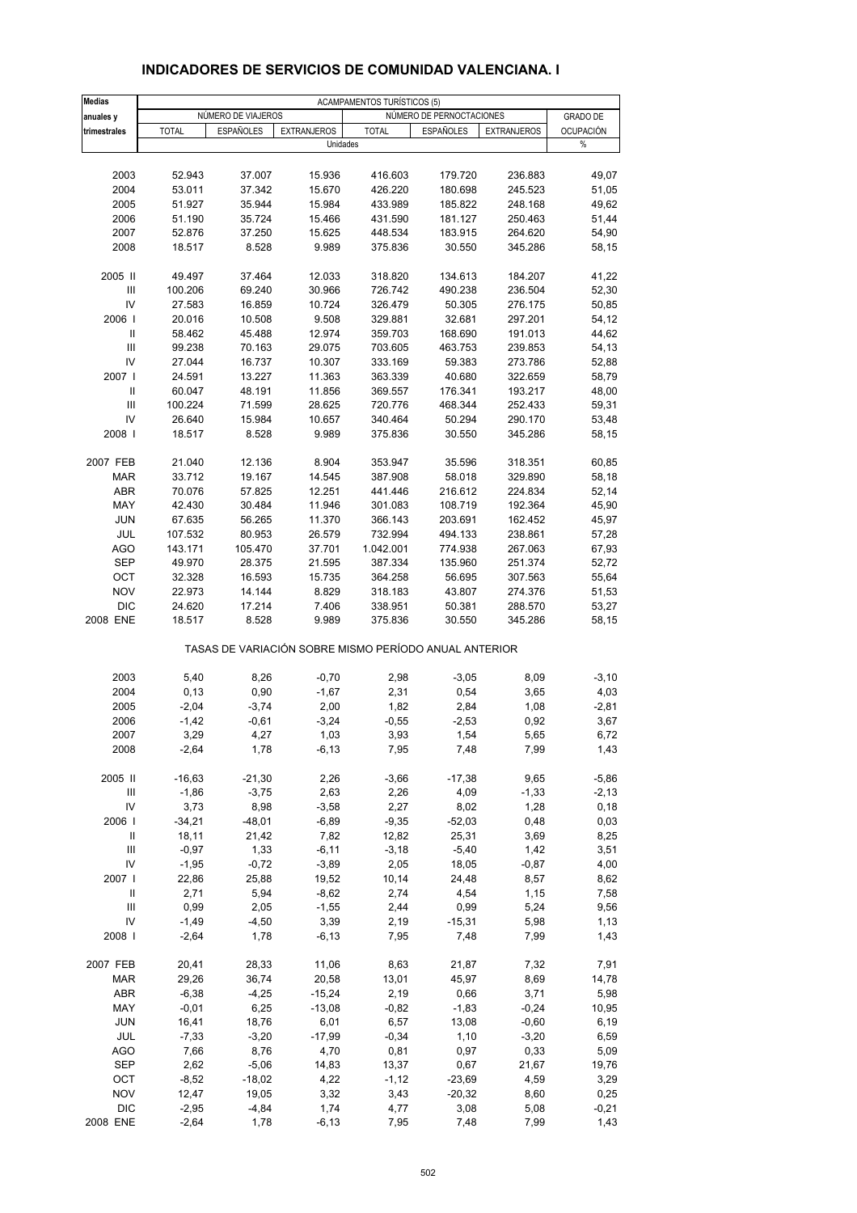| <b>Medias</b>                      |                  |                    |                    |                                                       |                          |                    |                  |
|------------------------------------|------------------|--------------------|--------------------|-------------------------------------------------------|--------------------------|--------------------|------------------|
| anuales y                          |                  | NÚMERO DE VIAJEROS |                    | <b>ACAMPAMENTOS TURÍSTICOS (5)</b>                    | NÚMERO DE PERNOCTACIONES |                    | <b>GRADO DE</b>  |
| trimestrales                       | <b>TOTAL</b>     | <b>ESPAÑOLES</b>   | <b>EXTRANJEROS</b> | <b>TOTAL</b>                                          | <b>ESPAÑOLES</b>         | <b>EXTRANJEROS</b> | <b>OCUPACIÓN</b> |
|                                    |                  |                    | Unidades           |                                                       |                          |                    | %                |
|                                    |                  |                    |                    |                                                       |                          |                    |                  |
| 2003                               | 52.943           | 37.007             | 15.936             | 416.603                                               | 179.720                  | 236.883            | 49,07            |
| 2004                               | 53.011           | 37.342             | 15.670             | 426.220                                               | 180.698                  | 245.523            | 51,05            |
| 2005                               | 51.927           | 35.944             | 15.984             | 433.989                                               | 185.822                  | 248.168            | 49,62            |
| 2006                               | 51.190           | 35.724             | 15.466             | 431.590                                               | 181.127                  | 250.463            | 51,44            |
| 2007                               | 52.876           | 37.250             | 15.625             | 448.534                                               | 183.915                  | 264.620            | 54,90            |
| 2008                               | 18.517           | 8.528              | 9.989              | 375.836                                               | 30.550                   | 345.286            | 58,15            |
| 2005 II                            | 49.497           | 37.464             | 12.033             | 318.820                                               | 134.613                  | 184.207            | 41,22            |
| Ш                                  | 100.206          | 69.240             | 30.966             | 726.742                                               | 490.238                  | 236.504            | 52,30            |
| IV                                 | 27.583           | 16.859             | 10.724             | 326.479                                               | 50.305                   | 276.175            | 50,85            |
| 2006                               | 20.016           | 10.508             | 9.508              | 329.881                                               | 32.681                   | 297.201            | 54,12            |
| Ш                                  | 58.462           | 45.488             | 12.974             | 359.703                                               | 168.690                  | 191.013            | 44,62            |
| $\ensuremath{\mathsf{III}}\xspace$ | 99.238           | 70.163             | 29.075             | 703.605                                               | 463.753                  | 239.853            | 54,13            |
| IV                                 | 27.044           | 16.737             | 10.307             | 333.169                                               | 59.383                   | 273.786            | 52,88            |
| 2007                               | 24.591           | 13.227             | 11.363             | 363.339                                               | 40.680                   | 322.659            | 58,79            |
| $\mathsf{I}$                       | 60.047           | 48.191             | 11.856             | 369.557                                               | 176.341                  | 193.217            | 48,00            |
| $\ensuremath{\mathsf{III}}\xspace$ | 100.224          | 71.599             | 28.625             | 720.776                                               | 468.344                  | 252.433            | 59,31            |
| IV                                 | 26.640           | 15.984             | 10.657             | 340.464                                               | 50.294                   | 290.170            | 53,48            |
| 2008                               | 18.517           | 8.528              | 9.989              | 375.836                                               | 30.550                   | 345.286            | 58,15            |
|                                    |                  |                    |                    |                                                       |                          |                    |                  |
| 2007 FEB                           | 21.040           | 12.136             | 8.904              | 353.947                                               | 35.596                   | 318.351            | 60,85            |
| <b>MAR</b>                         | 33.712           | 19.167             | 14.545             | 387.908                                               | 58.018                   | 329.890            | 58,18            |
| ABR                                | 70.076           | 57.825             | 12.251             | 441.446                                               | 216.612                  | 224.834            | 52,14            |
| MAY                                | 42.430           | 30.484             | 11.946             | 301.083                                               | 108.719                  | 192.364            | 45,90            |
| <b>JUN</b>                         | 67.635           | 56.265             | 11.370             | 366.143                                               | 203.691                  | 162.452            | 45,97            |
| JUL                                | 107.532          | 80.953             | 26.579             | 732.994                                               | 494.133                  | 238.861            | 57,28            |
| <b>AGO</b>                         | 143.171          | 105.470            | 37.701             | 1.042.001                                             | 774.938                  | 267.063            | 67,93            |
| <b>SEP</b>                         | 49.970           | 28.375             | 21.595             | 387.334                                               | 135.960                  | 251.374            | 52,72            |
| OCT<br><b>NOV</b>                  | 32.328           | 16.593             | 15.735             | 364.258                                               | 56.695                   | 307.563            | 55,64            |
| <b>DIC</b>                         | 22.973<br>24.620 | 14.144<br>17.214   | 8.829<br>7.406     | 318.183<br>338.951                                    | 43.807<br>50.381         | 274.376<br>288.570 | 51,53<br>53,27   |
| 2008 ENE                           | 18.517           | 8.528              | 9.989              | 375.836                                               | 30.550                   | 345.286            | 58,15            |
|                                    |                  |                    |                    |                                                       |                          |                    |                  |
|                                    |                  |                    |                    | TASAS DE VARIACIÓN SOBRE MISMO PERÍODO ANUAL ANTERIOR |                          |                    |                  |
| 2003                               | 5,40             | 8,26               | $-0,70$            | 2,98                                                  | $-3,05$                  | 8,09               | $-3,10$          |
| 2004                               | 0,13             | 0,90               | $-1,67$            | 2,31                                                  | 0,54                     | 3,65               | 4,03             |
| 2005                               | $-2,04$          | $-3,74$            | 2,00               | 1,82                                                  | 2,84                     | 1,08               | $-2,81$          |
| 2006                               | $-1,42$          | $-0.61$            | $-3,24$            | $-0,55$                                               | $-2,53$                  | 0,92               | 3,67             |
| 2007                               | 3,29             | 4,27               | 1,03               | 3,93                                                  | 1,54                     | 5,65               | 6,72             |
| 2008                               | $-2,64$          | 1,78               | $-6,13$            | 7,95                                                  | 7,48                     | 7,99               | 1,43             |
| 2005 II                            | $-16,63$         | $-21,30$           | 2,26               | $-3,66$                                               | $-17,38$                 | 9,65               | $-5,86$          |
| Ш                                  | $-1,86$          | $-3,75$            | 2,63               | 2,26                                                  | 4,09                     | $-1,33$            | $-2,13$          |
| IV                                 | 3,73             | 8,98               | $-3,58$            | 2,27                                                  | 8,02                     | 1,28               | 0, 18            |
| 2006                               | $-34,21$         | $-48,01$           | $-6,89$            | $-9,35$                                               | $-52,03$                 | 0,48               | 0,03             |
| Ш                                  | 18,11            | 21,42              | 7,82               | 12,82                                                 | 25,31                    | 3,69               | 8,25             |
| Ш                                  | $-0,97$          | 1,33               | $-6, 11$           | $-3,18$                                               | $-5,40$                  | 1,42               | 3,51             |
| IV                                 | $-1,95$          | $-0,72$            | $-3,89$            | 2,05                                                  | 18,05                    | $-0,87$            | 4,00             |
| 2007                               | 22,86            | 25,88              | 19,52              | 10, 14                                                | 24,48                    | 8,57               | 8,62             |
| Ш                                  | 2,71             | 5,94               | $-8,62$            | 2,74                                                  | 4,54                     | 1,15               | 7,58             |
| $\mathop{\mathsf{III}}\nolimits$   | 0,99             | 2,05               | $-1,55$            | 2,44                                                  | 0,99                     | 5,24               | 9,56             |
| IV                                 | $-1,49$          | $-4,50$            | 3,39               | 2,19                                                  | $-15,31$                 | 5,98               | 1,13             |
| 2008                               | $-2,64$          | 1,78               | $-6, 13$           | 7,95                                                  | 7,48                     | 7,99               | 1,43             |
| 2007 FEB                           | 20,41            | 28,33              | 11,06              | 8,63                                                  | 21,87                    | 7,32               | 7,91             |
| MAR                                | 29,26            | 36,74              | 20,58              | 13,01                                                 | 45,97                    | 8,69               | 14,78            |
| <b>ABR</b>                         | $-6,38$          | $-4,25$            | $-15,24$           | 2,19                                                  | 0,66                     | 3,71               | 5,98             |
| MAY                                | $-0,01$          | 6,25               | $-13,08$           | $-0,82$                                               | $-1,83$                  | $-0,24$            | 10,95            |
| <b>JUN</b>                         | 16,41            | 18,76              | 6,01               | 6,57                                                  | 13,08                    | $-0,60$            | 6,19             |
| JUL                                | $-7,33$          | $-3,20$            | $-17,99$           | $-0,34$                                               | 1,10                     | $-3,20$            | 6,59             |
| <b>AGO</b>                         | 7,66             | 8,76               | 4,70               | 0,81                                                  | 0,97                     | 0,33               | 5,09             |
| SEP                                | 2,62             | $-5,06$            | 14,83              | 13,37                                                 | 0,67                     | 21,67              | 19,76            |
| OCT                                | $-8,52$          | $-18,02$           | 4,22               | $-1,12$                                               | $-23,69$                 | 4,59               | 3,29             |
| <b>NOV</b>                         | 12,47            | 19,05              | 3,32               | 3,43                                                  | $-20,32$                 | 8,60               | 0,25             |
| <b>DIC</b>                         | $-2,95$          | $-4,84$            | 1,74               | 4,77                                                  | 3,08                     | 5,08               | $-0,21$          |
| 2008 ENE                           | $-2,64$          | 1,78               | $-6, 13$           | 7,95                                                  | 7,48                     | 7,99               | 1,43             |

## **INDICADORES DE SERVICIOS DE COMUNIDAD VALENCIANA. I**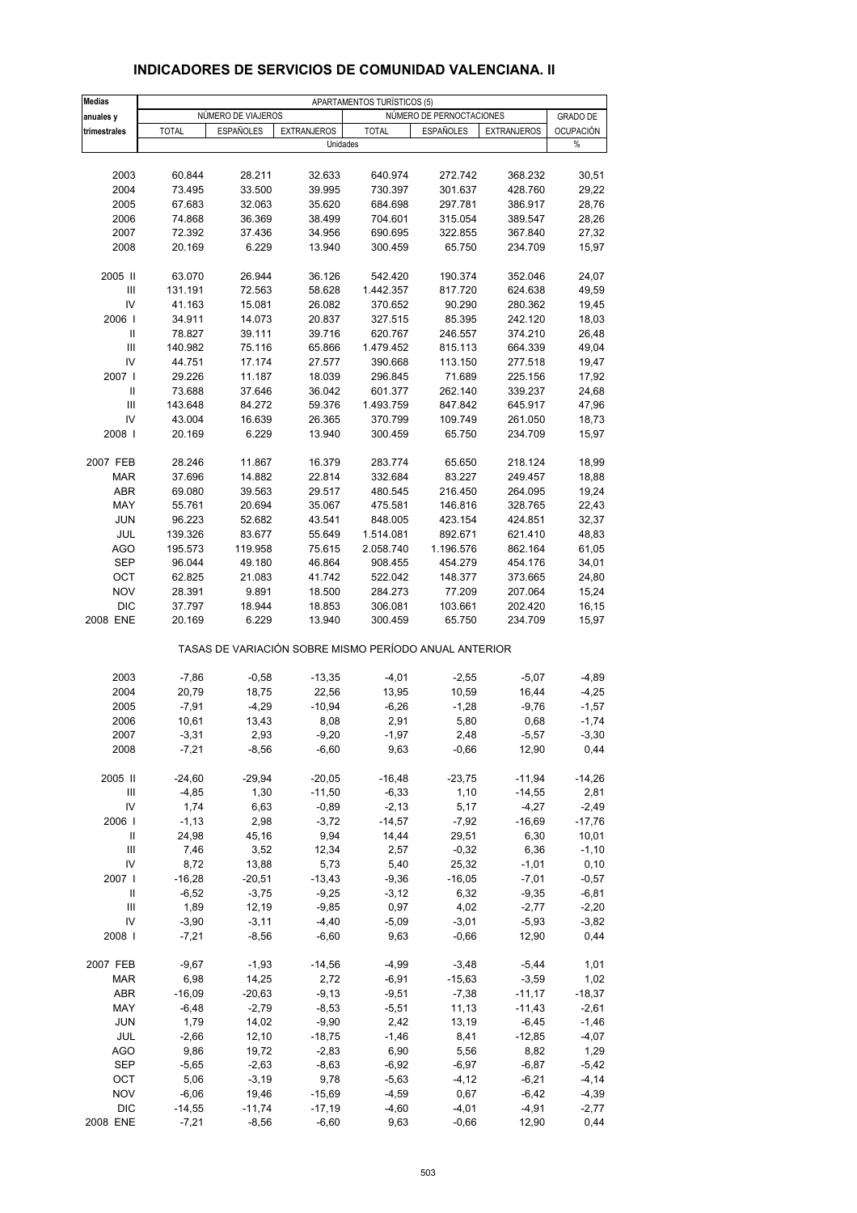| <b>Medias</b>                      |                     |                    |                      | APARTAMENTOS TURÍSTICOS (5)                           |                          |                     |                     |
|------------------------------------|---------------------|--------------------|----------------------|-------------------------------------------------------|--------------------------|---------------------|---------------------|
| anuales y                          |                     | NÚMERO DE VIAJEROS |                      |                                                       | NÚMERO DE PERNOCTACIONES |                     | <b>GRADO DE</b>     |
| trimestrales                       | <b>TOTAL</b>        | <b>ESPAÑOLES</b>   | <b>EXTRANJEROS</b>   | <b>TOTAL</b>                                          | <b>ESPAÑOLES</b>         | <b>EXTRANJEROS</b>  | <b>OCUPACIÓN</b>    |
|                                    |                     |                    | Unidades             |                                                       |                          |                     | %                   |
|                                    |                     |                    |                      |                                                       |                          |                     |                     |
| 2003                               | 60.844              | 28.211             | 32.633               | 640.974                                               | 272.742                  | 368.232             | 30,51               |
| 2004                               | 73.495              | 33.500             | 39.995               | 730.397                                               | 301.637                  | 428.760             | 29,22               |
| 2005                               | 67.683              | 32.063             | 35.620               | 684.698                                               | 297.781                  | 386.917             | 28,76               |
| 2006                               | 74.868              | 36.369             | 38.499               | 704.601                                               | 315.054                  | 389.547             | 28,26               |
| 2007                               | 72.392              | 37.436             | 34.956               | 690.695                                               | 322.855                  | 367.840             | 27,32               |
| 2008                               | 20.169              | 6.229              | 13.940               | 300.459                                               | 65.750                   | 234.709             | 15,97               |
|                                    |                     |                    |                      |                                                       |                          |                     |                     |
| 2005 II                            | 63.070              | 26.944             | 36.126               | 542.420                                               | 190.374                  | 352.046             | 24,07               |
| III<br>IV                          | 131.191<br>41.163   | 72.563<br>15.081   | 58.628<br>26.082     | 1.442.357<br>370.652                                  | 817.720<br>90.290        | 624.638<br>280.362  | 49,59<br>19,45      |
| 2006                               | 34.911              | 14.073             | 20.837               | 327.515                                               | 85.395                   | 242.120             | 18,03               |
| Ш                                  | 78.827              | 39.111             | 39.716               | 620.767                                               | 246.557                  | 374.210             | 26,48               |
| $\ensuremath{\mathsf{III}}\xspace$ | 140.982             | 75.116             | 65.866               | 1.479.452                                             | 815.113                  | 664.339             | 49,04               |
| IV                                 | 44.751              | 17.174             | 27.577               | 390.668                                               | 113.150                  | 277.518             | 19,47               |
| 2007 l                             | 29.226              | 11.187             | 18.039               | 296.845                                               | 71.689                   | 225.156             | 17,92               |
| Ш                                  | 73.688              | 37.646             | 36.042               | 601.377                                               | 262.140                  | 339.237             | 24,68               |
| $\mathbf{III}$                     | 143.648             | 84.272             | 59.376               | 1.493.759                                             | 847.842                  | 645.917             | 47,96               |
| IV                                 | 43.004              | 16.639             | 26.365               | 370.799                                               | 109.749                  | 261.050             | 18,73               |
| 2008                               | 20.169              | 6.229              | 13.940               | 300.459                                               | 65.750                   | 234.709             | 15,97               |
|                                    |                     |                    |                      |                                                       |                          |                     |                     |
| 2007 FEB                           | 28.246              | 11.867             | 16.379               | 283.774                                               | 65.650                   | 218.124             | 18,99               |
| <b>MAR</b>                         | 37.696              | 14.882             | 22.814               | 332.684                                               | 83.227                   | 249.457             | 18,88               |
| <b>ABR</b>                         | 69.080              | 39.563             | 29.517               | 480.545                                               | 216.450                  | 264.095             | 19,24               |
| MAY                                | 55.761              | 20.694             | 35.067               | 475.581                                               | 146.816                  | 328.765             | 22,43               |
| <b>JUN</b>                         | 96.223              | 52.682             | 43.541               | 848.005                                               | 423.154                  | 424.851             | 32,37               |
| JUL                                | 139.326             | 83.677             | 55.649               | 1.514.081                                             | 892.671                  | 621.410             | 48,83               |
| <b>AGO</b>                         | 195.573             | 119.958            | 75.615               | 2.058.740                                             | 1.196.576                | 862.164             | 61,05               |
| <b>SEP</b><br>OCT                  | 96.044<br>62.825    | 49.180<br>21.083   | 46.864<br>41.742     | 908.455<br>522.042                                    | 454.279<br>148.377       | 454.176<br>373.665  | 34,01<br>24,80      |
| <b>NOV</b>                         | 28.391              | 9.891              | 18.500               | 284.273                                               | 77.209                   | 207.064             | 15,24               |
| <b>DIC</b>                         | 37.797              | 18.944             | 18.853               | 306.081                                               | 103.661                  | 202.420             | 16,15               |
| 2008 ENE                           | 20.169              | 6.229              | 13.940               | 300.459                                               | 65.750                   | 234.709             | 15,97               |
|                                    |                     |                    |                      | TASAS DE VARIACIÓN SOBRE MISMO PERÍODO ANUAL ANTERIOR |                          |                     |                     |
|                                    |                     |                    |                      |                                                       |                          |                     |                     |
| 2003                               | $-7,86$             | $-0,58$            | $-13,35$             | $-4,01$                                               | $-2,55$                  | $-5,07$             | $-4,89$             |
| 2004                               | 20,79               | 18,75              | 22,56<br>$-10,94$    | 13,95                                                 | 10,59                    | 16,44               | $-4,25$             |
| 2005<br>2006                       | $-7,91$<br>10,61    | $-4,29$<br>13,43   | 8,08                 | $-6,26$<br>2,91                                       | $-1,28$<br>5,80          | $-9,76$<br>0,68     | $-1,57$<br>$-1,74$  |
| 2007                               | $-3,31$             | 2,93               | $-9,20$              | $-1,97$                                               | 2,48                     | $-5,57$             | $-3,30$             |
| 2008                               | $-7,21$             | $-8,56$            | $-6,60$              | 9,63                                                  | $-0,66$                  | 12,90               | 0,44                |
|                                    |                     |                    |                      |                                                       |                          |                     |                     |
| 2005 II                            | $-24,60$            | $-29,94$           | $-20,05$             | $-16,48$                                              | $-23,75$                 | $-11,94$            | $-14,26$            |
| Ш<br>IV                            | $-4,85$<br>1,74     | 1,30<br>6,63       | $-11,50$<br>$-0,89$  | $-6,33$<br>$-2,13$                                    | 1,10<br>5,17             | $-14,55$<br>$-4,27$ | 2,81                |
| 2006                               | $-1, 13$            | 2,98               | $-3,72$              | $-14,57$                                              | $-7,92$                  | $-16,69$            | $-2,49$<br>$-17,76$ |
| Ш                                  | 24,98               | 45,16              | 9,94                 | 14,44                                                 | 29,51                    | 6,30                | 10,01               |
| $\ensuremath{\mathsf{III}}\xspace$ | 7,46                | 3,52               | 12,34                | 2,57                                                  | $-0,32$                  | 6,36                | $-1,10$             |
| IV                                 | 8,72                | 13,88              | 5,73                 | 5,40                                                  | 25,32                    | $-1,01$             | 0, 10               |
| 2007 l                             | $-16,28$            | $-20,51$           | $-13,43$             | $-9,36$                                               | $-16,05$                 | $-7,01$             | $-0,57$             |
| Ш                                  | $-6,52$             | $-3,75$            | $-9,25$              | $-3,12$                                               | 6,32                     | $-9,35$             | $-6,81$             |
| Ш                                  | 1,89                | 12,19              | $-9,85$              | 0,97                                                  | 4,02                     | $-2,77$             | $-2,20$             |
| IV                                 | $-3,90$             | $-3,11$            | $-4,40$              | $-5,09$                                               | $-3,01$                  | $-5,93$             | $-3,82$             |
| 2008                               | $-7,21$             | $-8,56$            | $-6,60$              | 9,63                                                  | $-0,66$                  | 12,90               | 0,44                |
| 2007 FEB                           | $-9,67$             | $-1,93$            | $-14,56$             | $-4,99$                                               | $-3,48$                  | $-5,44$             | 1,01                |
| <b>MAR</b>                         | 6,98                | 14,25              | 2,72                 | $-6,91$                                               | $-15,63$                 | $-3,59$             | 1,02                |
| ABR                                | $-16,09$            | $-20,63$           | $-9,13$              | $-9,51$                                               | $-7,38$                  | $-11,17$            | $-18,37$            |
| MAY                                | $-6,48$             | $-2,79$            | $-8,53$              | $-5,51$                                               | 11,13                    | $-11,43$            | $-2,61$             |
| <b>JUN</b>                         | 1,79                | 14,02              | $-9,90$              | 2,42                                                  | 13,19                    | $-6,45$             | $-1,46$             |
| JUL                                | $-2,66$             | 12,10              | $-18,75$             | $-1,46$                                               | 8,41                     | $-12,85$            | $-4,07$             |
| AGO                                | 9,86                | 19,72              | $-2,83$              | 6,90                                                  | 5,56                     | 8,82                | 1,29                |
| SEP                                | $-5,65$             | $-2,63$            | $-8,63$              | $-6,92$                                               | $-6,97$                  | $-6,87$             | $-5,42$             |
| OCT                                | 5,06                | $-3,19$            | 9,78                 | $-5,63$                                               | $-4, 12$                 | $-6,21$             | $-4, 14$            |
| <b>NOV</b><br><b>DIC</b>           | $-6,06$<br>$-14,55$ | 19,46<br>$-11,74$  | $-15,69$<br>$-17,19$ | $-4,59$<br>$-4,60$                                    | 0,67<br>$-4,01$          | $-6,42$<br>$-4,91$  | $-4,39$<br>$-2,77$  |
| 2008 ENE                           | $-7,21$             | $-8,56$            | $-6,60$              | 9,63                                                  | $-0,66$                  | 12,90               | 0,44                |
|                                    |                     |                    |                      |                                                       |                          |                     |                     |

## **INDICADORES DE SERVICIOS DE COMUNIDAD VALENCIANA. II**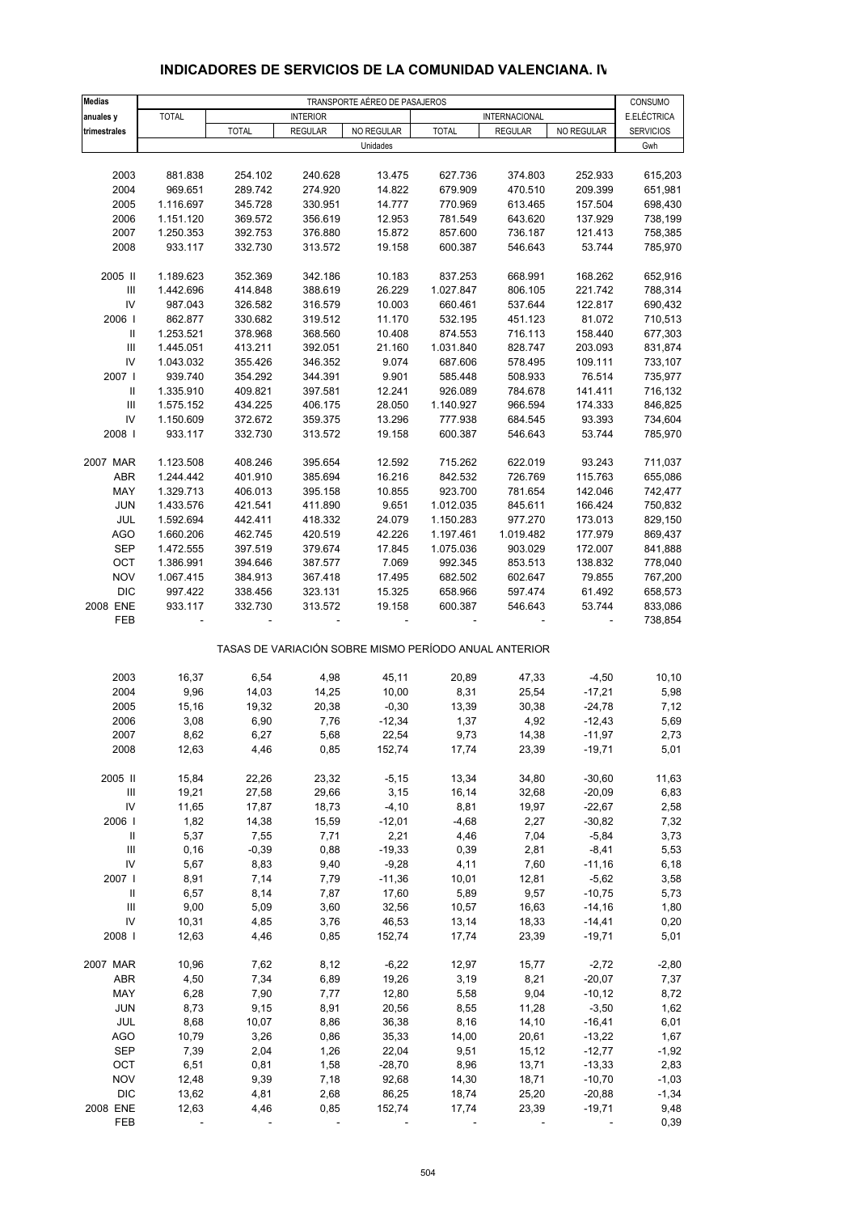| Medias                             | TRANSPORTE AÉREO DE PASAJEROS |               |                 |                   |                                                       |                |                      |                        |
|------------------------------------|-------------------------------|---------------|-----------------|-------------------|-------------------------------------------------------|----------------|----------------------|------------------------|
| anuales y                          | <b>TOTAL</b>                  |               | <b>INTERIOR</b> |                   |                                                       | INTERNACIONAL  |                      | CONSUMO<br>E.ELÉCTRICA |
| trimestrales                       |                               | <b>TOTAL</b>  | <b>REGULAR</b>  | NO REGULAR        | <b>TOTAL</b>                                          | <b>REGULAR</b> | NO REGULAR           | SERVICIOS              |
|                                    |                               |               |                 | Unidades          |                                                       |                |                      | Gwh                    |
|                                    |                               |               |                 |                   |                                                       |                |                      |                        |
| 2003                               | 881.838                       | 254.102       | 240.628         | 13.475            | 627.736                                               | 374.803        | 252.933              | 615,203                |
| 2004                               | 969.651                       | 289.742       | 274.920         | 14.822            | 679.909                                               | 470.510        | 209.399              | 651,981                |
| 2005                               | 1.116.697                     | 345.728       | 330.951         | 14.777            | 770.969                                               | 613.465        | 157.504              | 698,430                |
| 2006                               | 1.151.120                     | 369.572       | 356.619         | 12.953            | 781.549                                               | 643.620        | 137.929              | 738,199                |
| 2007                               | 1.250.353                     | 392.753       | 376.880         | 15.872            | 857.600                                               | 736.187        | 121.413              | 758,385                |
| 2008                               | 933.117                       | 332.730       | 313.572         | 19.158            | 600.387                                               | 546.643        | 53.744               | 785,970                |
| 2005 II                            | 1.189.623                     | 352.369       | 342.186         | 10.183            | 837.253                                               | 668.991        | 168.262              | 652,916                |
| Ш                                  | 1.442.696                     | 414.848       | 388.619         | 26.229            | 1.027.847                                             | 806.105        | 221.742              | 788,314                |
| IV                                 | 987.043                       | 326.582       | 316.579         | 10.003            | 660.461                                               | 537.644        | 122.817              | 690,432                |
| 2006                               | 862.877                       | 330.682       | 319.512         | 11.170            | 532.195                                               | 451.123        | 81.072               | 710,513                |
| Ш                                  | 1.253.521                     | 378.968       | 368.560         | 10.408            | 874.553                                               | 716.113        | 158.440              | 677,303                |
| $\ensuremath{\mathsf{III}}\xspace$ | 1.445.051                     | 413.211       | 392.051         | 21.160            | 1.031.840                                             | 828.747        | 203.093              | 831,874                |
| IV                                 | 1.043.032                     | 355.426       | 346.352         | 9.074             | 687.606                                               | 578.495        | 109.111              | 733,107                |
| 2007 l                             | 939.740                       | 354.292       | 344.391         | 9.901             | 585.448                                               | 508.933        | 76.514               | 735,977                |
| Ш                                  | 1.335.910                     | 409.821       | 397.581         | 12.241            | 926.089                                               | 784.678        | 141.411              | 716,132                |
| $\mathbf{III}$                     | 1.575.152                     | 434.225       | 406.175         | 28.050            | 1.140.927                                             | 966.594        | 174.333              | 846,825                |
| IV                                 | 1.150.609                     | 372.672       | 359.375         | 13.296            | 777.938                                               | 684.545        | 93.393               | 734,604                |
| 2008                               | 933.117                       | 332.730       | 313.572         | 19.158            | 600.387                                               | 546.643        | 53.744               | 785,970                |
| 2007 MAR                           | 1.123.508                     | 408.246       | 395.654         | 12.592            | 715.262                                               | 622.019        | 93.243               | 711,037                |
| ABR                                | 1.244.442                     | 401.910       | 385.694         | 16.216            | 842.532                                               | 726.769        | 115.763              | 655,086                |
| MAY                                | 1.329.713                     | 406.013       | 395.158         | 10.855            | 923.700                                               | 781.654        | 142.046              | 742,477                |
| <b>JUN</b>                         | 1.433.576                     | 421.541       | 411.890         | 9.651             | 1.012.035                                             | 845.611        | 166.424              | 750,832                |
| JUL                                | 1.592.694                     | 442.411       | 418.332         | 24.079            | 1.150.283                                             | 977.270        | 173.013              | 829,150                |
| <b>AGO</b>                         | 1.660.206                     | 462.745       | 420.519         | 42.226            | 1.197.461                                             | 1.019.482      | 177.979              | 869,437                |
| <b>SEP</b>                         | 1.472.555                     | 397.519       | 379.674         | 17.845            | 1.075.036                                             | 903.029        | 172.007              | 841,888                |
| OCT                                | 1.386.991                     | 394.646       | 387.577         | 7.069             | 992.345                                               | 853.513        | 138.832              | 778,040                |
| <b>NOV</b>                         | 1.067.415                     | 384.913       | 367.418         | 17.495            | 682.502                                               | 602.647        | 79.855               | 767,200                |
| <b>DIC</b>                         | 997.422                       | 338.456       | 323.131         | 15.325            | 658.966                                               | 597.474        | 61.492               | 658,573                |
| 2008 ENE                           | 933.117                       | 332.730       | 313.572         | 19.158            | 600.387                                               | 546.643        | 53.744               | 833,086                |
| FEB                                |                               |               |                 |                   |                                                       |                |                      | 738,854                |
|                                    |                               |               |                 |                   | TASAS DE VARIACIÓN SOBRE MISMO PERÍODO ANUAL ANTERIOR |                |                      |                        |
|                                    |                               |               |                 |                   |                                                       |                |                      |                        |
| 2003<br>2004                       | 16,37<br>9,96                 | 6,54<br>14,03 | 4,98<br>14,25   | 45,11<br>10,00    | 20,89<br>8,31                                         | 47,33<br>25,54 | $-4,50$<br>$-17,21$  | 10, 10<br>5,98         |
| 2005                               | 15,16                         | 19,32         | 20,38           | $-0,30$           | 13,39                                                 | 30,38          | $-24,78$             | 7,12                   |
|                                    |                               |               |                 |                   |                                                       |                |                      |                        |
| 2006                               | 3,08<br>8,62                  | 6,90          | 7,76<br>5,68    | $-12,34$<br>22,54 | 1,37                                                  | 4,92<br>14,38  | $-12,43$             | 5,69<br>2,73           |
| 2007<br>2008                       | 12,63                         | 6,27<br>4,46  | 0,85            | 152,74            | 9,73<br>17,74                                         | 23,39          | $-11,97$<br>$-19,71$ | 5,01                   |
|                                    |                               |               |                 |                   |                                                       |                |                      |                        |
| 2005 II                            | 15,84                         | 22,26         | 23,32           | $-5,15$           | 13,34                                                 | 34,80          | $-30,60$             | 11,63                  |
| Ш                                  | 19,21                         | 27,58         | 29,66           | 3,15              | 16,14                                                 | 32,68          | $-20,09$             | 6,83                   |
| IV                                 | 11,65                         | 17,87         | 18,73           | $-4,10$           | 8,81                                                  | 19,97          | $-22,67$             | 2,58                   |
| 2006                               | 1,82                          | 14,38         | 15,59           | $-12,01$          | $-4,68$                                               | 2,27           | $-30,82$             | 7,32                   |
| $\parallel$                        | 5,37                          | 7,55          | 7,71            | 2,21              | 4,46                                                  | 7,04           | $-5,84$              | 3,73                   |
| $\ensuremath{\mathsf{III}}\xspace$ | 0,16                          | $-0,39$       | 0,88            | $-19,33$          | 0,39                                                  | 2,81           | $-8,41$              | 5,53                   |
| IV                                 | 5,67                          | 8,83          | 9,40            | $-9,28$           | 4,11                                                  | 7,60           | $-11,16$             | 6,18                   |
| 2007                               | 8,91                          | 7,14          | 7,79            | $-11,36$          | 10,01                                                 | 12,81          | $-5,62$              | 3,58                   |
| $\mathbf{II}$                      | 6,57                          | 8,14          | 7,87            | 17,60             | 5,89                                                  | 9,57           | $-10,75$             | 5,73                   |
| Ш                                  | 9,00                          | 5,09          | 3,60            | 32,56             | 10,57                                                 | 16,63          | $-14,16$             | 1,80                   |
| IV                                 | 10,31                         | 4,85          | 3,76            | 46,53             | 13,14                                                 | 18,33          | $-14,41$             | 0,20                   |
| 2008                               | 12,63                         | 4,46          | 0,85            | 152,74            | 17,74                                                 | 23,39          | $-19,71$             | 5,01                   |
| 2007 MAR                           | 10,96                         | 7,62          | 8,12            | $-6,22$           | 12,97                                                 | 15,77          | $-2,72$              | $-2,80$                |
| ABR                                | 4,50                          | 7,34          | 6,89            | 19,26             | 3,19                                                  | 8,21           | $-20,07$             | 7,37                   |
| MAY                                | 6,28                          | 7,90          | 7,77            | 12,80             | 5,58                                                  | 9,04           | $-10,12$             | 8,72                   |
| <b>JUN</b>                         | 8,73                          | 9,15          | 8,91            | 20,56             | 8,55                                                  | 11,28          | $-3,50$              | 1,62                   |
| JUL                                | 8,68                          | 10,07         | 8,86            | 36,38             | 8,16                                                  | 14, 10         | $-16,41$             | 6,01                   |
| <b>AGO</b>                         | 10,79                         | 3,26          | 0,86            | 35,33             | 14,00                                                 | 20,61          | $-13,22$             | 1,67                   |
| <b>SEP</b>                         | 7,39                          | 2,04          | 1,26            | 22,04             | 9,51                                                  | 15, 12         | $-12,77$             | $-1,92$                |
| OCT                                | 6,51                          | 0,81          | 1,58            | $-28,70$          | 8,96                                                  | 13,71          | $-13,33$             | 2,83                   |
| <b>NOV</b>                         | 12,48                         | 9,39          | 7,18            | 92,68             | 14,30                                                 | 18,71          | $-10,70$             | $-1,03$                |
| <b>DIC</b>                         | 13,62                         | 4,81          | 2,68            | 86,25             | 18,74                                                 | 25,20          | $-20,88$             | $-1,34$                |

#### **INDICADORES DE SERVICIOS DE LA COMUNIDAD VALENCIANA. IV**

2008 ENE 12,63 4,46 0,85 152,74 17,74 23,39 -19,71 9,48 FEB - - - - - - - - - - - - - - - 0,39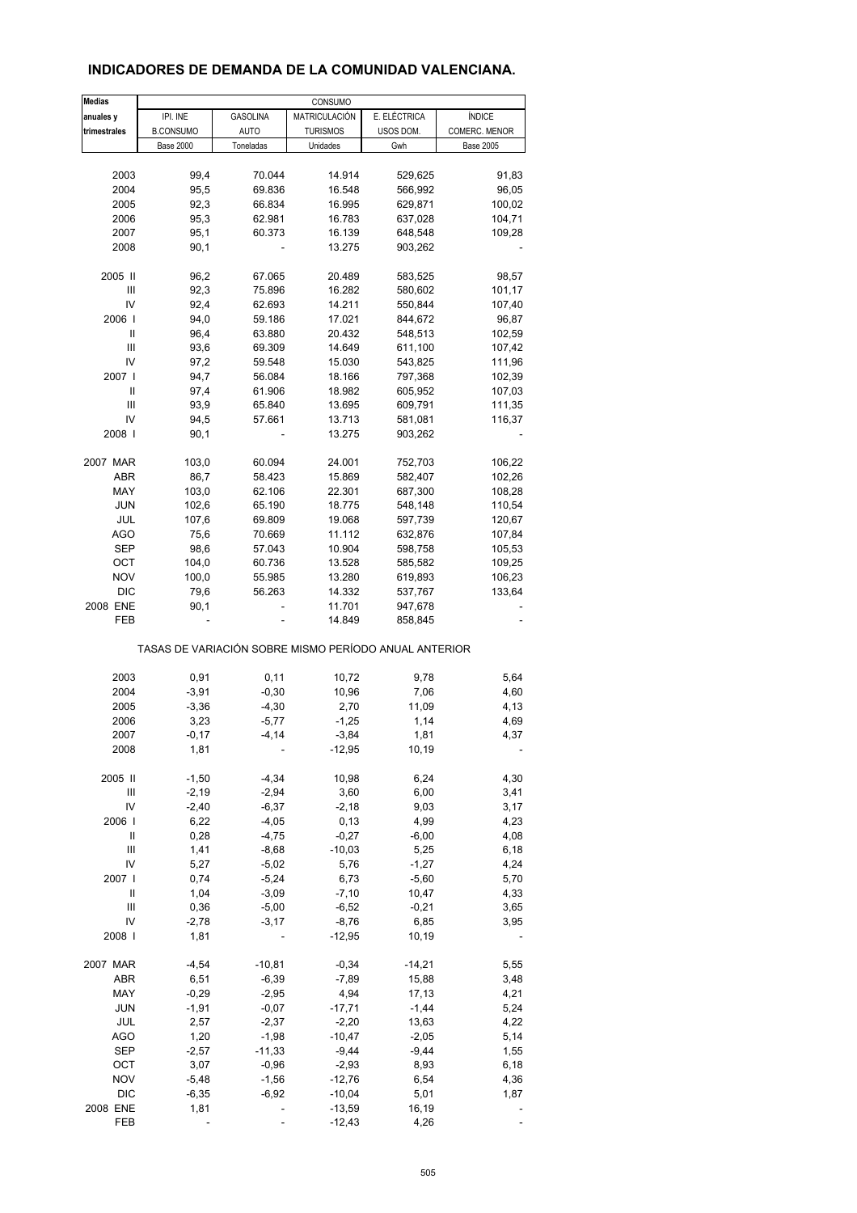## **INDICADORES DE DEMANDA DE LA COMUNIDAD VALENCIANA.**

| <b>Medias</b> |                                                       |                     | CONSUMO            |                    |                  |
|---------------|-------------------------------------------------------|---------------------|--------------------|--------------------|------------------|
| anuales y     | IPI. INE                                              | <b>GASOLINA</b>     | MATRICULACIÓN      | E. ELÉCTRICA       | <b>ÍNDICE</b>    |
| trimestrales  | <b>B.CONSUMO</b>                                      | <b>AUTO</b>         | <b>TURISMOS</b>    | USOS DOM.          | COMERC. MENOR    |
|               | <b>Base 2000</b>                                      | Toneladas           | Unidades           | Gwh                | <b>Base 2005</b> |
|               |                                                       |                     |                    |                    |                  |
| 2003          | 99,4                                                  | 70.044              | 14.914             | 529,625            | 91,83            |
| 2004          | 95,5                                                  | 69.836              | 16.548             | 566,992            | 96,05            |
| 2005          | 92,3                                                  | 66.834              | 16.995             | 629,871            | 100,02           |
| 2006          | 95,3                                                  | 62.981              | 16.783             | 637,028            | 104,71           |
| 2007          | 95,1                                                  | 60.373              | 16.139             | 648,548            | 109,28           |
| 2008          | 90,1                                                  |                     | 13.275             | 903,262            |                  |
|               |                                                       |                     |                    |                    |                  |
| 2005 II       | 96,2                                                  | 67.065              | 20.489             | 583,525            | 98,57            |
| Ш             | 92,3                                                  | 75.896              | 16.282             | 580,602            | 101,17           |
| IV<br>2006    | 92,4                                                  | 62.693              | 14.211             | 550,844            | 107,40           |
| Ш             | 94,0<br>96,4                                          | 59.186<br>63.880    | 17.021<br>20.432   | 844,672<br>548,513 | 96,87<br>102,59  |
| Ш             | 93,6                                                  | 69.309              | 14.649             | 611,100            | 107,42           |
| IV            | 97,2                                                  | 59.548              | 15.030             | 543,825            | 111,96           |
| 2007 l        | 94,7                                                  | 56.084              | 18.166             | 797,368            | 102,39           |
| Ш             | 97,4                                                  | 61.906              | 18.982             | 605,952            | 107,03           |
| Ш             | 93,9                                                  | 65.840              | 13.695             | 609,791            | 111,35           |
| IV            | 94,5                                                  | 57.661              | 13.713             | 581,081            | 116,37           |
| 2008          | 90,1                                                  |                     | 13.275             | 903,262            |                  |
|               |                                                       |                     |                    |                    |                  |
| 2007 MAR      | 103,0                                                 | 60.094              | 24.001             | 752,703            | 106,22           |
| ABR           | 86,7                                                  | 58.423              | 15.869             | 582,407            | 102,26           |
| MAY           | 103,0                                                 | 62.106              | 22.301             | 687,300            | 108,28           |
| JUN           | 102,6                                                 | 65.190              | 18.775             | 548,148            | 110,54           |
| JUL           | 107,6                                                 | 69.809              | 19.068             | 597,739            | 120,67           |
| <b>AGO</b>    | 75,6                                                  | 70.669              | 11.112             | 632,876            | 107,84           |
| SEP           | 98,6                                                  | 57.043              | 10.904             | 598,758            | 105,53           |
| OCT           | 104,0                                                 | 60.736              | 13.528             | 585,582            | 109,25           |
| <b>NOV</b>    | 100,0                                                 | 55.985              | 13.280             | 619,893            | 106,23           |
| <b>DIC</b>    | 79,6                                                  | 56.263              | 14.332             | 537,767            | 133,64           |
| 2008 ENE      | 90,1                                                  |                     | 11.701             | 947,678            |                  |
| FEB           |                                                       |                     | 14.849             | 858,845            |                  |
|               | TASAS DE VARIACIÓN SOBRE MISMO PERÍODO ANUAL ANTERIOR |                     |                    |                    |                  |
|               |                                                       |                     |                    |                    |                  |
| 2003          | 0,91                                                  | 0,11                | 10,72              | 9,78               | 5,64             |
| 2004          | $-3,91$                                               | $-0,30$             | 10,96<br>2,70      | 7,06               | 4,60             |
| 2005<br>2006  | $-3,36$<br>3,23                                       | $-4,30$<br>$-5,77$  | $-1,25$            | 11,09<br>1,14      | 4,13<br>4,69     |
| 2007          | $-0,17$                                               | $-4, 14$            | $-3,84$            | 1,81               | 4,37             |
| 2008          | 1,81                                                  |                     | $-12,95$           | 10,19              |                  |
|               |                                                       |                     |                    |                    |                  |
| 2005 II       | $-1,50$                                               | $-4,34$             | 10,98              | 6,24               | 4,30             |
| Ш             | $-2,19$                                               | $-2,94$             | 3,60               | 6,00               | 3,41             |
| IV            | $-2,40$                                               | $-6,37$             | $-2,18$            | 9,03               | 3,17             |
| 2006          | 6,22                                                  | $-4,05$             | 0, 13              | 4,99               | 4,23             |
| $\sf II$      | 0,28                                                  | $-4,75$             | $-0,27$            | $-6,00$            | 4,08             |
| Ш             | 1,41                                                  | $-8,68$             | $-10,03$           | 5,25               | 6,18             |
| IV            | 5,27                                                  | $-5,02$             | 5,76               | $-1,27$            | 4,24             |
| 2007 l        | 0,74                                                  | $-5,24$             | 6,73               | $-5,60$            | 5,70             |
| Ш             | 1,04                                                  | $-3,09$             | $-7,10$            | 10,47              | 4,33             |
| Ш             | 0,36                                                  | $-5,00$             | $-6,52$            | $-0,21$            | 3,65             |
| IV            | $-2,78$                                               | $-3,17$             | $-8,76$            | 6,85               | 3,95             |
| 2008          | 1,81                                                  |                     | $-12,95$           | 10,19              |                  |
|               |                                                       |                     |                    |                    |                  |
| 2007 MAR      | -4,54                                                 | $-10,81$            | $-0,34$            | -14,21             | 5,55             |
| ABR           | 6,51                                                  | $-6,39$             | $-7,89$            | 15,88              | 3,48             |
| MAY           | $-0,29$                                               | $-2,95$             | 4,94               | 17,13              | 4,21             |
| <b>JUN</b>    | $-1,91$                                               | $-0,07$             | $-17,71$           | $-1,44$            | 5,24             |
| JUL           | 2,57                                                  | $-2,37$             | $-2,20$            | 13,63              | 4,22             |
| <b>AGO</b>    | 1,20                                                  | $-1,98$             | $-10,47$           | $-2,05$            | 5,14             |
| SEP<br>OCT    | $-2,57$<br>3,07                                       | $-11,33$<br>$-0,96$ | $-9,44$<br>$-2,93$ | $-9,44$            | 1,55             |
| <b>NOV</b>    |                                                       | $-1,56$             | $-12,76$           | 8,93               | 6,18             |
| <b>DIC</b>    | $-5,48$<br>$-6,35$                                    | $-6,92$             | $-10,04$           | 6,54<br>5,01       | 4,36<br>1,87     |
| 2008 ENE      | 1,81                                                  |                     | $-13,59$           | 16,19              |                  |
| FEB           |                                                       |                     | $-12,43$           | 4,26               |                  |
|               |                                                       |                     |                    |                    |                  |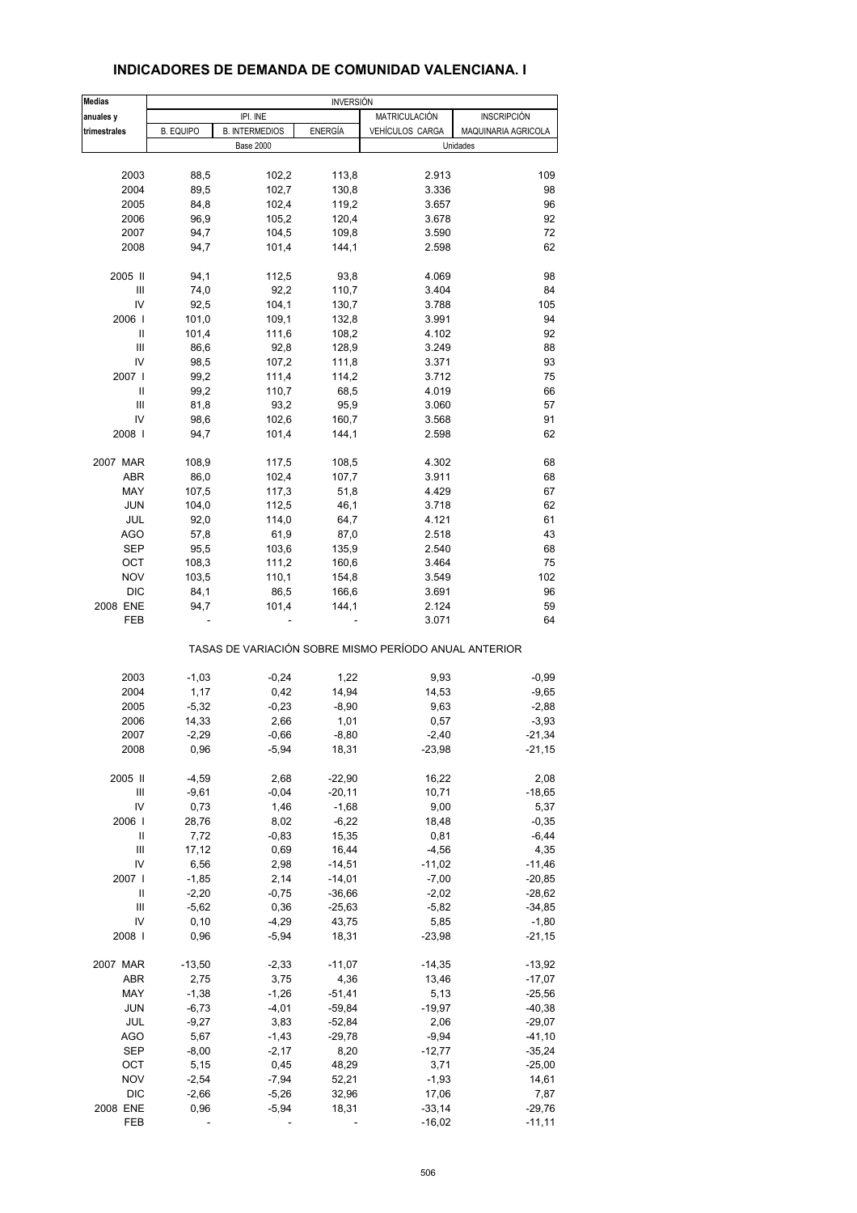| <b>Medias</b> | <b>INVERSIÓN</b> |                       |          |                                                       |                     |
|---------------|------------------|-----------------------|----------|-------------------------------------------------------|---------------------|
| anuales y     |                  | IPI. INE              |          | MATRICULACIÓN                                         | <b>INSCRIPCIÓN</b>  |
| trimestrales  | <b>B. EQUIPO</b> | <b>B. INTERMEDIOS</b> | ENERGÍA  | VEHÍCULOS CARGA                                       | MAQUINARIA AGRICOLA |
|               |                  | <b>Base 2000</b>      |          |                                                       | Unidades            |
| 2003          | 88,5             |                       | 113,8    |                                                       | 109                 |
|               |                  | 102,2                 |          | 2.913                                                 |                     |
| 2004          | 89,5             | 102,7                 | 130,8    | 3.336                                                 | 98                  |
| 2005          | 84,8             | 102,4                 | 119,2    | 3.657                                                 | 96                  |
| 2006          | 96,9             | 105,2                 | 120,4    | 3.678                                                 | 92                  |
| 2007          | 94,7             | 104,5                 | 109,8    | 3.590                                                 | 72                  |
| 2008          | 94,7             | 101,4                 | 144,1    | 2.598                                                 | 62                  |
| 2005 II       | 94,1             | 112,5                 | 93,8     | 4.069                                                 | 98                  |
| III           | 74,0             | 92,2                  | 110,7    | 3.404                                                 | 84                  |
| IV            | 92,5             | 104,1                 | 130,7    | 3.788                                                 | 105                 |
| 2006          | 101,0            | 109,1                 | 132,8    | 3.991                                                 | 94                  |
| Ш             | 101,4            | 111,6                 | 108,2    | 4.102                                                 | 92                  |
| III           | 86,6             | 92,8                  | 128,9    | 3.249                                                 | 88                  |
| IV            | 98,5             | 107,2                 | 111,8    | 3.371                                                 | 93                  |
| 2007 l        | 99,2             | 111,4                 | 114,2    | 3.712                                                 | 75                  |
| Ш             | 99,2             | 110,7                 | 68,5     | 4.019                                                 | 66                  |
| Ш             | 81,8             | 93,2                  | 95,9     | 3.060                                                 | 57                  |
|               |                  |                       |          |                                                       |                     |
| IV            | 98,6             | 102,6                 | 160,7    | 3.568                                                 | 91                  |
| 2008          | 94,7             | 101,4                 | 144,1    | 2.598                                                 | 62                  |
| 2007 MAR      | 108,9            | 117,5                 | 108,5    | 4.302                                                 | 68                  |
| <b>ABR</b>    | 86,0             | 102,4                 | 107,7    | 3.911                                                 | 68                  |
| MAY           | 107,5            | 117,3                 | 51,8     | 4.429                                                 | 67                  |
| <b>JUN</b>    | 104,0            | 112,5                 | 46,1     | 3.718                                                 | 62                  |
| JUL           | 92,0             | 114,0                 | 64,7     | 4.121                                                 | 61                  |
| <b>AGO</b>    | 57,8             | 61,9                  | 87,0     | 2.518                                                 | 43                  |
| <b>SEP</b>    | 95,5             | 103,6                 | 135,9    | 2.540                                                 | 68                  |
| OCT           | 108,3            | 111,2                 | 160,6    | 3.464                                                 | 75                  |
| <b>NOV</b>    | 103,5            | 110,1                 | 154,8    | 3.549                                                 | 102                 |
| DIC           |                  |                       |          |                                                       | 96                  |
|               | 84,1             | 86,5                  | 166,6    | 3.691                                                 |                     |
| 2008 ENE      | 94,7             | 101,4                 | 144,1    | 2.124                                                 | 59                  |
| FEB           |                  |                       |          | 3.071                                                 | 64                  |
|               |                  |                       |          | TASAS DE VARIACIÓN SOBRE MISMO PERÍODO ANUAL ANTERIOR |                     |
| 2003          | $-1,03$          | $-0,24$               | 1,22     | 9,93                                                  | $-0,99$             |
| 2004          | 1,17             | 0,42                  | 14,94    | 14,53                                                 | $-9,65$             |
| 2005          | $-5,32$          | $-0,23$               | $-8,90$  | 9,63                                                  | $-2,88$             |
| 2006          | 14,33            | 2,66                  | 1,01     | 0,57                                                  | $-3,93$             |
| 2007          | $-2,29$          | $-0,66$               | $-8,80$  | $-2,40$                                               | $-21,34$            |
| 2008          | 0,96             | $-5,94$               | 18,31    | $-23,98$                                              | $-21,15$            |
| 2005 II       | $-4,59$          | 2,68                  | $-22,90$ | 16,22                                                 | 2,08                |
| Ш             | $-9,61$          | $-0,04$               | $-20,11$ | 10,71                                                 | $-18,65$            |
| IV            |                  |                       |          |                                                       |                     |
|               | 0,73             | 1,46                  | $-1,68$  | 9,00                                                  | 5,37                |
| 2006          | 28,76            | 8,02                  | $-6,22$  | 18,48                                                 | $-0,35$             |
| $\sf II$      | 7,72             | $-0,83$               | 15,35    | 0,81                                                  | $-6,44$             |
| Ш             | 17,12            | 0,69                  | 16,44    | $-4,56$                                               | 4,35                |
| IV            | 6,56             | 2,98                  | $-14,51$ | $-11,02$                                              | $-11,46$            |
| 2007          | $-1,85$          | 2,14                  | $-14,01$ | $-7,00$                                               | $-20,85$            |
| Ш             | $-2,20$          | $-0,75$               | $-36,66$ | $-2,02$                                               | $-28,62$            |
| Ш             | $-5,62$          | 0,36                  | $-25,63$ | $-5,82$                                               | $-34,85$            |
| IV            | 0, 10            | $-4,29$               | 43,75    | 5,85                                                  | $-1,80$             |
| 2008          | 0,96             | $-5,94$               | 18,31    | $-23,98$                                              | $-21,15$            |
| 2007 MAR      | $-13,50$         | $-2,33$               | $-11,07$ | $-14,35$                                              | $-13,92$            |
| ABR           | 2,75             | 3,75                  | 4,36     | 13,46                                                 | $-17,07$            |
| MAY           | $-1,38$          | $-1,26$               | $-51,41$ | 5,13                                                  | $-25,56$            |
|               |                  |                       |          |                                                       |                     |
| JUN           | $-6,73$          | $-4,01$               | $-59,84$ | $-19,97$                                              | $-40,38$            |
| JUL           | $-9,27$          | 3,83                  | $-52,84$ | 2,06                                                  | $-29,07$            |
| <b>AGO</b>    | 5,67             | $-1,43$               | $-29,78$ | $-9,94$                                               | $-41,10$            |
| <b>SEP</b>    | $-8,00$          | $-2,17$               | 8,20     | $-12,77$                                              | $-35,24$            |
| OCT           | 5,15             | 0,45                  | 48,29    | 3,71                                                  | $-25,00$            |
| <b>NOV</b>    | $-2,54$          | $-7,94$               | 52,21    | $-1,93$                                               | 14,61               |
| <b>DIC</b>    | $-2,66$          | $-5,26$               | 32,96    | 17,06                                                 | 7,87                |
| 2008 ENE      | 0,96             | $-5,94$               | 18,31    | $-33,14$                                              | $-29,76$            |
| FEB           |                  |                       |          | $-16,02$                                              | $-11,11$            |
|               |                  |                       |          |                                                       |                     |

#### **INDICADORES DE DEMANDA DE COMUNIDAD VALENCIANA. I**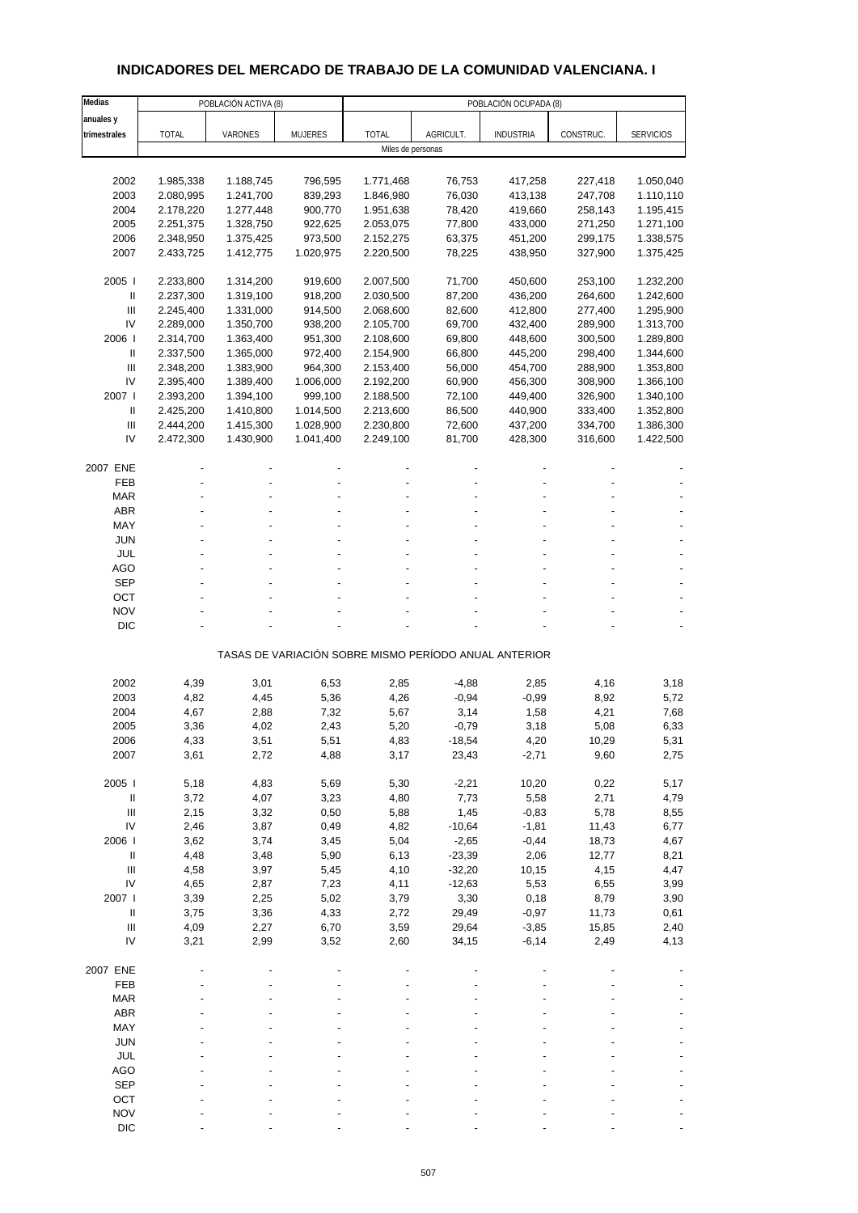# **INDICADORES DEL MERCADO DE TRABAJO DE LA COMUNIDAD VALENCIANA. I**

| Medias                                 |                        | POBLACIÓN ACTIVA (8)   |                      |                        |                                                       | POBLACIÓN OCUPADA (8) |                    |                        |
|----------------------------------------|------------------------|------------------------|----------------------|------------------------|-------------------------------------------------------|-----------------------|--------------------|------------------------|
| anuales y                              |                        |                        |                      |                        |                                                       |                       |                    |                        |
| trimestrales                           | <b>TOTAL</b>           | VARONES                | <b>MUJERES</b>       | <b>TOTAL</b>           | AGRICULT.                                             | <b>INDUSTRIA</b>      | CONSTRUC.          | <b>SERVICIOS</b>       |
|                                        |                        |                        |                      | Miles de personas      |                                                       |                       |                    |                        |
|                                        |                        |                        |                      |                        |                                                       |                       |                    |                        |
| 2002<br>2003                           | 1.985,338              | 1.188,745              | 796,595<br>839,293   | 1.771,468              | 76,753                                                | 417,258               | 227,418            | 1.050,040              |
| 2004                                   | 2.080,995<br>2.178,220 | 1.241,700<br>1.277,448 | 900,770              | 1.846,980<br>1.951,638 | 76,030<br>78,420                                      | 413,138<br>419,660    | 247,708<br>258,143 | 1.110,110<br>1.195,415 |
| 2005                                   | 2.251,375              | 1.328,750              | 922,625              | 2.053,075              | 77,800                                                | 433,000               | 271,250            | 1.271,100              |
| 2006                                   | 2.348,950              | 1.375,425              | 973,500              | 2.152,275              | 63,375                                                | 451,200               | 299,175            | 1.338,575              |
| 2007                                   | 2.433,725              | 1.412,775              | 1.020,975            | 2.220,500              | 78,225                                                | 438,950               | 327,900            | 1.375,425              |
|                                        |                        |                        |                      |                        |                                                       |                       |                    |                        |
| 2005                                   | 2.233,800              | 1.314,200              | 919,600              | 2.007,500              | 71,700                                                | 450,600               | 253,100            | 1.232,200              |
| $\mathbf{II}$                          | 2.237,300              | 1.319,100              | 918,200              | 2.030,500              | 87,200                                                | 436,200               | 264,600            | 1.242,600              |
| III                                    | 2.245,400              | 1.331,000              | 914,500              | 2.068,600              | 82,600                                                | 412,800               | 277,400            | 1.295,900              |
| IV                                     | 2.289,000              | 1.350,700              | 938,200              | 2.105,700              | 69,700                                                | 432,400               | 289,900            | 1.313,700              |
| 2006                                   | 2.314,700              | 1.363,400              | 951,300              | 2.108,600              | 69,800                                                | 448,600               | 300,500            | 1.289,800              |
| Ш                                      | 2.337,500              | 1.365,000              | 972,400              | 2.154,900              | 66,800                                                | 445,200               | 298,400            | 1.344,600              |
| III                                    | 2.348,200              | 1.383,900              | 964,300              | 2.153,400              | 56,000                                                | 454,700               | 288,900            | 1.353,800              |
| IV<br>2007 l                           | 2.395,400              | 1.389,400              | 1.006,000            | 2.192,200              | 60,900                                                | 456,300               | 308,900            | 1.366,100              |
| $\mathbf{II}$                          | 2.393,200<br>2.425,200 | 1.394,100<br>1.410,800 | 999,100<br>1.014,500 | 2.188,500<br>2.213,600 | 72,100<br>86,500                                      | 449,400<br>440,900    | 326,900<br>333,400 | 1.340,100<br>1.352,800 |
| $\ensuremath{\mathsf{III}}\xspace$     | 2.444,200              | 1.415,300              | 1.028,900            | 2.230,800              | 72,600                                                | 437,200               | 334,700            | 1.386,300              |
| IV                                     | 2.472,300              | 1.430,900              | 1.041,400            | 2.249,100              | 81,700                                                | 428,300               | 316,600            | 1.422,500              |
|                                        |                        |                        |                      |                        |                                                       |                       |                    |                        |
| 2007 ENE                               |                        |                        |                      |                        |                                                       |                       |                    |                        |
| FEB                                    |                        |                        |                      |                        |                                                       |                       |                    |                        |
| <b>MAR</b>                             |                        |                        |                      |                        |                                                       |                       |                    |                        |
| <b>ABR</b>                             |                        |                        |                      |                        |                                                       |                       |                    |                        |
| MAY                                    |                        |                        |                      |                        |                                                       |                       |                    |                        |
| <b>JUN</b>                             |                        |                        |                      |                        |                                                       |                       |                    |                        |
| JUL                                    |                        |                        |                      |                        |                                                       |                       |                    |                        |
| AGO                                    |                        |                        |                      |                        |                                                       |                       |                    |                        |
| <b>SEP</b>                             |                        |                        |                      |                        |                                                       |                       |                    |                        |
| OCT<br><b>NOV</b>                      |                        |                        |                      |                        |                                                       |                       |                    |                        |
| <b>DIC</b>                             |                        |                        |                      |                        |                                                       |                       |                    |                        |
|                                        |                        |                        |                      |                        |                                                       |                       |                    |                        |
|                                        |                        |                        |                      |                        | TASAS DE VARIACIÓN SOBRE MISMO PERÍODO ANUAL ANTERIOR |                       |                    |                        |
|                                        |                        |                        |                      |                        |                                                       |                       |                    |                        |
| 2002                                   | 4,39                   | 3,01                   | 6,53                 | 2,85                   | $-4,88$                                               | 2,85                  | 4,16               | 3,18                   |
| 2003                                   | 4,82                   | 4,45                   | 5,36                 | 4,26                   | $-0,94$                                               | $-0,99$               | 8,92               | 5,72                   |
| 2004                                   | 4,67                   | 2,88                   | 7,32                 | 5,67                   | 3,14                                                  | 1,58                  | 4,21               | 7,68                   |
| 2005                                   | 3,36                   | 4,02                   | 2,43                 | 5,20                   | $-0,79$                                               | 3,18                  | 5,08               | 6,33                   |
| 2006<br>2007                           | 4,33<br>3,61           | 3,51<br>2,72           | 5,51<br>4,88         | 4,83<br>3,17           | -18,54<br>23,43                                       | 4,20<br>$-2,71$       | 10,29<br>9,60      | 5,31<br>2,75           |
|                                        |                        |                        |                      |                        |                                                       |                       |                    |                        |
| 2005 l                                 | 5,18                   | 4,83                   | 5,69                 | 5,30                   | $-2,21$                                               | 10,20                 | 0,22               | 5,17                   |
| $\, \parallel$                         | 3,72                   | 4,07                   | 3,23                 | 4,80                   | 7,73                                                  | 5,58                  | 2,71               | 4,79                   |
| $\mathbf{III}$                         | 2,15                   | 3,32                   | 0,50                 | 5,88                   | 1,45                                                  | $-0,83$               | 5,78               | 8,55                   |
| IV                                     | 2,46                   | 3,87                   | 0,49                 | 4,82                   | $-10,64$                                              | $-1,81$               | 11,43              | 6,77                   |
| 2006                                   | 3,62                   | 3,74                   | 3,45                 | 5,04                   | $-2,65$                                               | $-0,44$               | 18,73              | 4,67                   |
| $\, \parallel$                         | 4,48                   | 3,48                   | 5,90                 | 6,13                   | $-23,39$                                              | 2,06                  | 12,77              | 8,21                   |
| $\ensuremath{\mathsf{III}}\xspace$     | 4,58                   | 3,97                   | 5,45                 | 4,10                   | $-32,20$                                              | 10,15                 | 4,15               | 4,47                   |
| IV                                     | 4,65                   | 2,87                   | 7,23                 | 4,11                   | $-12,63$                                              | 5,53                  | 6,55               | 3,99                   |
| 2007 l                                 | 3,39                   | 2,25                   | 5,02                 | 3,79                   | 3,30                                                  | 0,18                  | 8,79               | 3,90                   |
| $\, \parallel$                         | 3,75                   | 3,36                   | 4,33                 | 2,72                   | 29,49                                                 | $-0,97$               | 11,73              | 0,61                   |
| $\mathop{\mathrm{III}}\nolimits$<br>IV | 4,09<br>3,21           | 2,27<br>2,99           | 6,70<br>3,52         | 3,59<br>2,60           | 29,64<br>34,15                                        | $-3,85$<br>$-6, 14$   | 15,85<br>2,49      | 2,40<br>4,13           |
|                                        |                        |                        |                      |                        |                                                       |                       |                    |                        |
| 2007 ENE                               |                        |                        |                      |                        |                                                       |                       |                    |                        |
| FEB                                    |                        |                        |                      |                        |                                                       |                       |                    |                        |
| <b>MAR</b>                             |                        |                        |                      |                        |                                                       |                       |                    |                        |
| <b>ABR</b>                             |                        |                        |                      |                        |                                                       |                       |                    |                        |
| MAY                                    |                        |                        |                      |                        |                                                       |                       |                    |                        |
| <b>JUN</b>                             |                        |                        |                      |                        |                                                       |                       |                    |                        |
| <b>JUL</b>                             |                        |                        |                      |                        |                                                       |                       |                    |                        |
| <b>AGO</b>                             |                        |                        |                      |                        |                                                       |                       |                    |                        |
| <b>SEP</b>                             |                        |                        |                      |                        |                                                       |                       |                    |                        |
| OCT                                    |                        |                        |                      |                        |                                                       |                       |                    |                        |
| <b>NOV</b>                             |                        |                        |                      |                        |                                                       |                       |                    |                        |
| <b>DIC</b>                             |                        |                        |                      |                        |                                                       |                       |                    |                        |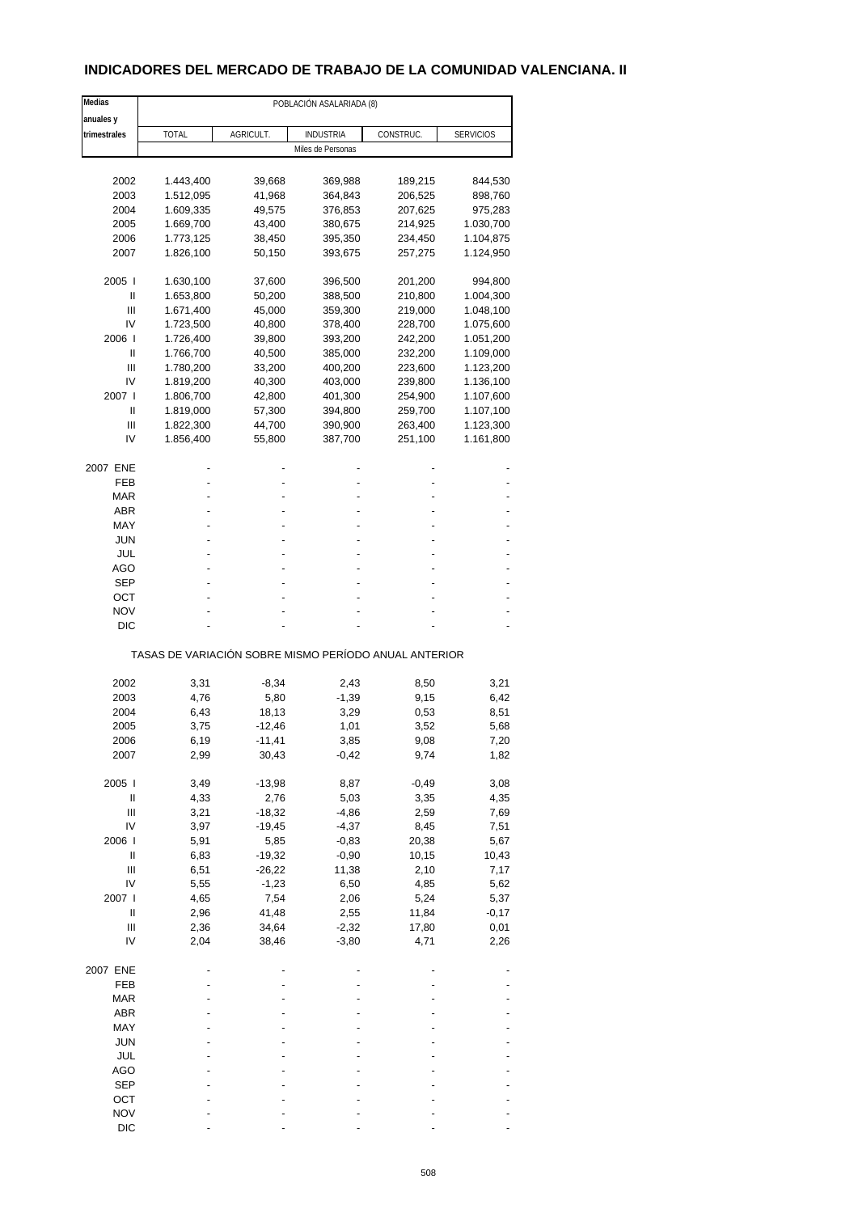# **INDICADORES DEL MERCADO DE TRABAJO DE LA COMUNIDAD VALENCIANA. II**

| Medias         |              | POBLACIÓN ASALARIADA (8) |                                                       |           |                  |  |  |  |
|----------------|--------------|--------------------------|-------------------------------------------------------|-----------|------------------|--|--|--|
| anuales y      |              |                          |                                                       |           |                  |  |  |  |
| trimestrales   | <b>TOTAL</b> | AGRICULT.                | <b>INDUSTRIA</b>                                      | CONSTRUC. | <b>SERVICIOS</b> |  |  |  |
|                |              |                          | Miles de Personas                                     |           |                  |  |  |  |
|                |              |                          |                                                       |           |                  |  |  |  |
| 2002           | 1.443,400    | 39,668                   | 369,988                                               | 189,215   | 844,530          |  |  |  |
| 2003           | 1.512,095    | 41,968                   | 364,843                                               | 206,525   | 898,760          |  |  |  |
| 2004           | 1.609,335    | 49,575                   | 376,853                                               | 207,625   | 975,283          |  |  |  |
| 2005           | 1.669,700    | 43,400                   |                                                       | 214,925   | 1.030,700        |  |  |  |
|                |              |                          | 380,675                                               |           |                  |  |  |  |
| 2006           | 1.773,125    | 38,450                   | 395,350                                               | 234,450   | 1.104,875        |  |  |  |
| 2007           | 1.826,100    | 50,150                   | 393,675                                               | 257,275   | 1.124,950        |  |  |  |
| 2005           | 1.630,100    | 37,600                   | 396,500                                               | 201,200   | 994,800          |  |  |  |
| Ш              | 1.653,800    | 50,200                   | 388,500                                               | 210,800   | 1.004,300        |  |  |  |
| Ш              | 1.671,400    | 45,000                   | 359,300                                               | 219,000   | 1.048,100        |  |  |  |
| IV             | 1.723,500    | 40,800                   | 378,400                                               | 228,700   | 1.075,600        |  |  |  |
| 2006           | 1.726,400    | 39,800                   | 393,200                                               | 242,200   | 1.051,200        |  |  |  |
| Ш              | 1.766,700    | 40,500                   | 385,000                                               | 232,200   | 1.109,000        |  |  |  |
| Ш              | 1.780,200    | 33,200                   | 400,200                                               | 223,600   | 1.123,200        |  |  |  |
| IV             | 1.819,200    | 40,300                   | 403,000                                               | 239,800   | 1.136,100        |  |  |  |
|                |              |                          |                                                       |           |                  |  |  |  |
| 2007 l         | 1.806,700    | 42,800                   | 401,300                                               | 254,900   | 1.107,600        |  |  |  |
| Ш              | 1.819,000    | 57,300                   | 394,800                                               | 259,700   | 1.107,100        |  |  |  |
| Ш              | 1.822,300    | 44,700                   | 390,900                                               | 263,400   | 1.123,300        |  |  |  |
| IV             | 1.856,400    | 55,800                   | 387,700                                               | 251,100   | 1.161,800        |  |  |  |
| 2007 ENE       |              |                          |                                                       |           |                  |  |  |  |
| FEB            |              |                          |                                                       |           |                  |  |  |  |
| MAR            |              |                          |                                                       |           |                  |  |  |  |
| ABR            |              |                          |                                                       |           |                  |  |  |  |
| MAY            |              |                          |                                                       |           |                  |  |  |  |
| JUN            |              |                          |                                                       |           |                  |  |  |  |
|                |              |                          |                                                       |           |                  |  |  |  |
| JUL            |              |                          |                                                       |           |                  |  |  |  |
| AGO            |              |                          |                                                       |           |                  |  |  |  |
| SEP            |              |                          |                                                       |           |                  |  |  |  |
| ОСТ            |              |                          |                                                       |           |                  |  |  |  |
| <b>NOV</b>     |              |                          |                                                       |           |                  |  |  |  |
| DIC            |              |                          |                                                       |           |                  |  |  |  |
|                |              |                          | TASAS DE VARIACIÓN SOBRE MISMO PERÍODO ANUAL ANTERIOR |           |                  |  |  |  |
| 2002           | 3,31         | $-8,34$                  | 2,43                                                  | 8,50      | 3,21             |  |  |  |
|                |              |                          |                                                       |           |                  |  |  |  |
| 2003           | 4,76         | 5,80                     | $-1,39$                                               | 9,15      | 6,42             |  |  |  |
| 2004           | 6,43         | 18,13                    | 3,29                                                  | 0,53      | 8,51             |  |  |  |
| 2005           | 3,75         | $-12,46$                 | 1,01                                                  | 3,52      | 5,68             |  |  |  |
| 2006           | 6,19         | -11,41                   | 3,85                                                  | 9,08      | 7,20             |  |  |  |
| 2007           | 2,99         | 30,43                    | $-0,42$                                               | 9,74      | 1,82             |  |  |  |
| 2005           | 3,49         | $-13,98$                 | 8,87                                                  | $-0,49$   | 3,08             |  |  |  |
| $\sf II$       | 4,33         | 2,76                     | 5,03                                                  | 3,35      | 4,35             |  |  |  |
| $\mathbf{III}$ | 3,21         | $-18,32$                 | $-4,86$                                               | 2,59      | 7,69             |  |  |  |
| IV             |              |                          |                                                       |           |                  |  |  |  |
|                | 3,97         | $-19,45$                 | $-4,37$                                               | 8,45      | 7,51             |  |  |  |
| 2006           | 5,91         | 5,85                     | $-0,83$                                               | 20,38     | 5,67             |  |  |  |
| $\sf II$       | 6,83         | $-19,32$                 | $-0,90$                                               | 10,15     | 10,43            |  |  |  |
| Ш              | 6,51         | $-26,22$                 | 11,38                                                 | 2,10      | 7,17             |  |  |  |
| IV             | 5,55         | $-1,23$                  | 6,50                                                  | 4,85      | 5,62             |  |  |  |
| 2007 l         | 4,65         | 7,54                     | 2,06                                                  | 5,24      | 5,37             |  |  |  |
| Ш              | 2,96         | 41,48                    | 2,55                                                  | 11,84     | $-0,17$          |  |  |  |
| Ш              | 2,36         | 34,64                    | $-2,32$                                               | 17,80     | 0,01             |  |  |  |
| IV             | 2,04         | 38,46                    | $-3,80$                                               | 4,71      | 2,26             |  |  |  |
|                |              |                          |                                                       |           |                  |  |  |  |
| 2007 ENE       |              |                          |                                                       |           |                  |  |  |  |
| FEB            |              |                          |                                                       |           |                  |  |  |  |
| <b>MAR</b>     |              |                          |                                                       |           |                  |  |  |  |
| ABR            |              |                          |                                                       |           |                  |  |  |  |
| MAY            |              |                          |                                                       |           |                  |  |  |  |
| <b>JUN</b>     |              |                          |                                                       |           |                  |  |  |  |
| JUL            |              |                          |                                                       |           |                  |  |  |  |
| AGO            |              |                          |                                                       |           |                  |  |  |  |
| <b>SEP</b>     |              |                          |                                                       |           |                  |  |  |  |
| OCT            |              |                          |                                                       |           |                  |  |  |  |
|                |              |                          |                                                       |           |                  |  |  |  |
| <b>NOV</b>     |              |                          |                                                       |           |                  |  |  |  |
| <b>DIC</b>     |              |                          |                                                       |           |                  |  |  |  |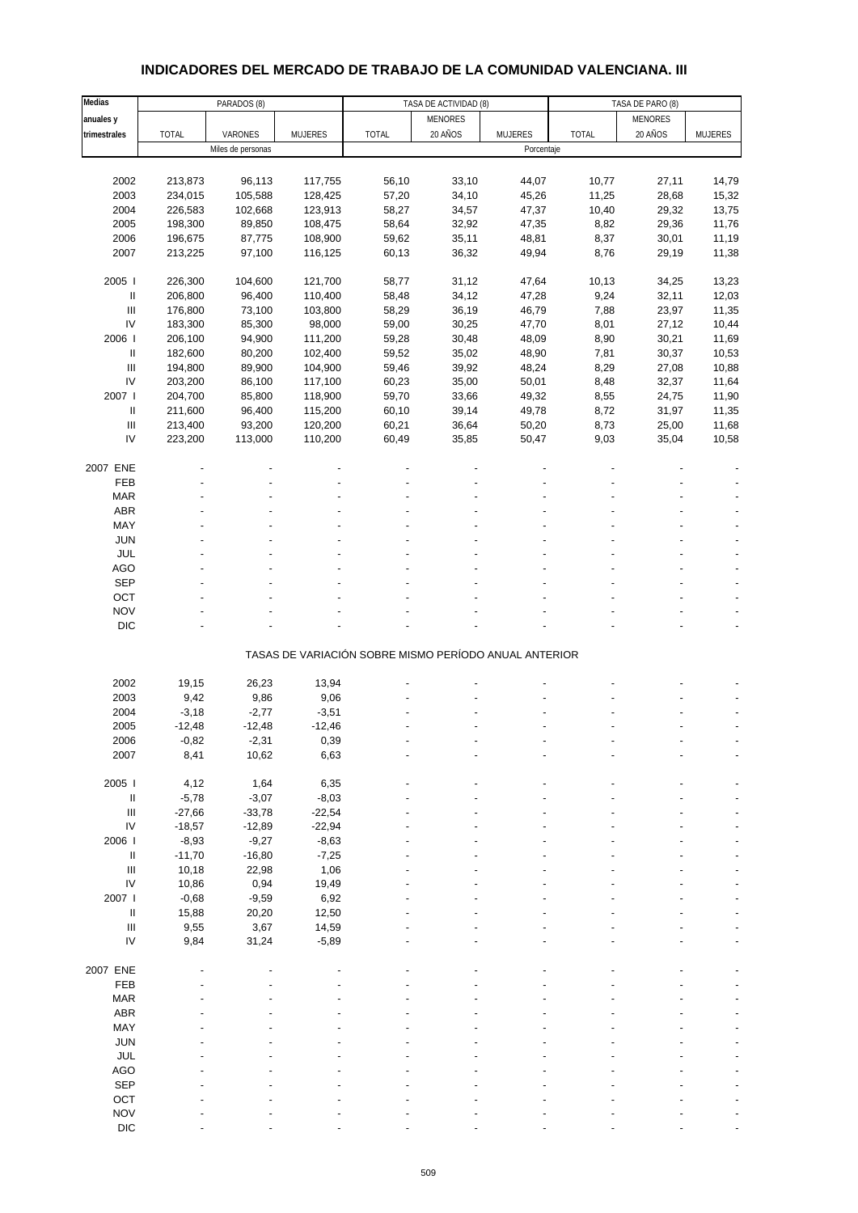# **INDICADORES DEL MERCADO DE TRABAJO DE LA COMUNIDAD VALENCIANA. III**

| Medias                             |              | PARADOS (8)       |                | TASA DE ACTIVIDAD (8)<br>TASA DE PARO (8)             |                |                |              |                |                |
|------------------------------------|--------------|-------------------|----------------|-------------------------------------------------------|----------------|----------------|--------------|----------------|----------------|
| anuales y                          |              |                   |                |                                                       | <b>MENORES</b> |                |              | <b>MENORES</b> |                |
| trimestrales                       | <b>TOTAL</b> | VARONES           | <b>MUJERES</b> | <b>TOTAL</b>                                          | 20 AÑOS        | <b>MUJERES</b> | <b>TOTAL</b> | 20 AÑOS        | <b>MUJERES</b> |
|                                    |              | Miles de personas |                |                                                       |                | Porcentaje     |              |                |                |
|                                    |              |                   |                |                                                       |                |                |              |                |                |
| 2002                               | 213,873      | 96,113            | 117,755        | 56,10                                                 | 33,10          | 44,07          | 10,77        | 27,11          | 14,79          |
| 2003                               | 234,015      | 105,588           | 128,425        | 57,20                                                 | 34,10          | 45,26          | 11,25        | 28,68          | 15,32          |
| 2004                               | 226,583      | 102,668           | 123,913        | 58,27                                                 | 34,57          | 47,37          | 10,40        | 29,32          | 13,75          |
| 2005                               | 198,300      | 89,850            | 108,475        | 58,64                                                 | 32,92          | 47,35          | 8,82         | 29,36          | 11,76          |
| 2006                               | 196,675      | 87,775            | 108,900        | 59,62                                                 | 35,11          | 48,81          | 8,37         | 30,01          | 11,19          |
| 2007                               | 213,225      | 97,100            | 116,125        | 60,13                                                 | 36,32          | 49,94          | 8,76         | 29,19          | 11,38          |
|                                    |              |                   |                |                                                       |                |                |              |                |                |
| 2005 l                             | 226,300      | 104,600           | 121,700        | 58,77                                                 | 31,12          | 47,64          | 10,13        | 34,25          | 13,23          |
| Ш                                  | 206,800      | 96,400            | 110,400        | 58,48                                                 | 34,12          | 47,28          | 9,24         | 32,11          | 12,03          |
| $\ensuremath{\mathsf{III}}\xspace$ | 176,800      | 73,100            | 103,800        | 58,29                                                 | 36,19          | 46,79          | 7,88         | 23,97          | 11,35          |
| IV                                 |              |                   |                |                                                       |                |                |              |                |                |
| 2006                               | 183,300      | 85,300            | 98,000         | 59,00                                                 | 30,25          | 47,70          | 8,01         | 27,12          | 10,44          |
|                                    | 206,100      | 94,900            | 111,200        | 59,28                                                 | 30,48          | 48,09          | 8,90         | 30,21          | 11,69          |
| Ш                                  | 182,600      | 80,200            | 102,400        | 59,52                                                 | 35,02          | 48,90          | 7,81         | 30,37          | 10,53          |
| $\ensuremath{\mathsf{III}}\xspace$ | 194,800      | 89,900            | 104,900        | 59,46                                                 | 39,92          | 48,24          | 8,29         | 27,08          | 10,88          |
| IV                                 | 203,200      | 86,100            | 117,100        | 60,23                                                 | 35,00          | 50,01          | 8,48         | 32,37          | 11,64          |
| 2007 l                             | 204,700      | 85,800            | 118,900        | 59,70                                                 | 33,66          | 49,32          | 8,55         | 24,75          | 11,90          |
| Ш                                  | 211,600      | 96,400            | 115,200        | 60,10                                                 | 39,14          | 49,78          | 8,72         | 31,97          | 11,35          |
| $\ensuremath{\mathsf{III}}\xspace$ | 213,400      | 93,200            | 120,200        | 60,21                                                 | 36,64          | 50,20          | 8,73         | 25,00          | 11,68          |
| IV                                 | 223,200      | 113,000           | 110,200        | 60,49                                                 | 35,85          | 50,47          | 9,03         | 35,04          | 10,58          |
|                                    |              |                   |                |                                                       |                |                |              |                |                |
| 2007 ENE                           |              |                   |                |                                                       |                |                |              |                |                |
| FEB                                |              |                   |                |                                                       |                |                |              |                |                |
| <b>MAR</b>                         |              |                   |                |                                                       |                |                |              |                |                |
| ABR                                |              |                   |                |                                                       |                |                |              |                |                |
| MAY                                |              |                   |                |                                                       |                |                |              |                |                |
| <b>JUN</b>                         |              |                   |                |                                                       |                |                |              |                |                |
| JUL                                |              |                   |                |                                                       |                |                |              |                |                |
| <b>AGO</b>                         |              |                   |                |                                                       |                |                |              |                |                |
| SEP                                |              |                   |                |                                                       |                |                |              |                |                |
| OCT                                |              |                   |                |                                                       |                |                |              |                |                |
| <b>NOV</b>                         |              |                   |                |                                                       |                |                |              |                |                |
| <b>DIC</b>                         |              |                   |                |                                                       |                |                |              |                |                |
|                                    |              |                   |                |                                                       |                |                |              |                |                |
|                                    |              |                   |                | TASAS DE VARIACIÓN SOBRE MISMO PERÍODO ANUAL ANTERIOR |                |                |              |                |                |
|                                    |              |                   |                |                                                       |                |                |              |                |                |
| 2002                               | 19,15        | 26,23             | 13,94          |                                                       |                |                |              |                |                |
| 2003                               | 9,42         | 9,86              | 9,06           |                                                       |                |                |              |                |                |
| 2004                               | $-3,18$      | $-2,77$           | $-3,51$        |                                                       |                |                |              |                |                |
| 2005                               | $-12,48$     | $-12,48$          | $-12,46$       |                                                       |                |                |              |                |                |
| 2006                               | $-0,82$      | $-2,31$           | 0,39           |                                                       |                |                |              |                |                |
| 2007                               | 8,41         | 10,62             | 6,63           |                                                       |                |                |              |                |                |
|                                    |              |                   |                |                                                       |                |                |              |                |                |
| 2005 l                             | 4,12         | 1,64              | 6,35           |                                                       |                |                |              |                |                |
| Ш                                  | $-5,78$      | $-3,07$           | $-8,03$        |                                                       |                |                |              |                |                |
| $\ensuremath{\mathsf{III}}\xspace$ | $-27,66$     | $-33,78$          | $-22,54$       |                                                       |                |                |              |                |                |
| ${\sf IV}$                         | $-18,57$     | $-12,89$          | $-22,94$       |                                                       |                |                |              |                |                |
| 2006                               | $-8,93$      | $-9,27$           | $-8,63$        |                                                       |                |                |              |                |                |
| Ш                                  | $-11,70$     | $-16,80$          | $-7,25$        |                                                       |                |                |              |                |                |
| $\ensuremath{\mathsf{III}}\xspace$ | 10,18        | 22,98             | 1,06           |                                                       |                |                |              |                |                |
| IV                                 | 10,86        | 0,94              | 19,49          |                                                       |                |                |              |                |                |
| 2007 l                             | $-0,68$      | $-9,59$           | 6,92           |                                                       |                |                |              |                |                |
| $\ensuremath{\mathsf{II}}$         | 15,88        | 20,20             | 12,50          |                                                       |                |                |              |                |                |
| $\ensuremath{\mathsf{III}}\xspace$ | 9,55         | 3,67              | 14,59          |                                                       |                |                |              |                |                |
| IV                                 | 9,84         | 31,24             | $-5,89$        |                                                       |                |                |              |                |                |
|                                    |              |                   |                |                                                       |                |                |              |                |                |
| 2007 ENE                           |              |                   |                |                                                       |                |                |              |                |                |
| FEB                                |              |                   |                |                                                       |                |                |              |                |                |
| <b>MAR</b>                         |              |                   |                |                                                       |                |                |              |                |                |
| ABR                                |              |                   |                |                                                       |                |                |              |                |                |
| MAY                                |              |                   |                |                                                       |                |                |              |                |                |
| JUN                                |              |                   |                |                                                       |                |                |              |                |                |
| JUL                                |              |                   |                |                                                       |                |                |              |                |                |
| AGO                                |              |                   |                |                                                       |                |                |              |                |                |
| <b>SEP</b>                         |              |                   |                |                                                       |                |                |              |                |                |
| OCT                                |              |                   |                |                                                       |                |                |              |                |                |
| <b>NOV</b>                         |              |                   |                |                                                       |                |                |              |                |                |
| DIC                                |              |                   |                |                                                       |                |                |              |                |                |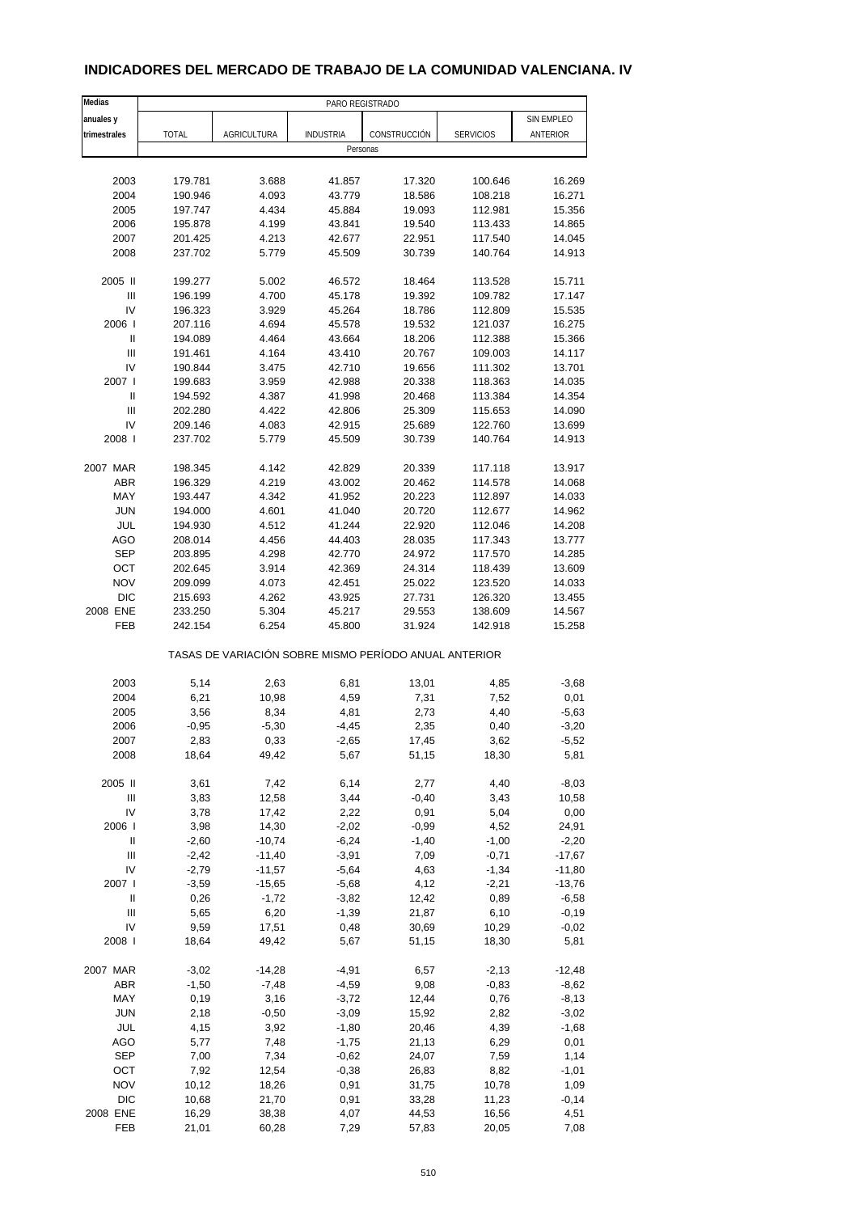# **INDICADORES DEL MERCADO DE TRABAJO DE LA COMUNIDAD VALENCIANA. IV**

| Medias                             |              |             | PARO REGISTRADO                                       |              |                  |                   |
|------------------------------------|--------------|-------------|-------------------------------------------------------|--------------|------------------|-------------------|
| anuales y                          |              |             |                                                       |              |                  | <b>SIN EMPLEO</b> |
| trimestrales                       | <b>TOTAL</b> | AGRICULTURA | <b>INDUSTRIA</b>                                      | CONSTRUCCIÓN | <b>SERVICIOS</b> | ANTERIOR          |
|                                    |              |             | Personas                                              |              |                  |                   |
|                                    |              |             |                                                       |              |                  |                   |
| 2003                               | 179.781      | 3.688       | 41.857                                                | 17.320       | 100.646          | 16.269            |
| 2004                               | 190.946      | 4.093       | 43.779                                                | 18.586       | 108.218          | 16.271            |
| 2005                               | 197.747      | 4.434       | 45.884                                                | 19.093       | 112.981          | 15.356            |
| 2006                               | 195.878      | 4.199       | 43.841                                                | 19.540       | 113.433          | 14.865            |
| 2007                               | 201.425      | 4.213       | 42.677                                                | 22.951       | 117.540          | 14.045            |
| 2008                               | 237.702      | 5.779       | 45.509                                                | 30.739       | 140.764          | 14.913            |
|                                    |              |             |                                                       |              |                  |                   |
| 2005 II                            | 199.277      | 5.002       | 46.572                                                | 18.464       | 113.528          | 15.711            |
| $\mathsf{III}$                     | 196.199      | 4.700       | 45.178                                                | 19.392       | 109.782          | 17.147            |
| IV                                 | 196.323      | 3.929       | 45.264                                                | 18.786       | 112.809          | 15.535            |
| 2006                               | 207.116      | 4.694       | 45.578                                                | 19.532       | 121.037          | 16.275            |
| $\ensuremath{\mathsf{II}}$         | 194.089      | 4.464       | 43.664                                                | 18.206       | 112.388          | 15.366            |
| $\mathsf{III}$                     | 191.461      | 4.164       | 43.410                                                | 20.767       | 109.003          | 14.117            |
| IV                                 | 190.844      | 3.475       | 42.710                                                | 19.656       | 111.302          | 13.701            |
| 2007 l                             | 199.683      | 3.959       | 42.988                                                | 20.338       | 118.363          | 14.035            |
| $\ensuremath{\mathsf{II}}$         | 194.592      | 4.387       | 41.998                                                | 20.468       | 113.384          | 14.354            |
| Ш                                  | 202.280      | 4.422       | 42.806                                                | 25.309       | 115.653          | 14.090            |
| IV                                 | 209.146      | 4.083       | 42.915                                                | 25.689       | 122.760          | 13.699            |
| 2008                               | 237.702      | 5.779       | 45.509                                                | 30.739       | 140.764          | 14.913            |
|                                    |              |             |                                                       |              |                  |                   |
| 2007 MAR                           | 198.345      | 4.142       | 42.829                                                | 20.339       | 117.118          | 13.917            |
| <b>ABR</b>                         | 196.329      | 4.219       | 43.002                                                | 20.462       | 114.578          | 14.068            |
| MAY                                | 193.447      | 4.342       | 41.952                                                | 20.223       | 112.897          | 14.033            |
| <b>JUN</b>                         | 194.000      | 4.601       | 41.040                                                | 20.720       | 112.677          | 14.962            |
| JUL                                | 194.930      | 4.512       | 41.244                                                | 22.920       | 112.046          | 14.208            |
| <b>AGO</b>                         | 208.014      | 4.456       | 44.403                                                | 28.035       | 117.343          | 13.777            |
| <b>SEP</b>                         | 203.895      | 4.298       | 42.770                                                | 24.972       | 117.570          | 14.285            |
| OCT                                | 202.645      | 3.914       | 42.369                                                | 24.314       | 118.439          | 13.609            |
| <b>NOV</b>                         | 209.099      | 4.073       | 42.451                                                | 25.022       | 123.520          | 14.033            |
| <b>DIC</b>                         | 215.693      | 4.262       | 43.925                                                | 27.731       | 126.320          | 13.455            |
| 2008 ENE                           | 233.250      | 5.304       | 45.217                                                | 29.553       | 138.609          | 14.567            |
| FEB                                | 242.154      | 6.254       | 45.800                                                | 31.924       | 142.918          | 15.258            |
|                                    |              |             | TASAS DE VARIACIÓN SOBRE MISMO PERÍODO ANUAL ANTERIOR |              |                  |                   |
|                                    |              |             |                                                       |              |                  |                   |
| 2003                               | 5,14         | 2,63        | 6,81                                                  | 13,01        | 4,85             | $-3,68$           |
| 2004                               | 6,21         | 10,98       | 4,59                                                  | 7,31         | 7,52             | 0,01              |
| 2005                               | 3,56         | 8,34        | 4,81                                                  | 2,73         | 4,40             | $-5,63$           |
| 2006                               | $-0,95$      | $-5,30$     | $-4,45$                                               | 2,35         | 0,40             | $-3,20$           |
| 2007                               | 2,83         | 0,33        | -2,65                                                 | 17,45        | 3,62             | $-5,52$           |
| 2008                               | 18,64        | 49,42       | 5,67                                                  | 51,15        | 18,30            | 5,81              |
|                                    |              |             |                                                       |              |                  |                   |
| 2005 II                            | 3,61         | 7,42        | 6,14                                                  | 2,77         | 4,40             | $-8,03$           |
| $\ensuremath{\mathsf{III}}\xspace$ | 3,83         | 12,58       | 3,44                                                  | $-0,40$      | 3,43             | 10,58             |
| IV                                 | 3,78         | 17,42       | 2,22                                                  | 0,91         | 5,04             | 0,00              |
| 2006                               | 3,98         | 14,30       | $-2,02$                                               | $-0.99$      | 4,52             | 24,91             |
| Ш                                  | $-2,60$      | $-10,74$    | $-6,24$                                               | $-1,40$      | $-1,00$          | $-2,20$           |
| Ш                                  | $-2,42$      | $-11,40$    | $-3,91$                                               | 7,09         | $-0,71$          | $-17,67$          |
| IV                                 | $-2,79$      | $-11,57$    | $-5,64$                                               | 4,63         | $-1,34$          | $-11,80$          |
| 2007 l                             | $-3,59$      | $-15,65$    | $-5,68$                                               | 4,12         | $-2,21$          | $-13,76$          |
| Ш                                  | 0,26         | $-1,72$     | $-3,82$                                               | 12,42        | 0,89             | $-6,58$           |
| $\ensuremath{\mathsf{III}}\xspace$ | 5,65         | 6,20        | $-1,39$                                               | 21,87        | 6,10             | $-0,19$           |
| IV                                 | 9,59         | 17,51       | 0,48                                                  | 30,69        | 10,29            | $-0,02$           |
| 2008                               | 18,64        | 49,42       | 5,67                                                  | 51,15        | 18,30            | 5,81              |
| 2007 MAR                           | $-3,02$      | -14,28      | $-4,91$                                               | 6,57         | $-2,13$          | $-12,48$          |
| ABR                                | $-1,50$      | $-7,48$     | $-4,59$                                               | 9,08         | $-0,83$          | $-8,62$           |
| MAY                                | 0,19         | 3,16        | $-3,72$                                               | 12,44        | 0,76             | $-8,13$           |
| <b>JUN</b>                         | 2,18         | $-0,50$     | $-3,09$                                               | 15,92        | 2,82             | $-3,02$           |
| JUL                                | 4,15         | 3,92        | $-1,80$                                               | 20,46        | 4,39             | $-1,68$           |
| AGO                                | 5,77         | 7,48        | $-1,75$                                               | 21,13        | 6,29             | 0,01              |
| <b>SEP</b>                         | 7,00         | 7,34        | $-0,62$                                               | 24,07        | 7,59             | 1,14              |
| OCT                                | 7,92         | 12,54       | $-0,38$                                               | 26,83        | 8,82             | $-1,01$           |
| <b>NOV</b>                         | 10,12        | 18,26       | 0,91                                                  | 31,75        | 10,78            | 1,09              |
| DIC                                | 10,68        | 21,70       | 0,91                                                  | 33,28        | 11,23            | $-0,14$           |
| 2008 ENE                           | 16,29        | 38,38       | 4,07                                                  | 44,53        | 16,56            | 4,51              |
| FEB                                | 21,01        | 60,28       | 7,29                                                  | 57,83        | 20,05            | 7,08              |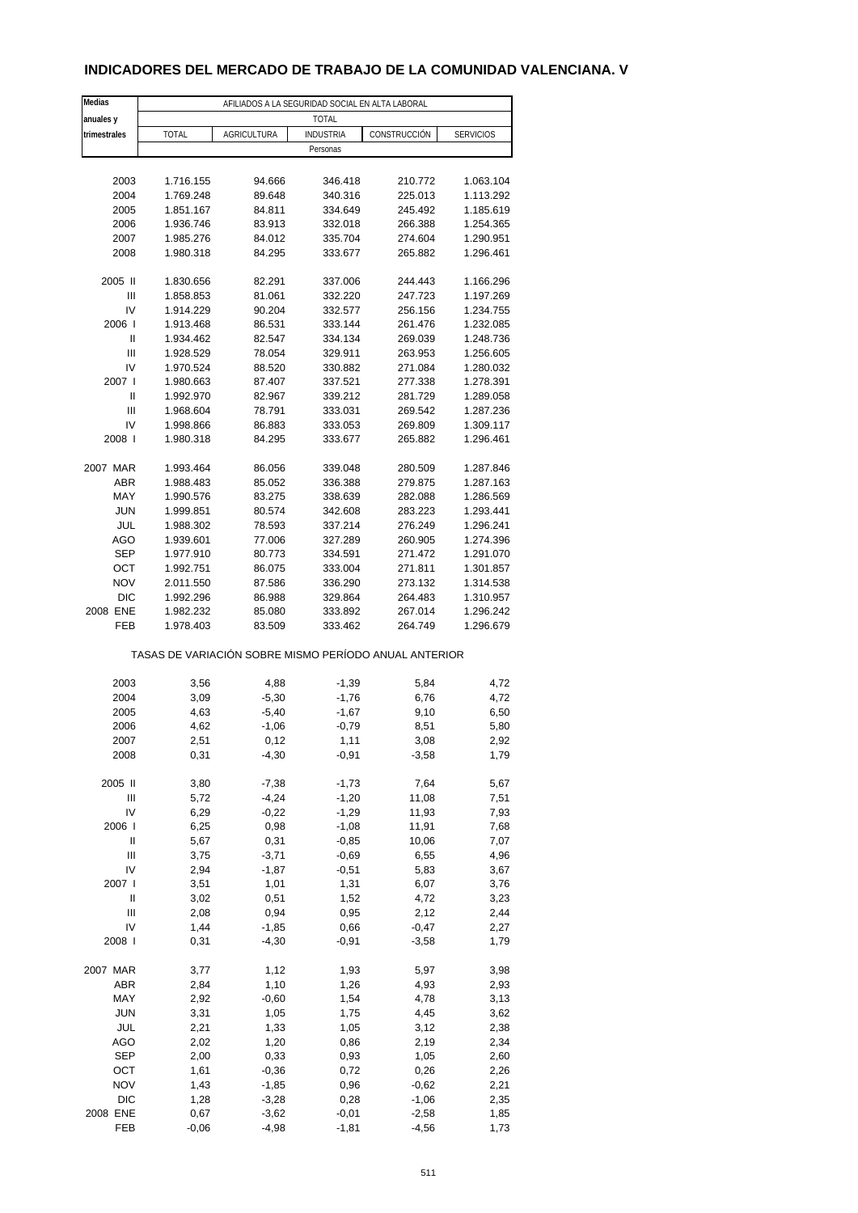# **INDICADORES DEL MERCADO DE TRABAJO DE LA COMUNIDAD VALENCIANA. V**

| Medias       | AFILIADOS A LA SEGURIDAD SOCIAL EN ALTA LABORAL       |             |                  |              |                  |  |  |
|--------------|-------------------------------------------------------|-------------|------------------|--------------|------------------|--|--|
| anuales y    |                                                       |             | <b>TOTAL</b>     |              |                  |  |  |
| trimestrales | <b>TOTAL</b>                                          | AGRICULTURA | <b>INDUSTRIA</b> | CONSTRUCCIÓN | <b>SERVICIOS</b> |  |  |
|              |                                                       |             | Personas         |              |                  |  |  |
|              |                                                       |             |                  |              |                  |  |  |
| 2003         | 1.716.155                                             | 94.666      | 346.418          | 210.772      | 1.063.104        |  |  |
| 2004         | 1.769.248                                             | 89.648      | 340.316          | 225.013      | 1.113.292        |  |  |
| 2005         | 1.851.167                                             | 84.811      | 334.649          | 245.492      | 1.185.619        |  |  |
| 2006         | 1.936.746                                             | 83.913      | 332.018          | 266.388      | 1.254.365        |  |  |
| 2007         | 1.985.276                                             | 84.012      | 335.704          | 274.604      | 1.290.951        |  |  |
| 2008         | 1.980.318                                             | 84.295      | 333.677          | 265.882      | 1.296.461        |  |  |
| 2005 II      | 1.830.656                                             | 82.291      | 337.006          | 244.443      | 1.166.296        |  |  |
| Ш            | 1.858.853                                             | 81.061      | 332.220          | 247.723      | 1.197.269        |  |  |
| IV           | 1.914.229                                             | 90.204      | 332.577          | 256.156      | 1.234.755        |  |  |
| 2006         | 1.913.468                                             | 86.531      | 333.144          | 261.476      | 1.232.085        |  |  |
| Ш            | 1.934.462                                             | 82.547      | 334.134          | 269.039      | 1.248.736        |  |  |
| Ш            | 1.928.529                                             | 78.054      | 329.911          | 263.953      | 1.256.605        |  |  |
| IV           | 1.970.524                                             | 88.520      | 330.882          | 271.084      | 1.280.032        |  |  |
| 2007 l       | 1.980.663                                             | 87.407      | 337.521          | 277.338      | 1.278.391        |  |  |
| Ш            | 1.992.970                                             | 82.967      | 339.212          | 281.729      | 1.289.058        |  |  |
| Ш            | 1.968.604                                             | 78.791      | 333.031          | 269.542      | 1.287.236        |  |  |
| IV           | 1.998.866                                             | 86.883      | 333.053          | 269.809      | 1.309.117        |  |  |
| 2008         | 1.980.318                                             | 84.295      | 333.677          | 265.882      | 1.296.461        |  |  |
| 2007 MAR     | 1.993.464                                             | 86.056      | 339.048          | 280.509      | 1.287.846        |  |  |
| <b>ABR</b>   | 1.988.483                                             | 85.052      | 336.388          | 279.875      | 1.287.163        |  |  |
| MAY          | 1.990.576                                             | 83.275      | 338.639          | 282.088      | 1.286.569        |  |  |
| <b>JUN</b>   | 1.999.851                                             | 80.574      | 342.608          | 283.223      | 1.293.441        |  |  |
| JUL          | 1.988.302                                             | 78.593      | 337.214          | 276.249      | 1.296.241        |  |  |
| AGO          | 1.939.601                                             | 77.006      | 327.289          | 260.905      | 1.274.396        |  |  |
| <b>SEP</b>   | 1.977.910                                             | 80.773      | 334.591          | 271.472      | 1.291.070        |  |  |
| OCT          | 1.992.751                                             | 86.075      | 333.004          | 271.811      | 1.301.857        |  |  |
| <b>NOV</b>   | 2.011.550                                             | 87.586      | 336.290          | 273.132      | 1.314.538        |  |  |
| DIC          | 1.992.296                                             | 86.988      | 329.864          | 264.483      | 1.310.957        |  |  |
| 2008 ENE     | 1.982.232                                             | 85.080      | 333.892          | 267.014      | 1.296.242        |  |  |
| FEB          | 1.978.403                                             | 83.509      | 333.462          | 264.749      | 1.296.679        |  |  |
|              | TASAS DE VARIACIÓN SOBRE MISMO PERÍODO ANUAL ANTERIOR |             |                  |              |                  |  |  |
| 2003         | 3,56                                                  | 4,88        | $-1,39$          | 5,84         | 4,72             |  |  |
| 2004         | 3,09                                                  | $-5,30$     | $-1,76$          | 6,76         | 4,72             |  |  |
| 2005         | 4,63                                                  | $-5,40$     | $-1,67$          | 9,10         | 6,50             |  |  |
| 2006         | 4,62                                                  | $-1,06$     | $-0,79$          | 8,51         | 5,80             |  |  |
| 2007         | 2,51                                                  | 0,12        | 1,11             | 3,08         | 2,92             |  |  |
| 2008         | 0,31                                                  | $-4,30$     | $-0,91$          | $-3,58$      | 1,79             |  |  |
|              |                                                       |             |                  |              |                  |  |  |
| 2005 II      | 3,80                                                  | $-7,38$     | $-1,73$          | 7,64         | 5,67             |  |  |
| Ш            | 5,72                                                  | $-4,24$     | $-1,20$          | 11,08        | 7,51             |  |  |
| IV           | 6,29                                                  | $-0,22$     | $-1,29$          | 11,93        | 7,93             |  |  |
| 2006         | 6,25                                                  | 0,98        | $-1,08$          | 11,91        | 7,68             |  |  |
| Ш            | 5,67                                                  | 0,31        | $-0,85$          | 10,06        | 7,07             |  |  |
| Ш            | 3,75                                                  | $-3,71$     | $-0,69$          | 6,55         | 4,96             |  |  |
| IV           | 2,94                                                  | $-1,87$     | $-0,51$          | 5,83         | 3,67             |  |  |
| 2007 l       | 3,51                                                  | 1,01        | 1,31             | 6,07         | 3,76             |  |  |
| Ш            | 3,02                                                  | 0,51        | 1,52             | 4,72         | 3,23             |  |  |
| Ш            | 2,08                                                  | 0,94        | 0,95             | 2,12         | 2,44             |  |  |
| IV           | 1,44                                                  | $-1,85$     | 0,66             | $-0,47$      | 2,27             |  |  |
| 2008         | 0,31                                                  | $-4,30$     | $-0,91$          | $-3,58$      | 1,79             |  |  |
| 2007 MAR     | 3,77                                                  | 1,12        | 1,93             | 5,97         | 3,98             |  |  |
| ABR          | 2,84                                                  | 1,10        | 1,26             | 4,93         | 2,93             |  |  |
| MAY          | 2,92                                                  | $-0,60$     | 1,54             | 4,78         | 3,13             |  |  |
| <b>JUN</b>   | 3,31                                                  | 1,05        | 1,75             | 4,45         | 3,62             |  |  |
| JUL          | 2,21                                                  | 1,33        | 1,05             | 3,12         | 2,38             |  |  |
| AGO          | 2,02                                                  | 1,20        | 0,86             | 2,19         | 2,34             |  |  |
| <b>SEP</b>   | 2,00                                                  | 0,33        | 0,93             | 1,05         | 2,60             |  |  |
| OCT          | 1,61                                                  | $-0,36$     | 0,72             | 0,26         | 2,26             |  |  |
| <b>NOV</b>   | 1,43                                                  | $-1,85$     | 0,96             | $-0,62$      | 2,21             |  |  |
| DIC          | 1,28                                                  | $-3,28$     | 0,28             | $-1,06$      | 2,35             |  |  |
| 2008 ENE     | 0,67                                                  | $-3,62$     | $-0,01$          | $-2,58$      | 1,85             |  |  |
| FEB          | $-0,06$                                               | $-4,98$     | $-1,81$          | $-4,56$      | 1,73             |  |  |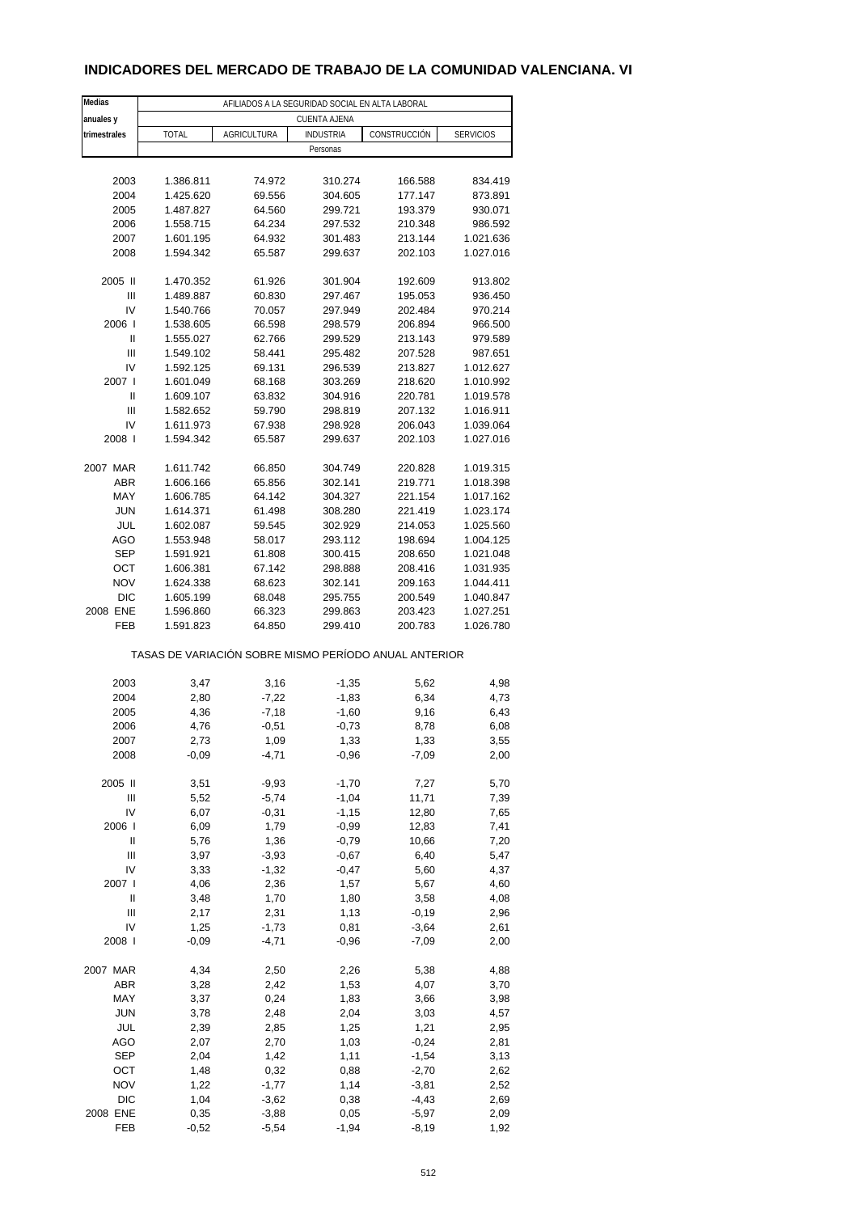# **INDICADORES DEL MERCADO DE TRABAJO DE LA COMUNIDAD VALENCIANA. VI**

| Medias            | AFILIADOS A LA SEGURIDAD SOCIAL EN ALTA LABORAL       |                    |                    |                    |                  |  |  |  |
|-------------------|-------------------------------------------------------|--------------------|--------------------|--------------------|------------------|--|--|--|
| anuales y         | <b>CUENTA AJENA</b>                                   |                    |                    |                    |                  |  |  |  |
| trimestrales      | TOTAL                                                 | <b>AGRICULTURA</b> | <b>INDUSTRIA</b>   | CONSTRUCCIÓN       | <b>SERVICIOS</b> |  |  |  |
|                   |                                                       |                    | Personas           |                    |                  |  |  |  |
|                   |                                                       |                    |                    |                    |                  |  |  |  |
| 2003              | 1.386.811                                             | 74.972             | 310.274            | 166.588            | 834.419          |  |  |  |
| 2004              | 1.425.620                                             | 69.556             | 304.605            | 177.147            | 873.891          |  |  |  |
| 2005              | 1.487.827                                             | 64.560             | 299.721            | 193.379            | 930.071          |  |  |  |
| 2006              | 1.558.715                                             | 64.234             | 297.532            | 210.348            | 986.592          |  |  |  |
| 2007              | 1.601.195<br>1.594.342                                | 64.932             | 301.483            | 213.144            | 1.021.636        |  |  |  |
| 2008              |                                                       | 65.587             | 299.637            | 202.103            | 1.027.016        |  |  |  |
| 2005 II           | 1.470.352                                             | 61.926             | 301.904            | 192.609            | 913.802          |  |  |  |
| Ш                 | 1.489.887                                             | 60.830             | 297.467            | 195.053            | 936.450          |  |  |  |
| IV                | 1.540.766                                             | 70.057             | 297.949            | 202.484            | 970.214          |  |  |  |
| 2006              | 1.538.605                                             | 66.598             | 298.579            | 206.894            | 966.500          |  |  |  |
| Ш                 | 1.555.027                                             | 62.766             | 299.529            | 213.143            | 979.589          |  |  |  |
| Ш                 | 1.549.102                                             | 58.441             | 295.482            | 207.528            | 987.651          |  |  |  |
| IV                | 1.592.125                                             | 69.131             | 296.539            | 213.827            | 1.012.627        |  |  |  |
| 2007 l            | 1.601.049                                             | 68.168             | 303.269            | 218.620            | 1.010.992        |  |  |  |
| Ш                 | 1.609.107                                             | 63.832             | 304.916            | 220.781            | 1.019.578        |  |  |  |
| Ш                 | 1.582.652                                             | 59.790             | 298.819            | 207.132            | 1.016.911        |  |  |  |
| IV<br>2008        | 1.611.973                                             | 67.938             | 298.928            | 206.043<br>202.103 | 1.039.064        |  |  |  |
|                   | 1.594.342                                             | 65.587             | 299.637            |                    | 1.027.016        |  |  |  |
| 2007 MAR          | 1.611.742                                             | 66.850             | 304.749            | 220.828            | 1.019.315        |  |  |  |
| <b>ABR</b>        | 1.606.166                                             | 65.856             | 302.141            | 219.771            | 1.018.398        |  |  |  |
| MAY               | 1.606.785                                             | 64.142             | 304.327            | 221.154            | 1.017.162        |  |  |  |
| <b>JUN</b>        | 1.614.371                                             | 61.498             | 308.280            | 221.419            | 1.023.174        |  |  |  |
| JUL               | 1.602.087                                             | 59.545             | 302.929            | 214.053            | 1.025.560        |  |  |  |
| AGO               | 1.553.948                                             | 58.017             | 293.112            | 198.694            | 1.004.125        |  |  |  |
| <b>SEP</b>        | 1.591.921                                             | 61.808             | 300.415            | 208.650            | 1.021.048        |  |  |  |
| OCT               | 1.606.381                                             | 67.142             | 298.888            | 208.416            | 1.031.935        |  |  |  |
| <b>NOV</b>        | 1.624.338                                             | 68.623             | 302.141            | 209.163            | 1.044.411        |  |  |  |
| <b>DIC</b>        | 1.605.199                                             | 68.048             | 295.755            | 200.549            | 1.040.847        |  |  |  |
| 2008 ENE          | 1.596.860                                             | 66.323             | 299.863            | 203.423            | 1.027.251        |  |  |  |
| FEB               | 1.591.823                                             | 64.850             | 299.410            | 200.783            | 1.026.780        |  |  |  |
|                   | TASAS DE VARIACIÓN SOBRE MISMO PERÍODO ANUAL ANTERIOR |                    |                    |                    |                  |  |  |  |
| 2003              | 3,47                                                  | 3,16               | $-1,35$            | 5,62               | 4,98             |  |  |  |
| 2004              | 2,80                                                  | $-7,22$            | $-1,83$            | 6,34               | 4,73             |  |  |  |
| 2005              | 4,36                                                  | $-7,18$            | $-1,60$            | 9,16               | 6,43             |  |  |  |
| 2006              | 4,76                                                  | $-0,51$            | $-0,73$            | 8,78               | 6,08             |  |  |  |
| 2007              | 2,73                                                  | 1,09               | 1,33               | 1,33               | 3,55             |  |  |  |
| 2008              | $-0,09$                                               | $-4,71$            | $-0,96$            | $-7,09$            | 2,00             |  |  |  |
|                   |                                                       |                    |                    |                    |                  |  |  |  |
| 2005 II           | 3,51                                                  | $-9,93$            | $-1,70$            | 7,27               | 5,70             |  |  |  |
| Ш                 | 5,52                                                  | $-5,74$            | $-1,04$            | 11,71              | 7,39             |  |  |  |
| IV<br>2006        | 6,07                                                  | $-0,31$<br>1,79    | $-1,15$            | 12,80<br>12,83     | 7,65             |  |  |  |
| Ш                 | 6,09<br>5,76                                          | 1,36               | $-0,99$<br>$-0,79$ | 10,66              | 7,41<br>7,20     |  |  |  |
| Ш                 | 3,97                                                  | $-3,93$            | $-0,67$            | 6,40               | 5,47             |  |  |  |
| IV                | 3,33                                                  | $-1,32$            | $-0,47$            | 5,60               | 4,37             |  |  |  |
| 2007 l            | 4,06                                                  | 2,36               | 1,57               | 5,67               | 4,60             |  |  |  |
| Ш                 | 3,48                                                  | 1,70               | 1,80               | 3,58               | 4,08             |  |  |  |
| Ш                 | 2,17                                                  | 2,31               | 1,13               | $-0,19$            | 2,96             |  |  |  |
| IV                | 1,25                                                  | $-1,73$            | 0,81               | $-3,64$            | 2,61             |  |  |  |
| 2008              | $-0,09$                                               | $-4,71$            | $-0,96$            | $-7,09$            | 2,00             |  |  |  |
|                   |                                                       |                    |                    |                    |                  |  |  |  |
| 2007 MAR          | 4,34                                                  | 2,50               | 2,26               | 5,38               | 4,88             |  |  |  |
| ABR               | 3,28                                                  | 2,42               | 1,53               | 4,07               | 3,70             |  |  |  |
| MAY               | 3,37                                                  | 0,24               | 1,83               | 3,66               | 3,98             |  |  |  |
| <b>JUN</b><br>JUL | 3,78<br>2,39                                          | 2,48               | 2,04               | 3,03<br>1,21       | 4,57<br>2,95     |  |  |  |
| AGO               | 2,07                                                  | 2,85<br>2,70       | 1,25<br>1,03       | $-0,24$            | 2,81             |  |  |  |
| <b>SEP</b>        | 2,04                                                  | 1,42               | 1,11               | $-1,54$            | 3,13             |  |  |  |
| OCT               | 1,48                                                  | 0,32               | 0,88               | $-2,70$            | 2,62             |  |  |  |
| <b>NOV</b>        | 1,22                                                  | $-1,77$            | 1,14               | $-3,81$            | 2,52             |  |  |  |
| <b>DIC</b>        | 1,04                                                  | $-3,62$            | 0,38               | $-4,43$            | 2,69             |  |  |  |
| 2008 ENE          | 0,35                                                  | $-3,88$            | 0,05               | $-5,97$            | 2,09             |  |  |  |
| FEB               | $-0,52$                                               | $-5,54$            | $-1,94$            | $-8,19$            | 1,92             |  |  |  |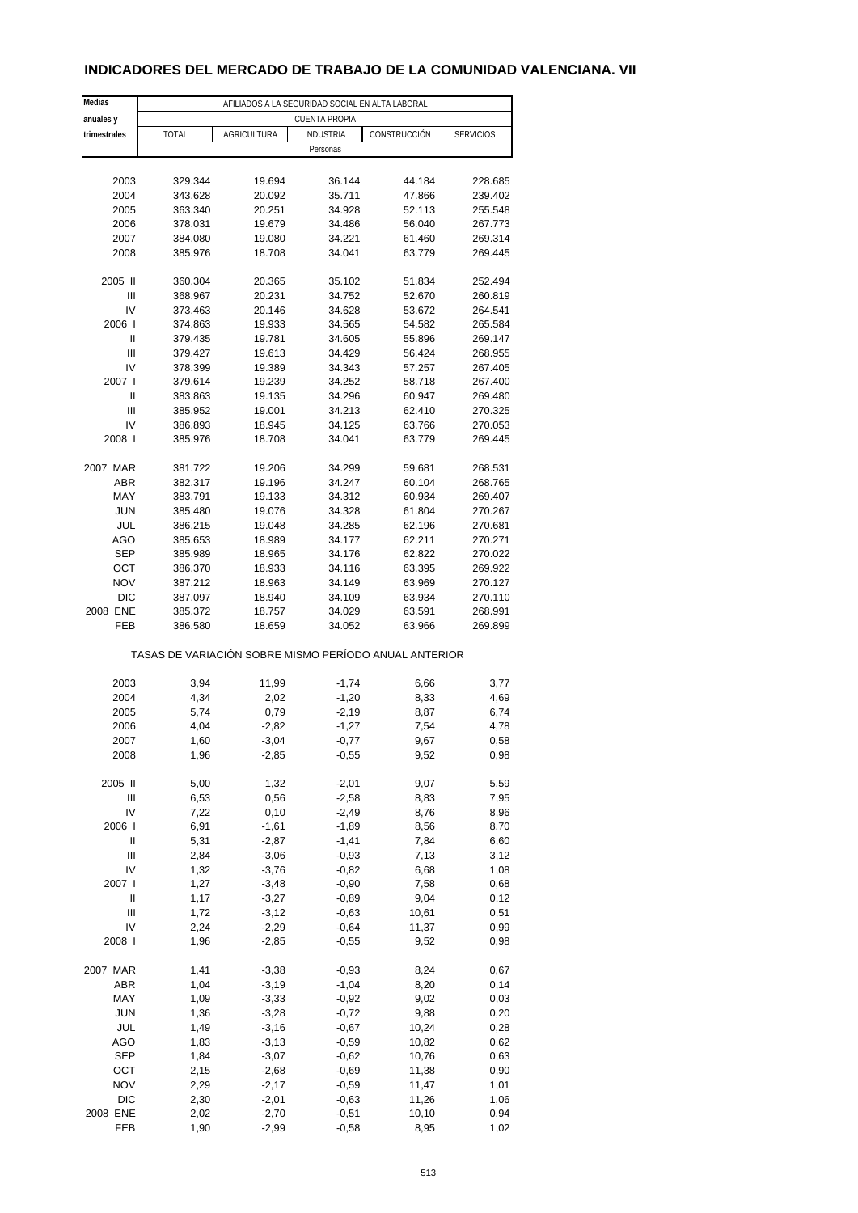# **INDICADORES DEL MERCADO DE TRABAJO DE LA COMUNIDAD VALENCIANA. VII**

| Medias       | AFILIADOS A LA SEGURIDAD SOCIAL EN ALTA LABORAL |                    |                                                       |              |                  |  |  |  |
|--------------|-------------------------------------------------|--------------------|-------------------------------------------------------|--------------|------------------|--|--|--|
| anuales y    | <b>CUENTA PROPIA</b>                            |                    |                                                       |              |                  |  |  |  |
| trimestrales | TOTAL                                           | <b>AGRICULTURA</b> | <b>INDUSTRIA</b>                                      | CONSTRUCCIÓN | <b>SERVICIOS</b> |  |  |  |
|              |                                                 |                    | Personas                                              |              |                  |  |  |  |
|              |                                                 |                    |                                                       |              |                  |  |  |  |
| 2003         | 329.344                                         | 19.694             | 36.144                                                | 44.184       | 228.685          |  |  |  |
| 2004         | 343.628                                         | 20.092             | 35.711                                                | 47.866       | 239.402          |  |  |  |
| 2005         | 363.340                                         | 20.251             | 34.928                                                | 52.113       | 255.548          |  |  |  |
| 2006         | 378.031                                         | 19.679             | 34.486                                                | 56.040       | 267.773          |  |  |  |
|              |                                                 |                    | 34.221                                                | 61.460       | 269.314          |  |  |  |
| 2007         | 384.080                                         | 19.080             |                                                       |              |                  |  |  |  |
| 2008         | 385.976                                         | 18.708             | 34.041                                                | 63.779       | 269.445          |  |  |  |
| 2005 II      | 360.304                                         | 20.365             | 35.102                                                | 51.834       | 252.494          |  |  |  |
| Ш            | 368.967                                         | 20.231             | 34.752                                                | 52.670       | 260.819          |  |  |  |
|              |                                                 |                    |                                                       |              |                  |  |  |  |
| IV           | 373.463                                         | 20.146             | 34.628                                                | 53.672       | 264.541          |  |  |  |
| 2006         | 374.863                                         | 19.933             | 34.565                                                | 54.582       | 265.584          |  |  |  |
| Ш            | 379.435                                         | 19.781             | 34.605                                                | 55.896       | 269.147          |  |  |  |
| Ш            | 379.427                                         | 19.613             | 34.429                                                | 56.424       | 268.955          |  |  |  |
| IV           | 378.399                                         | 19.389             | 34.343                                                | 57.257       | 267.405          |  |  |  |
| 2007 l       | 379.614                                         | 19.239             | 34.252                                                | 58.718       | 267.400          |  |  |  |
| Ш            | 383.863                                         | 19.135             | 34.296                                                | 60.947       | 269.480          |  |  |  |
| Ш            | 385.952                                         | 19.001             | 34.213                                                | 62.410       | 270.325          |  |  |  |
| IV           | 386.893                                         | 18.945             | 34.125                                                | 63.766       | 270.053          |  |  |  |
| 2008         | 385.976                                         | 18.708             | 34.041                                                | 63.779       | 269.445          |  |  |  |
|              |                                                 |                    |                                                       |              |                  |  |  |  |
| 2007 MAR     | 381.722                                         | 19.206             | 34.299                                                | 59.681       | 268.531          |  |  |  |
| <b>ABR</b>   | 382.317                                         | 19.196             | 34.247                                                | 60.104       | 268.765          |  |  |  |
| MAY          | 383.791                                         | 19.133             | 34.312                                                | 60.934       | 269.407          |  |  |  |
| <b>JUN</b>   | 385.480                                         | 19.076             | 34.328                                                | 61.804       | 270.267          |  |  |  |
|              |                                                 |                    |                                                       |              |                  |  |  |  |
| JUL          | 386.215                                         | 19.048             | 34.285                                                | 62.196       | 270.681          |  |  |  |
| AGO          | 385.653                                         | 18.989             | 34.177                                                | 62.211       | 270.271          |  |  |  |
| <b>SEP</b>   | 385.989                                         | 18.965             | 34.176                                                | 62.822       | 270.022          |  |  |  |
| OCT          | 386.370                                         | 18.933             | 34.116                                                | 63.395       | 269.922          |  |  |  |
| <b>NOV</b>   | 387.212                                         | 18.963             | 34.149                                                | 63.969       | 270.127          |  |  |  |
| <b>DIC</b>   | 387.097                                         | 18.940             | 34.109                                                | 63.934       | 270.110          |  |  |  |
| 2008 ENE     | 385.372                                         | 18.757             | 34.029                                                | 63.591       | 268.991          |  |  |  |
| FEB          | 386.580                                         | 18.659             | 34.052                                                | 63.966       | 269.899          |  |  |  |
|              |                                                 |                    | TASAS DE VARIACIÓN SOBRE MISMO PERÍODO ANUAL ANTERIOR |              |                  |  |  |  |
|              |                                                 |                    |                                                       |              |                  |  |  |  |
| 2003         | 3,94                                            | 11,99              | $-1,74$                                               | 6,66         | 3,77             |  |  |  |
| 2004         | 4,34                                            | 2,02               | $-1,20$                                               | 8,33         | 4,69             |  |  |  |
| 2005         | 5,74                                            | 0,79               | $-2,19$                                               | 8,87         | 6,74             |  |  |  |
| 2006         | 4,04                                            | $-2,82$            | $-1,27$                                               | 7,54         | 4,78             |  |  |  |
| 2007         | 1,60                                            | -3,04              | $-0,77$                                               | 9,67         | 0,58             |  |  |  |
| 2008         | 1,96                                            | $-2,85$            | $-0,55$                                               | 9,52         | 0,98             |  |  |  |
|              |                                                 |                    |                                                       |              |                  |  |  |  |
| 2005 II      | 5,00                                            | 1,32               | $-2,01$                                               | 9,07         | 5,59             |  |  |  |
| Ш            | 6,53                                            | 0,56               | $-2,58$                                               | 8,83         | 7,95             |  |  |  |
| IV           | 7,22                                            | 0,10               | $-2,49$                                               | 8,76         | 8,96             |  |  |  |
| 2006         | 6,91                                            | $-1,61$            | $-1,89$                                               | 8,56         | 8,70             |  |  |  |
| Ш            | 5,31                                            | $-2,87$            | $-1,41$                                               | 7,84         | 6,60             |  |  |  |
| Ш            | 2,84                                            | $-3,06$            | $-0,93$                                               | 7,13         | 3,12             |  |  |  |
| IV           |                                                 |                    |                                                       |              |                  |  |  |  |
|              | 1,32                                            | $-3,76$            | $-0,82$                                               | 6,68         | 1,08             |  |  |  |
| 2007 l       | 1,27                                            | $-3,48$            | $-0,90$                                               | 7,58         | 0,68             |  |  |  |
| $\sf II$     | 1,17                                            | $-3,27$            | $-0,89$                                               | 9,04         | 0,12             |  |  |  |
| Ш            | 1,72                                            | $-3,12$            | $-0,63$                                               | 10,61        | 0,51             |  |  |  |
| IV           | 2,24                                            | $-2,29$            | $-0,64$                                               | 11,37        | 0,99             |  |  |  |
| 2008         | 1,96                                            | $-2,85$            | $-0,55$                                               | 9,52         | 0,98             |  |  |  |
|              |                                                 |                    |                                                       |              |                  |  |  |  |
| 2007 MAR     | 1,41                                            | $-3,38$            | $-0,93$                                               | 8,24         | 0,67             |  |  |  |
| ABR          | 1,04                                            | $-3,19$            | $-1,04$                                               | 8,20         | 0,14             |  |  |  |
| MAY          | 1,09                                            | $-3,33$            | $-0,92$                                               | 9,02         | 0,03             |  |  |  |
| <b>JUN</b>   | 1,36                                            | $-3,28$            | $-0,72$                                               | 9,88         | 0,20             |  |  |  |
| JUL          | 1,49                                            | $-3,16$            | $-0,67$                                               | 10,24        | 0,28             |  |  |  |
| AGO          | 1,83                                            | $-3,13$            | $-0,59$                                               | 10,82        | 0,62             |  |  |  |
| <b>SEP</b>   | 1,84                                            | $-3,07$            | $-0,62$                                               | 10,76        | 0,63             |  |  |  |
| OCT          | 2,15                                            | $-2,68$            | $-0,69$                                               | 11,38        | 0,90             |  |  |  |
| <b>NOV</b>   | 2,29                                            | $-2,17$            | $-0,59$                                               | 11,47        | 1,01             |  |  |  |
| DIC          | 2,30                                            | $-2,01$            | $-0,63$                                               | 11,26        | 1,06             |  |  |  |
|              |                                                 |                    |                                                       |              |                  |  |  |  |
| 2008 ENE     | 2,02                                            | $-2,70$            | $-0,51$                                               | 10,10        | 0,94             |  |  |  |
| FEB          | 1,90                                            | $-2,99$            | $-0,58$                                               | 8,95         | 1,02             |  |  |  |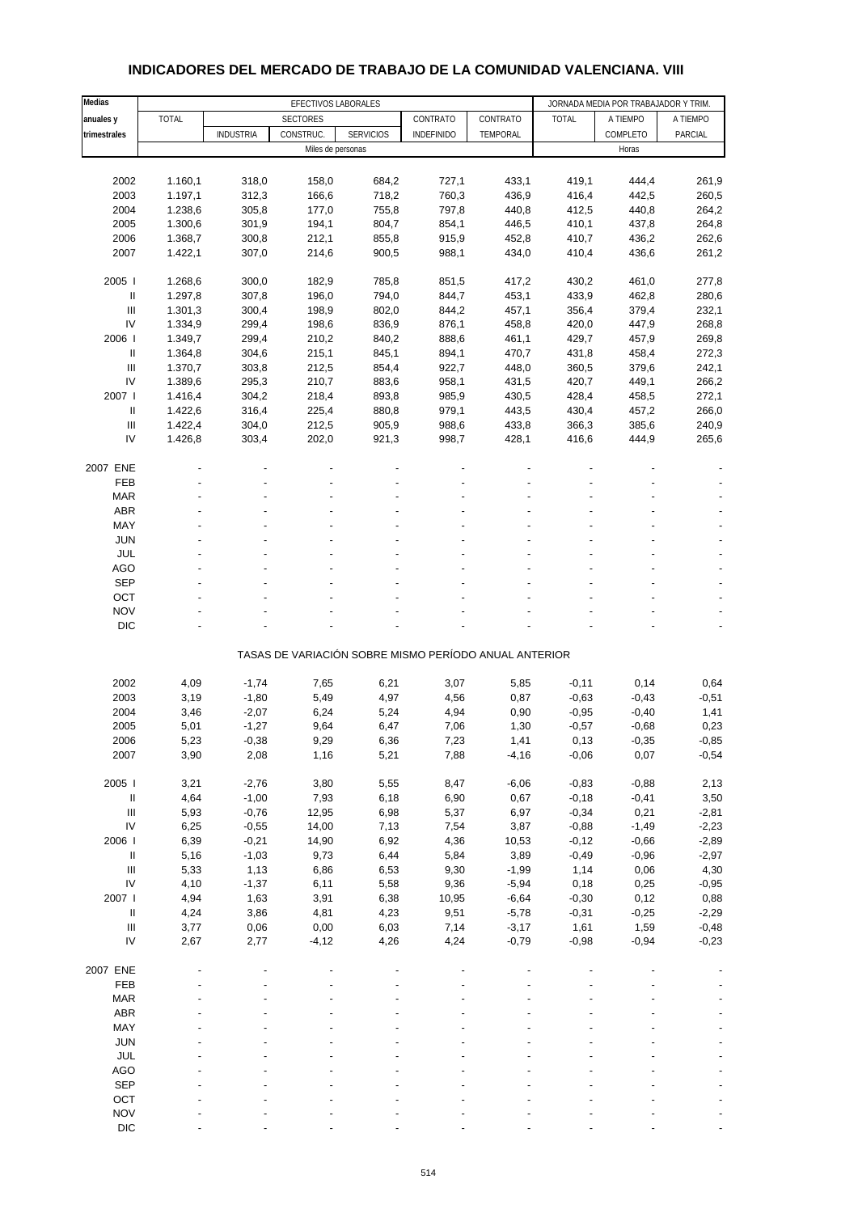| Medias                             | EFECTIVOS LABORALES |                  |                   |                  |                   | JORNADA MEDIA POR TRABAJADOR Y TRIM.                  |                    |                 |                 |
|------------------------------------|---------------------|------------------|-------------------|------------------|-------------------|-------------------------------------------------------|--------------------|-----------------|-----------------|
| anuales y                          | <b>TOTAL</b>        |                  | <b>SECTORES</b>   |                  | CONTRATO          | CONTRATO                                              | <b>TOTAL</b>       | A TIEMPO        | A TIEMPO        |
| trimestrales                       |                     | <b>INDUSTRIA</b> | CONSTRUC.         | <b>SERVICIOS</b> | <b>INDEFINIDO</b> | TEMPORAL                                              |                    | COMPLETO        | PARCIAL         |
|                                    |                     |                  | Miles de personas |                  |                   |                                                       |                    | Horas           |                 |
|                                    |                     |                  |                   |                  |                   |                                                       |                    |                 |                 |
| 2002                               | 1.160,1             | 318,0            | 158,0             | 684,2            | 727,1             | 433,1                                                 | 419,1              | 444,4           | 261,9           |
| 2003                               | 1.197,1             | 312,3            | 166,6             | 718,2            | 760,3             | 436,9                                                 | 416,4              | 442,5           | 260,5           |
| 2004                               | 1.238,6             | 305,8            | 177,0             | 755,8            | 797,8             | 440,8                                                 | 412,5              | 440,8           | 264,2           |
| 2005                               | 1.300,6             | 301,9            | 194,1             | 804,7            | 854,1             | 446,5                                                 | 410,1              | 437,8           | 264,8           |
| 2006                               | 1.368,7             | 300,8            | 212,1             | 855,8            | 915,9             | 452,8                                                 | 410,7              | 436,2           | 262,6           |
| 2007                               | 1.422,1             | 307,0            | 214,6             | 900,5            | 988,1             | 434,0                                                 | 410,4              | 436,6           | 261,2           |
| 2005                               | 1.268,6             | 300,0            | 182,9             | 785,8            | 851,5             | 417,2                                                 | 430,2              | 461,0           | 277,8           |
| $\ensuremath{\mathsf{II}}$         | 1.297,8             | 307,8            | 196,0             | 794,0            | 844,7             | 453,1                                                 | 433,9              | 462,8           | 280,6           |
| Ш                                  | 1.301,3             | 300,4            | 198,9             | 802,0            | 844,2             | 457,1                                                 | 356,4              | 379,4           | 232,1           |
| IV                                 | 1.334,9             | 299,4            | 198,6             | 836,9            | 876,1             | 458,8                                                 | 420,0              | 447,9           | 268,8           |
| 2006                               | 1.349,7             | 299,4            | 210,2             | 840,2            | 888,6             | 461,1                                                 | 429,7              | 457,9           | 269,8           |
| Ш                                  | 1.364,8             | 304,6            | 215,1             | 845,1            | 894,1             | 470,7                                                 | 431,8              | 458,4           | 272,3           |
| Ш                                  | 1.370,7             | 303,8            | 212,5             | 854,4            | 922,7             | 448,0                                                 | 360,5              | 379,6           | 242,1           |
| IV                                 | 1.389,6             | 295,3            | 210,7             | 883,6            | 958,1             | 431,5                                                 | 420,7              | 449,1           | 266,2           |
| 2007 l                             | 1.416,4             | 304,2            | 218,4             | 893,8            | 985,9             | 430,5                                                 | 428,4              | 458,5           | 272,1           |
| Ш                                  | 1.422,6             | 316,4            | 225,4             | 880,8            | 979,1             | 443,5                                                 | 430,4              | 457,2           | 266,0           |
| $\ensuremath{\mathsf{III}}\xspace$ | 1.422,4             | 304,0            | 212,5             | 905,9            | 988,6             | 433,8                                                 | 366,3              | 385,6           | 240,9           |
| IV                                 | 1.426,8             | 303,4            | 202,0             | 921,3            | 998,7             | 428,1                                                 | 416,6              | 444,9           | 265,6           |
|                                    |                     |                  |                   |                  |                   |                                                       |                    |                 |                 |
| 2007 ENE<br><b>FEB</b>             |                     |                  |                   |                  |                   |                                                       |                    |                 |                 |
| <b>MAR</b>                         |                     |                  |                   |                  |                   |                                                       |                    |                 |                 |
| ABR                                |                     |                  |                   |                  |                   |                                                       |                    |                 |                 |
| MAY                                |                     |                  |                   |                  |                   |                                                       |                    |                 |                 |
| <b>JUN</b>                         |                     |                  |                   |                  |                   |                                                       |                    |                 |                 |
| <b>JUL</b>                         |                     |                  |                   |                  |                   |                                                       |                    |                 |                 |
| <b>AGO</b>                         |                     |                  |                   |                  |                   |                                                       |                    |                 |                 |
| <b>SEP</b>                         |                     |                  |                   |                  |                   |                                                       |                    |                 |                 |
| OCT                                |                     |                  |                   |                  |                   |                                                       |                    |                 |                 |
| <b>NOV</b>                         |                     |                  |                   |                  |                   |                                                       |                    |                 |                 |
| <b>DIC</b>                         |                     |                  |                   |                  |                   |                                                       |                    |                 |                 |
|                                    |                     |                  |                   |                  |                   |                                                       |                    |                 |                 |
|                                    |                     |                  |                   |                  |                   | TASAS DE VARIACIÓN SOBRE MISMO PERÍODO ANUAL ANTERIOR |                    |                 |                 |
| 2002                               | 4,09                | $-1,74$          | 7,65              | 6,21             | 3,07              | 5,85                                                  | $-0,11$            | 0,14            | 0,64            |
| 2003                               | 3,19                | $-1,80$          | 5,49              | 4,97             | 4,56              | 0,87                                                  | $-0,63$            | $-0,43$         | $-0,51$         |
| 2004                               | 3,46                | $-2,07$          | 6,24              | 5,24             | 4,94              | 0,90                                                  | $-0,95$            | $-0,40$         | 1,41            |
| 2005                               | 5,01                | $-1,27$          | 9,64              | 6,47             | 7,06              | 1,30                                                  | $-0,57$            | $-0,68$         | 0,23            |
| 2006                               | 5,23                | $-0,38$          | 9,29              | 6,36             | 7,23              | 1,41                                                  | 0, 13              | $-0,35$         | $-0,85$         |
| 2007                               | 3,90                | 2,08             | 1,16              | 5,21             | 7,88              | $-4,16$                                               | $-0,06$            | 0,07            | $-0,54$         |
|                                    |                     |                  |                   |                  |                   |                                                       |                    |                 |                 |
| 2005 l                             | 3,21                | $-2,76$          | 3,80              | 5,55             | 8,47              | $-6,06$                                               | $-0,83$            | $-0,88$         | 2,13            |
| $\sf II$                           | 4,64                | $-1,00$          | 7,93              | 6,18             | 6,90              | 0,67                                                  | $-0,18$            | $-0,41$         | 3,50            |
| $\ensuremath{\mathsf{III}}\xspace$ | 5,93                | $-0,76$          | 12,95             | 6,98             | 5,37              | 6,97                                                  | $-0,34$            | 0,21            | $-2,81$         |
| ${\sf IV}$                         | 6,25                | $-0,55$          | 14,00             | 7,13             | 7,54              | 3,87                                                  | $-0,88$            | $-1,49$         | $-2,23$         |
| 2006                               | 6,39                | $-0,21$          | 14,90             | 6,92             | 4,36              | 10,53                                                 | $-0,12$            | $-0,66$         | $-2,89$         |
| $\ensuremath{\mathsf{II}}$         | 5,16                | $-1,03$          | 9,73              | 6,44             | 5,84              | 3,89                                                  | $-0,49$            | $-0,96$         | $-2,97$         |
| Ш                                  | 5,33                | 1,13             | 6,86              | 6,53             | 9,30              | $-1,99$                                               | 1,14               | 0,06            | 4,30            |
| IV                                 | 4,10                | $-1,37$          | 6,11              | 5,58             | 9,36              | $-5,94$                                               | 0,18               | 0,25            | $-0,95$         |
| 2007 l<br>$\sf II$                 | 4,94<br>4,24        | 1,63<br>3,86     | 3,91<br>4,81      | 6,38<br>4,23     | 10,95<br>9,51     | $-6,64$<br>$-5,78$                                    | $-0,30$<br>$-0,31$ | 0,12<br>$-0,25$ | 0,88<br>$-2,29$ |
| $\ensuremath{\mathsf{III}}\xspace$ | 3,77                | 0,06             | 0,00              | 6,03             | 7,14              | $-3,17$                                               | 1,61               | 1,59            | $-0,48$         |
| IV                                 | 2,67                | 2,77             | $-4, 12$          | 4,26             | 4,24              | $-0,79$                                               | $-0,98$            | $-0,94$         | $-0,23$         |
|                                    |                     |                  |                   |                  |                   |                                                       |                    |                 |                 |
| 2007 ENE                           |                     |                  |                   |                  |                   |                                                       |                    |                 |                 |
| FEB                                |                     |                  |                   |                  |                   |                                                       |                    |                 |                 |
| <b>MAR</b>                         |                     |                  |                   |                  |                   |                                                       |                    |                 |                 |
| ABR                                |                     |                  |                   |                  |                   |                                                       |                    |                 |                 |
| MAY                                |                     |                  |                   |                  |                   |                                                       |                    |                 |                 |
| <b>JUN</b>                         |                     |                  |                   |                  |                   |                                                       |                    |                 |                 |
| JUL                                |                     |                  |                   |                  |                   |                                                       |                    |                 |                 |
| AGO                                |                     |                  |                   |                  |                   |                                                       |                    |                 |                 |
| <b>SEP</b>                         |                     |                  |                   |                  |                   |                                                       |                    |                 |                 |
| OCT                                |                     |                  |                   |                  |                   |                                                       |                    |                 |                 |
| <b>NOV</b>                         |                     |                  |                   |                  |                   |                                                       |                    |                 |                 |

## **INDICADORES DEL MERCADO DE TRABAJO DE LA COMUNIDAD VALENCIANA. VIII**

DIC  $\qquad \qquad \qquad \qquad \qquad \qquad \qquad \qquad \qquad \qquad \qquad \qquad \qquad \qquad \qquad \qquad \qquad \qquad -$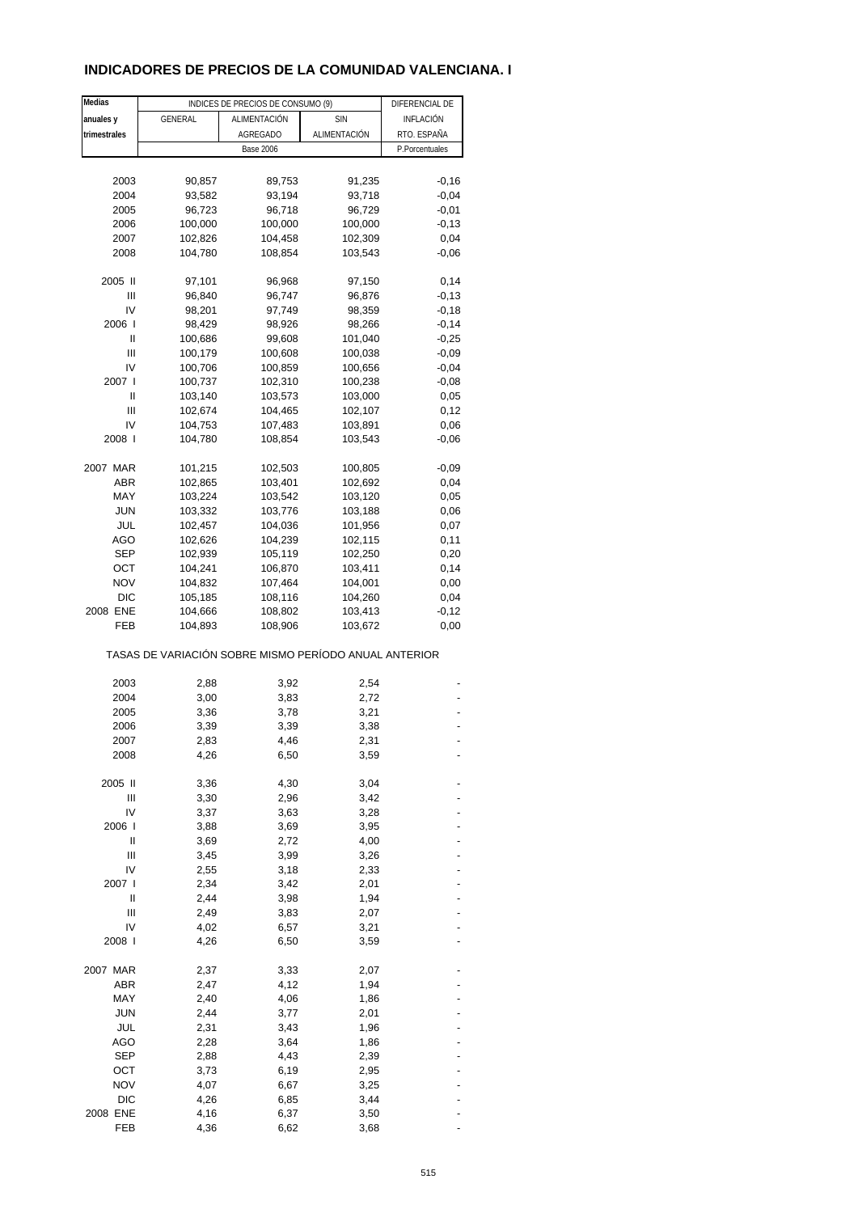# **INDICADORES DE PRECIOS DE LA COMUNIDAD VALENCIANA. I**

| Medias       |                                                       | INDICES DE PRECIOS DE CONSUMO (9) |              | DIFERENCIAL DE |
|--------------|-------------------------------------------------------|-----------------------------------|--------------|----------------|
| anuales y    | <b>GENERAL</b>                                        | ALIMENTACIÓN                      | <b>SIN</b>   | INFLACIÓN      |
| trimestrales |                                                       | <b>AGREGADO</b>                   | ALIMENTACIÓN |                |
|              |                                                       |                                   |              | RTO. ESPAÑA    |
|              |                                                       | <b>Base 2006</b>                  |              | P.Porcentuales |
|              |                                                       |                                   |              |                |
| 2003         | 90,857                                                | 89,753                            | 91,235       | $-0,16$        |
| 2004         | 93,582                                                | 93,194                            | 93,718       | $-0,04$        |
| 2005         | 96,723                                                | 96,718                            | 96,729       | $-0,01$        |
| 2006         | 100,000                                               | 100,000                           | 100,000      | $-0,13$        |
| 2007         | 102,826                                               | 104,458                           | 102,309      | 0,04           |
| 2008         | 104,780                                               | 108,854                           | 103,543      | $-0,06$        |
| 2005 II      | 97,101                                                | 96,968                            | 97,150       | 0,14           |
| Ш            | 96,840                                                | 96,747                            | 96,876       | $-0,13$        |
| IV           | 98,201                                                | 97,749                            | 98,359       | $-0,18$        |
| 2006         | 98,429                                                | 98,926                            | 98,266       | $-0,14$        |
| Ш            | 100,686                                               | 99,608                            | 101,040      | $-0,25$        |
| Ш            | 100,179                                               | 100,608                           | 100,038      | $-0,09$        |
| IV           | 100,706                                               | 100,859                           | 100,656      | $-0,04$        |
| 2007 l       | 100,737                                               | 102,310                           | 100,238      | $-0,08$        |
| Ш            | 103,140                                               | 103,573                           | 103,000      | 0,05           |
| Ш            | 102,674                                               | 104,465                           | 102,107      | 0,12           |
|              |                                                       |                                   |              |                |
| IV           | 104,753                                               | 107,483                           | 103,891      | 0,06           |
| 2008         | 104,780                                               | 108,854                           | 103,543      | $-0,06$        |
| 2007 MAR     | 101,215                                               | 102,503                           | 100,805      | $-0,09$        |
| ABR          | 102,865                                               | 103,401                           | 102,692      | 0,04           |
| MAY          | 103,224                                               | 103,542                           | 103,120      | 0,05           |
| <b>JUN</b>   | 103,332                                               | 103,776                           | 103,188      | 0,06           |
| JUL          | 102,457                                               | 104,036                           | 101,956      | 0,07           |
| AGO          | 102,626                                               | 104,239                           | 102,115      | 0,11           |
| SEP          | 102,939                                               | 105,119                           | 102,250      | 0,20           |
| ОСТ          | 104,241                                               | 106,870                           | 103,411      | 0,14           |
| <b>NOV</b>   | 104,832                                               | 107,464                           | 104,001      | 0,00           |
| <b>DIC</b>   | 105,185                                               | 108,116                           | 104,260      | 0,04           |
| 2008 ENE     | 104,666                                               | 108,802                           | 103,413      | $-0,12$        |
|              |                                                       |                                   |              |                |
| FEB          | 104,893                                               | 108,906                           | 103,672      | 0,00           |
|              | TASAS DE VARIACIÓN SOBRE MISMO PERÍODO ANUAL ANTERIOR |                                   |              |                |
| 2003         | 2,88                                                  | 3,92                              | 2,54         |                |
| 2004         | 3,00                                                  | 3,83                              | 2,72         |                |
| 2005         | 3,36                                                  | 3,78                              | 3,21         |                |
| 2006         | 3,39                                                  | 3,39                              | 3,38         |                |
| 2007         | 2,83                                                  | 4,46                              | 2,31         |                |
| 2008         | 4,26                                                  | 6,50                              | 3,59         |                |
|              |                                                       |                                   |              |                |
| 2005 II      | 3,36                                                  | 4,30                              | 3,04         |                |
| Ш            | 3,30                                                  | 2,96                              | 3,42         |                |
| IV           | 3,37                                                  | 3,63                              | 3,28         |                |
| 2006 l       | 3,88                                                  | 3,69                              | 3,95         |                |
| Ш            | 3,69                                                  | 2,72                              | 4,00         |                |
| Ш            | 3,45                                                  | 3,99                              | 3,26         |                |
| IV           | 2,55                                                  | 3,18                              | 2,33         |                |
| 2007 l       | 2,34                                                  | 3,42                              | 2,01         |                |
| Ш            | 2,44                                                  | 3,98                              | 1,94         |                |
| Ш            | 2,49                                                  | 3,83                              | 2,07         |                |
| IV           | 4,02                                                  | 6,57                              | 3,21         |                |
| 2008 l       | 4,26                                                  | 6,50                              | 3,59         |                |
| 2007 MAR     | 2,37                                                  | 3,33                              | 2,07         |                |
| ABR          | 2,47                                                  | 4,12                              | 1,94         |                |
| MAY          | 2,40                                                  | 4,06                              | 1,86         |                |
| <b>JUN</b>   | 2,44                                                  | 3,77                              | 2,01         |                |
| JUL          |                                                       |                                   |              |                |
|              | 2,31                                                  | 3,43                              | 1,96         |                |
| AGO          | 2,28                                                  | 3,64                              | 1,86         |                |
| SEP          | 2,88                                                  | 4,43                              | 2,39         |                |
| ост          | 3,73                                                  | 6,19                              | 2,95         |                |
| <b>NOV</b>   | 4,07                                                  | 6,67                              | 3,25         |                |
| <b>DIC</b>   | 4,26                                                  | 6,85                              | 3,44         |                |
| 2008 ENE     | 4,16                                                  | 6,37                              | 3,50         |                |
| FEB          | 4,36                                                  | 6,62                              | 3,68         |                |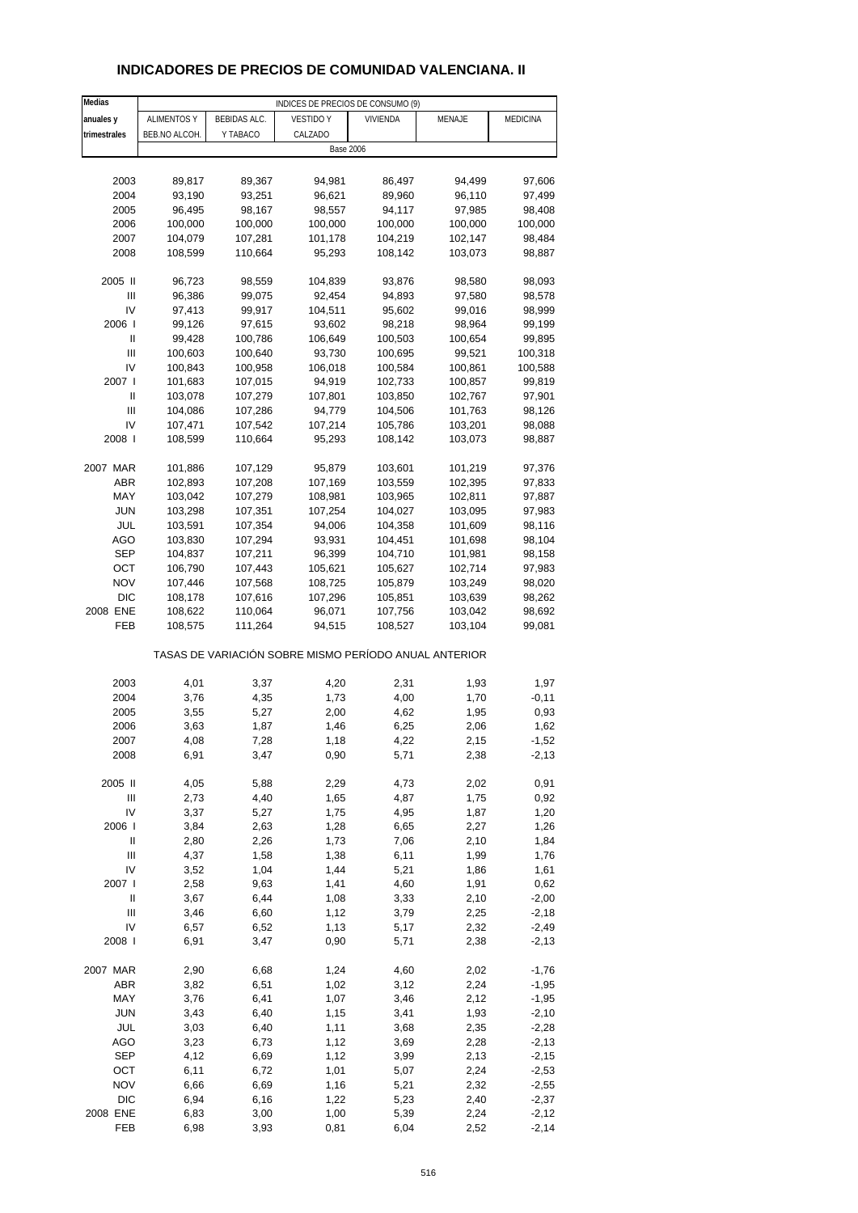# **INDICADORES DE PRECIOS DE COMUNIDAD VALENCIANA. II**

| Medias         | INDICES DE PRECIOS DE CONSUMO (9) |              |                                                       |          |         |                 |
|----------------|-----------------------------------|--------------|-------------------------------------------------------|----------|---------|-----------------|
| anuales y      | <b>ALIMENTOS Y</b>                | BEBIDAS ALC. | <b>VESTIDO Y</b>                                      | VIVIENDA | MENAJE  | <b>MEDICINA</b> |
| trimestrales   | BEB.NO ALCOH.                     | Y TABACO     | CALZADO                                               |          |         |                 |
|                |                                   |              | <b>Base 2006</b>                                      |          |         |                 |
|                |                                   |              |                                                       |          |         |                 |
| 2003           | 89,817                            | 89,367       | 94,981                                                | 86,497   | 94,499  | 97,606          |
| 2004           | 93,190                            | 93,251       | 96,621                                                | 89,960   | 96,110  | 97,499          |
| 2005           | 96,495                            | 98,167       | 98,557                                                | 94,117   | 97,985  | 98,408          |
| 2006           | 100,000                           | 100,000      | 100,000                                               | 100,000  | 100,000 | 100,000         |
|                |                                   |              |                                                       |          |         |                 |
| 2007           | 104,079                           | 107,281      | 101,178                                               | 104,219  | 102,147 | 98,484          |
| 2008           | 108,599                           | 110,664      | 95,293                                                | 108,142  | 103,073 | 98,887          |
|                |                                   |              |                                                       |          |         |                 |
| 2005 II        | 96,723                            | 98,559       | 104,839                                               | 93,876   | 98,580  | 98,093          |
| Ш              | 96,386                            | 99,075       | 92,454                                                | 94,893   | 97,580  | 98,578          |
| IV             | 97,413                            | 99,917       | 104,511                                               | 95,602   | 99,016  | 98,999          |
| 2006           | 99,126                            | 97,615       | 93,602                                                | 98,218   | 98,964  | 99,199          |
| Ш              | 99,428                            | 100,786      | 106,649                                               | 100,503  | 100,654 | 99,895          |
| $\mathsf{III}$ | 100,603                           | 100,640      | 93,730                                                | 100,695  | 99,521  | 100,318         |
| IV             | 100,843                           | 100,958      | 106,018                                               | 100,584  | 100,861 | 100,588         |
| 2007 l         | 101,683                           | 107,015      | 94,919                                                | 102,733  | 100,857 | 99,819          |
| Ш              | 103,078                           | 107,279      | 107,801                                               | 103,850  | 102,767 | 97,901          |
| Ш              | 104,086                           | 107,286      | 94,779                                                | 104,506  | 101,763 | 98,126          |
| IV             | 107,471                           | 107,542      | 107,214                                               | 105,786  | 103,201 | 98,088          |
| 2008           | 108,599                           | 110,664      | 95,293                                                | 108,142  | 103,073 | 98,887          |
|                |                                   |              |                                                       |          |         |                 |
| 2007 MAR       | 101,886                           | 107,129      | 95,879                                                | 103,601  | 101,219 | 97,376          |
| <b>ABR</b>     | 102,893                           | 107,208      | 107,169                                               | 103,559  | 102,395 | 97,833          |
| MAY            | 103,042                           | 107,279      | 108,981                                               | 103,965  | 102,811 | 97,887          |
| <b>JUN</b>     | 103,298                           | 107,351      | 107,254                                               | 104,027  | 103,095 | 97,983          |
| JUL            | 103,591                           | 107,354      | 94,006                                                | 104,358  | 101,609 | 98,116          |
| <b>AGO</b>     | 103,830                           | 107,294      | 93,931                                                | 104,451  | 101,698 | 98,104          |
| SEP            | 104,837                           | 107,211      | 96,399                                                | 104,710  | 101,981 | 98,158          |
| OCT            | 106,790                           | 107,443      | 105,621                                               | 105,627  | 102,714 |                 |
|                |                                   |              |                                                       |          |         | 97,983          |
| <b>NOV</b>     | 107,446                           | 107,568      | 108,725                                               | 105,879  | 103,249 | 98,020          |
| <b>DIC</b>     | 108,178                           | 107,616      | 107,296                                               | 105,851  | 103,639 | 98,262          |
| 2008 ENE       | 108,622                           | 110,064      | 96,071                                                | 107,756  | 103,042 | 98,692          |
| FEB            | 108,575                           | 111,264      | 94,515                                                | 108,527  | 103,104 | 99,081          |
|                |                                   |              | TASAS DE VARIACIÓN SOBRE MISMO PERÍODO ANUAL ANTERIOR |          |         |                 |
|                |                                   |              |                                                       |          |         |                 |
| 2003           | 4,01                              | 3,37         | 4,20                                                  | 2,31     | 1,93    | 1,97            |
| 2004           | 3,76                              | 4,35         | 1,73                                                  | 4,00     | 1,70    | $-0,11$         |
| 2005           | 3,55                              | 5,27         | 2,00                                                  | 4,62     | 1,95    | 0,93            |
| 2006           | 3,63                              | 1,87         | 1,46                                                  | 6,25     | 2,06    | 1,62            |
| 2007           | 4,08                              | 7,28         | 1,18                                                  | 4,22     | 2,15    | $-1,52$         |
| 2008           | 6,91                              | 3,47         | 0,90                                                  | 5,71     | 2,38    | $-2,13$         |
| 2005 II        | 4,05                              | 5,88         | 2,29                                                  | 4,73     | 2,02    | 0,91            |
|                |                                   |              |                                                       |          |         |                 |
| Ш              | 2,73                              | 4,40         | 1,65                                                  | 4,87     | 1,75    | 0,92            |
| IV             | 3,37                              | 5,27         | 1,75                                                  | 4,95     | 1,87    | 1,20            |
| 2006           | 3,84                              | 2,63         | 1,28                                                  | 6,65     | 2,27    | 1,26            |
| $\sf II$       | 2,80                              | 2,26         | 1,73                                                  | 7,06     | 2,10    | 1,84            |
| $\mathsf{III}$ | 4,37                              | 1,58         | 1,38                                                  | 6,11     | 1,99    | 1,76            |
| IV             | 3,52                              | 1,04         | 1,44                                                  | 5,21     | 1,86    | 1,61            |
| 2007 l         | 2,58                              | 9,63         | 1,41                                                  | 4,60     | 1,91    | 0,62            |
| Ш              | 3,67                              | 6,44         | 1,08                                                  | 3,33     | 2,10    | $-2,00$         |
| Ш              | 3,46                              | 6,60         | 1,12                                                  | 3,79     | 2,25    | $-2,18$         |
| IV             | 6,57                              | 6,52         | 1,13                                                  | 5,17     | 2,32    | $-2,49$         |
| 2008           | 6,91                              | 3,47         | 0,90                                                  | 5,71     | 2,38    | $-2,13$         |
|                |                                   |              |                                                       |          |         |                 |
| 2007 MAR       | 2,90                              | 6,68         | 1,24                                                  | 4,60     | 2,02    | $-1,76$         |
| <b>ABR</b>     | 3,82                              | 6,51         | 1,02                                                  | 3,12     | 2,24    | $-1,95$         |
| MAY            | 3,76                              | 6,41         | 1,07                                                  | 3,46     | 2,12    | $-1,95$         |
| <b>JUN</b>     | 3,43                              | 6,40         | 1,15                                                  | 3,41     | 1,93    | $-2,10$         |
| JUL            | 3,03                              | 6,40         | 1,11                                                  | 3,68     | 2,35    | $-2,28$         |
| <b>AGO</b>     | 3,23                              | 6,73         | 1,12                                                  | 3,69     | 2,28    | $-2,13$         |
| <b>SEP</b>     | 4,12                              | 6,69         | 1,12                                                  | 3,99     | 2,13    | $-2,15$         |
| OCT            | 6,11                              | 6,72         | 1,01                                                  | 5,07     | 2,24    | $-2,53$         |
| <b>NOV</b>     | 6,66                              | 6,69         | 1,16                                                  | 5,21     | 2,32    | $-2,55$         |
| <b>DIC</b>     | 6,94                              | 6,16         | 1,22                                                  | 5,23     | 2,40    | $-2,37$         |
| 2008 ENE       | 6,83                              | 3,00         | 1,00                                                  | 5,39     | 2,24    | $-2,12$         |
| <b>FEB</b>     | 6,98                              | 3,93         | 0,81                                                  | 6,04     | 2,52    | $-2,14$         |
|                |                                   |              |                                                       |          |         |                 |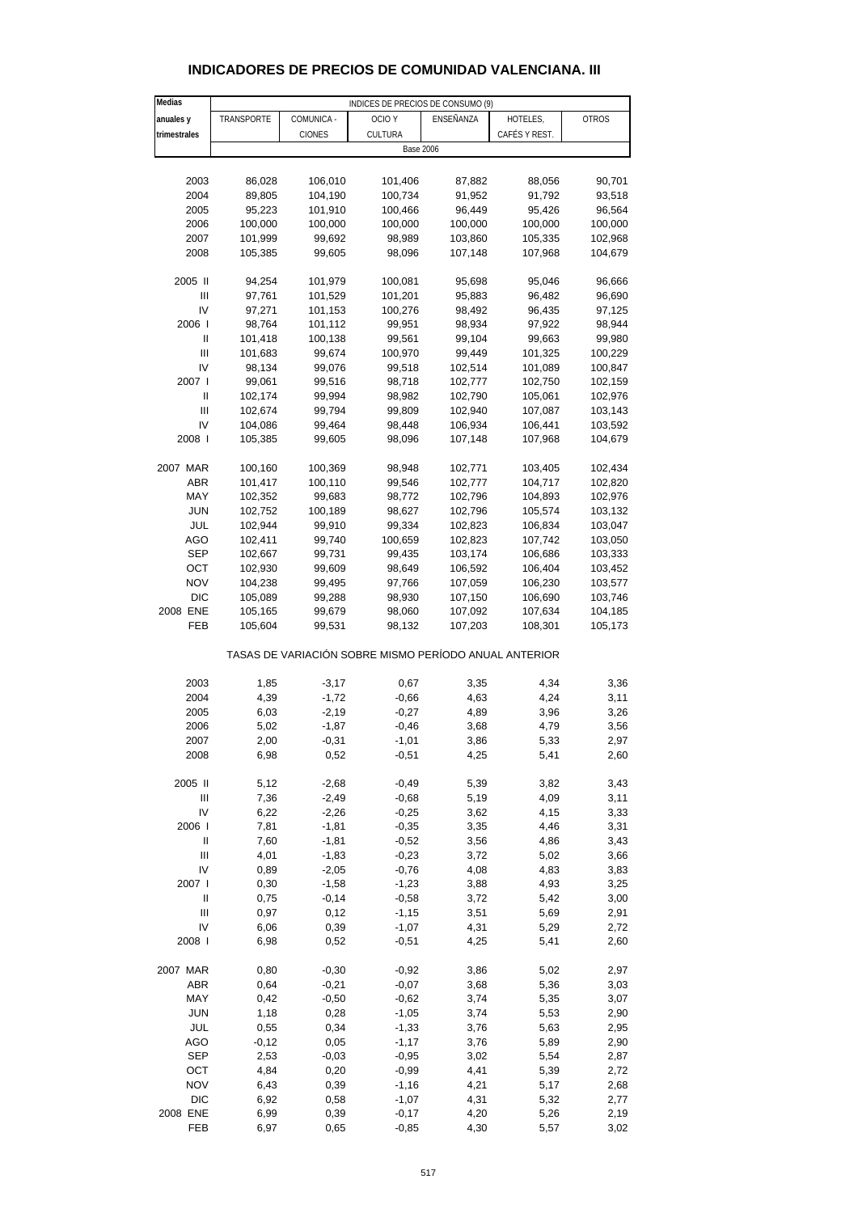| Medias                                |            |            | INDICES DE PRECIOS DE CONSUMO (9)                     |                  |               |              |
|---------------------------------------|------------|------------|-------------------------------------------------------|------------------|---------------|--------------|
| anuales y                             | TRANSPORTE | COMUNICA - | OCIO <sub>Y</sub>                                     | ENSEÑANZA        | HOTELES,      | <b>OTROS</b> |
| trimestrales                          |            | CIONES     | CULTURA                                               |                  | CAFÉS Y REST. |              |
|                                       |            |            |                                                       | <b>Base 2006</b> |               |              |
|                                       |            |            |                                                       |                  |               |              |
|                                       |            |            |                                                       |                  |               |              |
| 2003                                  | 86,028     | 106,010    | 101,406                                               | 87,882           | 88,056        | 90,701       |
| 2004                                  | 89,805     | 104,190    | 100,734                                               | 91,952           | 91,792        | 93,518       |
| 2005                                  | 95,223     | 101,910    | 100,466                                               | 96,449           | 95,426        | 96,564       |
| 2006                                  | 100,000    | 100,000    | 100,000                                               | 100,000          | 100,000       | 100,000      |
| 2007                                  | 101,999    | 99,692     | 98,989                                                | 103,860          | 105,335       | 102,968      |
| 2008                                  | 105,385    | 99,605     | 98,096                                                |                  | 107,968       | 104,679      |
|                                       |            |            |                                                       | 107,148          |               |              |
| 2005 II                               | 94,254     | 101,979    | 100,081                                               | 95,698           | 95,046        | 96,666       |
| Ш                                     | 97,761     | 101,529    | 101,201                                               | 95,883           | 96,482        | 96,690       |
| IV                                    | 97,271     | 101,153    | 100,276                                               | 98,492           | 96,435        | 97,125       |
| 2006                                  | 98,764     | 101,112    | 99,951                                                | 98,934           | 97,922        | 98,944       |
|                                       |            |            |                                                       |                  |               |              |
| Ш                                     | 101,418    | 100,138    | 99,561                                                | 99,104           | 99,663        | 99,980       |
| Ш                                     | 101,683    | 99,674     | 100,970                                               | 99,449           | 101,325       | 100,229      |
| IV                                    | 98,134     | 99,076     | 99,518                                                | 102,514          | 101,089       | 100,847      |
| 2007 l                                | 99,061     | 99,516     | 98,718                                                | 102,777          | 102,750       | 102,159      |
| $\begin{array}{c} \hline \end{array}$ | 102,174    | 99,994     | 98,982                                                | 102,790          | 105,061       | 102,976      |
|                                       |            |            |                                                       |                  |               |              |
| Ш                                     | 102,674    | 99,794     | 99,809                                                | 102,940          | 107,087       | 103,143      |
| IV                                    | 104,086    | 99,464     | 98,448                                                | 106,934          | 106,441       | 103,592      |
| 2008                                  | 105,385    | 99,605     | 98,096                                                | 107,148          | 107,968       | 104,679      |
|                                       |            |            |                                                       |                  |               |              |
| 2007 MAR                              | 100,160    | 100,369    | 98,948                                                | 102,771          | 103,405       | 102,434      |
| ABR                                   | 101,417    | 100,110    | 99,546                                                | 102,777          | 104,717       | 102,820      |
| MAY                                   | 102,352    | 99,683     | 98,772                                                | 102,796          | 104,893       | 102,976      |
| <b>JUN</b>                            | 102,752    | 100,189    | 98,627                                                | 102,796          | 105,574       | 103,132      |
| JUL                                   | 102,944    | 99,910     | 99,334                                                | 102,823          | 106,834       | 103,047      |
| AGO                                   |            |            |                                                       |                  |               |              |
|                                       | 102,411    | 99,740     | 100,659                                               | 102,823          | 107,742       | 103,050      |
| SEP                                   | 102,667    | 99,731     | 99,435                                                | 103,174          | 106,686       | 103,333      |
| OCT                                   | 102,930    | 99,609     | 98,649                                                | 106,592          | 106,404       | 103,452      |
| <b>NOV</b>                            | 104,238    | 99,495     | 97,766                                                | 107,059          | 106,230       | 103,577      |
| DIC                                   | 105,089    | 99,288     | 98,930                                                | 107,150          | 106,690       | 103,746      |
| 2008 ENE                              | 105,165    | 99,679     | 98,060                                                | 107,092          | 107,634       | 104,185      |
|                                       |            |            |                                                       |                  |               |              |
| FEB                                   | 105,604    | 99,531     | 98,132                                                | 107,203          | 108,301       | 105,173      |
|                                       |            |            | TASAS DE VARIACIÓN SOBRE MISMO PERÍODO ANUAL ANTERIOR |                  |               |              |
|                                       |            |            |                                                       |                  |               |              |
| 2003                                  | 1,85       | $-3,17$    | 0,67                                                  | 3,35             | 4,34          | 3,36         |
| 2004                                  | 4,39       | $-1,72$    | $-0,66$                                               | 4,63             | 4,24          | 3,11         |
| 2005                                  | 6,03       | $-2,19$    | $-0,27$                                               | 4,89             | 3,96          | 3,26         |
| 2006                                  | 5,02       | $-1,87$    | $-0,46$                                               | 3,68             | 4,79          | 3,56         |
| 2007                                  | 2,00       | $-0.31$    | $-1.01$                                               | 3,86             | 5.33          | 2.97         |
| 2008                                  | 6,98       | 0,52       | $-0,51$                                               | 4,25             | 5,41          | 2,60         |
|                                       |            |            |                                                       |                  |               |              |
| 2005 II                               | 5,12       | $-2,68$    | $-0,49$                                               | 5,39             | 3,82          | 3,43         |
| Ш                                     | 7,36       | $-2,49$    | $-0,68$                                               | 5,19             | 4,09          | 3,11         |
| IV                                    | 6,22       | $-2,26$    | $-0,25$                                               | 3,62             | 4,15          | 3,33         |
| 2006                                  | 7,81       | $-1,81$    | $-0,35$                                               | 3,35             | 4,46          | 3,31         |
|                                       |            |            |                                                       |                  |               |              |
| Ш                                     | 7,60       | $-1,81$    | $-0,52$                                               | 3,56             | 4,86          | 3,43         |
| $\mathbf{III}$                        | 4,01       | $-1,83$    | $-0,23$                                               | 3,72             | 5,02          | 3,66         |
| IV                                    | 0,89       | $-2,05$    | $-0,76$                                               | 4,08             | 4,83          | 3,83         |
| 2007 l                                | 0,30       | $-1,58$    | $-1,23$                                               | 3,88             | 4,93          | 3,25         |
| Ш                                     | 0,75       | $-0,14$    | $-0,58$                                               | 3,72             | 5,42          | 3,00         |
|                                       |            |            |                                                       |                  |               |              |
| Ш                                     | 0,97       | 0,12       | $-1,15$                                               | 3,51             | 5,69          | 2,91         |
| IV                                    | 6,06       | 0,39       | $-1,07$                                               | 4,31             | 5,29          | 2,72         |
| 2008                                  | 6,98       | 0,52       | $-0,51$                                               | 4,25             | 5,41          | 2,60         |
| 2007 MAR                              | 0,80       | $-0,30$    | $-0,92$                                               | 3,86             | 5,02          | 2,97         |
|                                       |            |            |                                                       |                  |               |              |
| ABR                                   | 0,64       | $-0,21$    | $-0,07$                                               | 3,68             | 5,36          | 3,03         |
| MAY                                   | 0,42       | $-0,50$    | $-0,62$                                               | 3,74             | 5,35          | 3,07         |
| <b>JUN</b>                            | 1,18       | 0,28       | $-1,05$                                               | 3,74             | 5,53          | 2,90         |
| JUL                                   | 0,55       | 0,34       | $-1,33$                                               | 3,76             | 5,63          | 2,95         |
|                                       |            |            |                                                       |                  |               |              |
| AGO                                   | $-0,12$    | 0,05       | $-1,17$                                               | 3,76             | 5,89          | 2,90         |
| <b>SEP</b>                            | 2,53       | $-0,03$    | $-0,95$                                               | 3,02             | 5,54          | 2,87         |
| OCT                                   | 4,84       | 0,20       | $-0,99$                                               | 4,41             | 5,39          | 2,72         |
| <b>NOV</b>                            | 6,43       | 0,39       | $-1,16$                                               | 4,21             | 5,17          | 2,68         |
| <b>DIC</b>                            | 6,92       | 0,58       | $-1,07$                                               | 4,31             | 5,32          | 2,77         |
|                                       |            |            |                                                       |                  |               |              |

## **INDICADORES DE PRECIOS DE COMUNIDAD VALENCIANA. III**

2008 ENE 6,99 0,39 -0,17 4,20 5,26 2,19 FEB 6,97 0,65 -0,85 4,30 5,57 3,02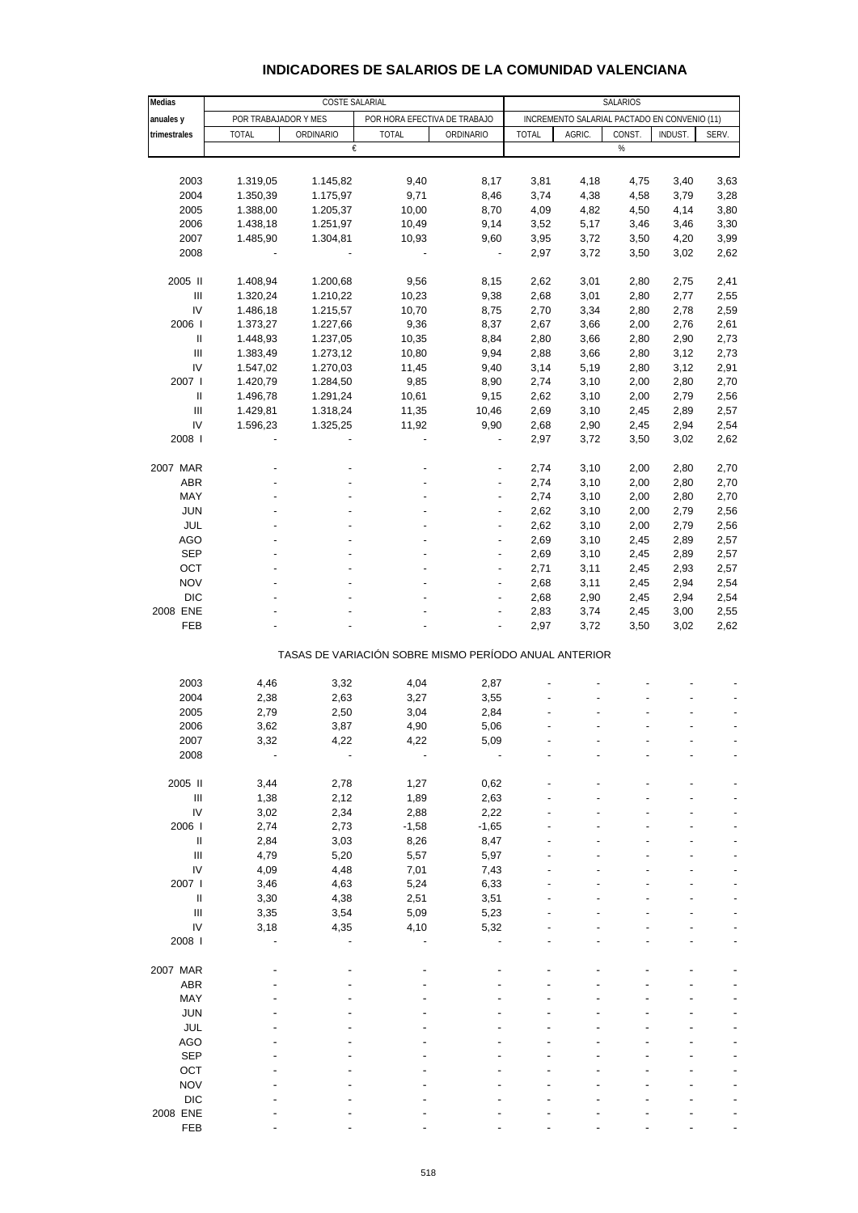| Medias                             |                                                       |           | SALARIOS                                       |                          |                                              |        |        |                |       |  |  |  |
|------------------------------------|-------------------------------------------------------|-----------|------------------------------------------------|--------------------------|----------------------------------------------|--------|--------|----------------|-------|--|--|--|
| anuales y                          | POR TRABAJADOR Y MES                                  |           | COSTE SALARIAL<br>POR HORA EFECTIVA DE TRABAJO |                          | INCREMENTO SALARIAL PACTADO EN CONVENIO (11) |        |        |                |       |  |  |  |
| trimestrales                       | <b>TOTAL</b>                                          | ORDINARIO | <b>TOTAL</b>                                   | ORDINARIO                | <b>TOTAL</b>                                 | AGRIC. | CONST. | <b>INDUST.</b> | SERV. |  |  |  |
|                                    |                                                       | €         |                                                |                          |                                              |        | %      |                |       |  |  |  |
|                                    |                                                       |           |                                                |                          |                                              |        |        |                |       |  |  |  |
| 2003                               | 1.319,05                                              | 1.145,82  | 9,40                                           | 8,17                     | 3,81                                         | 4,18   | 4,75   | 3,40           | 3,63  |  |  |  |
| 2004                               | 1.350,39                                              | 1.175,97  | 9,71                                           | 8,46                     | 3,74                                         | 4,38   | 4,58   | 3,79           | 3,28  |  |  |  |
| 2005                               | 1.388,00                                              | 1.205,37  | 10,00                                          | 8,70                     | 4,09                                         | 4,82   | 4,50   | 4,14           | 3,80  |  |  |  |
| 2006                               | 1.438,18                                              | 1.251,97  | 10,49                                          | 9,14                     | 3,52                                         | 5,17   | 3,46   | 3,46           | 3,30  |  |  |  |
| 2007                               | 1.485,90                                              | 1.304,81  | 10,93                                          | 9,60                     | 3,95                                         | 3,72   | 3,50   | 4,20           | 3,99  |  |  |  |
| 2008                               |                                                       |           |                                                |                          | 2,97                                         | 3,72   | 3,50   | 3,02           | 2,62  |  |  |  |
| 2005 II                            | 1.408,94                                              | 1.200,68  | 9,56                                           | 8,15                     | 2,62                                         | 3,01   | 2,80   | 2,75           | 2,41  |  |  |  |
| III                                | 1.320,24                                              | 1.210,22  | 10,23                                          | 9,38                     | 2,68                                         | 3,01   | 2,80   | 2,77           | 2,55  |  |  |  |
| IV                                 | 1.486,18                                              | 1.215,57  | 10,70                                          | 8,75                     | 2,70                                         | 3,34   | 2,80   | 2,78           | 2,59  |  |  |  |
| 2006                               | 1.373,27                                              | 1.227,66  | 9,36                                           | 8,37                     | 2,67                                         | 3,66   | 2,00   | 2,76           | 2,61  |  |  |  |
| $\mathsf{I}$                       | 1.448,93                                              | 1.237,05  | 10,35                                          | 8,84                     | 2,80                                         | 3,66   | 2,80   | 2,90           | 2,73  |  |  |  |
| III                                | 1.383,49                                              | 1.273,12  | 10,80                                          | 9,94                     | 2,88                                         | 3,66   | 2,80   | 3,12           | 2,73  |  |  |  |
| IV                                 | 1.547,02                                              | 1.270,03  | 11,45                                          | 9,40                     | 3,14                                         | 5,19   | 2,80   | 3,12           | 2,91  |  |  |  |
| 2007 l                             | 1.420,79                                              | 1.284,50  | 9,85                                           | 8,90                     | 2,74                                         | 3,10   | 2,00   | 2,80           | 2,70  |  |  |  |
| $\mathsf{I}$                       | 1.496,78                                              | 1.291,24  | 10,61                                          | 9,15                     | 2,62                                         | 3,10   | 2,00   | 2,79           | 2,56  |  |  |  |
| III                                | 1.429,81                                              | 1.318,24  | 11,35                                          | 10,46                    | 2,69                                         | 3,10   | 2,45   | 2,89           | 2,57  |  |  |  |
| IV                                 | 1.596,23                                              | 1.325,25  | 11,92                                          | 9,90                     | 2,68                                         | 2,90   | 2,45   | 2,94           | 2,54  |  |  |  |
| 2008                               |                                                       |           |                                                |                          | 2,97                                         | 3,72   | 3,50   | 3,02           | 2,62  |  |  |  |
| 2007 MAR                           |                                                       |           |                                                |                          | 2,74                                         | 3,10   | 2,00   | 2,80           | 2,70  |  |  |  |
| <b>ABR</b>                         |                                                       |           |                                                |                          | 2,74                                         | 3,10   | 2,00   | 2,80           | 2,70  |  |  |  |
| MAY                                |                                                       |           |                                                | $\overline{a}$           | 2,74                                         | 3,10   | 2,00   | 2,80           | 2,70  |  |  |  |
| <b>JUN</b>                         |                                                       |           |                                                | $\overline{a}$           | 2,62                                         | 3,10   | 2,00   | 2,79           | 2,56  |  |  |  |
| <b>JUL</b>                         |                                                       |           |                                                |                          | 2,62                                         | 3,10   | 2,00   | 2,79           | 2,56  |  |  |  |
| <b>AGO</b>                         |                                                       |           |                                                | $\overline{\phantom{a}}$ | 2,69                                         | 3,10   | 2,45   | 2,89           | 2,57  |  |  |  |
| <b>SEP</b>                         |                                                       |           |                                                | $\overline{a}$           | 2,69                                         | 3,10   | 2,45   | 2,89           | 2,57  |  |  |  |
| OCT                                |                                                       |           |                                                |                          | 2,71                                         | 3,11   | 2,45   | 2,93           | 2,57  |  |  |  |
| <b>NOV</b>                         |                                                       |           |                                                | $\overline{\phantom{a}}$ | 2,68                                         | 3,11   | 2,45   | 2,94           | 2,54  |  |  |  |
| <b>DIC</b>                         |                                                       |           |                                                |                          | 2,68                                         | 2,90   | 2,45   | 2,94           | 2,54  |  |  |  |
| 2008 ENE                           |                                                       |           |                                                |                          | 2,83                                         | 3,74   | 2,45   | 3,00           | 2,55  |  |  |  |
| <b>FEB</b>                         |                                                       |           |                                                | ÷,                       | 2,97                                         | 3,72   | 3,50   | 3,02           | 2,62  |  |  |  |
|                                    |                                                       |           |                                                |                          |                                              |        |        |                |       |  |  |  |
|                                    | TASAS DE VARIACIÓN SOBRE MISMO PERÍODO ANUAL ANTERIOR |           |                                                |                          |                                              |        |        |                |       |  |  |  |
| 2003                               | 4,46                                                  | 3,32      | 4,04                                           | 2,87                     |                                              |        |        |                |       |  |  |  |
| 2004                               | 2,38                                                  | 2,63      | 3,27                                           | 3,55                     |                                              |        |        |                |       |  |  |  |
| 2005                               | 2,79                                                  | 2,50      | 3,04                                           | 2,84                     |                                              |        |        |                |       |  |  |  |
| 2006                               | 3,62                                                  | 3,87      | 4,90                                           | 5,06                     |                                              |        |        |                |       |  |  |  |
| 2007                               | 3,32                                                  | 4,22      | 4,22                                           | 5,09                     |                                              |        |        |                |       |  |  |  |
| 2008                               |                                                       |           |                                                |                          |                                              |        |        |                |       |  |  |  |
| 2005 II                            | 3,44                                                  | 2,78      | 1,27                                           | 0,62                     |                                              |        |        |                |       |  |  |  |
| $\ensuremath{\mathsf{III}}\xspace$ | 1,38                                                  | 2,12      | 1,89                                           | 2,63                     |                                              |        |        |                |       |  |  |  |
| IV                                 | 3,02                                                  | 2,34      | 2,88                                           | 2,22                     |                                              |        |        |                |       |  |  |  |
| 2006                               | 2,74                                                  | 2,73      | $-1,58$                                        | $-1,65$                  |                                              |        |        |                |       |  |  |  |
| $\,$ II                            | 2,84                                                  | 3,03      | 8,26                                           | 8,47                     |                                              |        |        |                |       |  |  |  |
| $\ensuremath{\mathsf{III}}\xspace$ | 4,79                                                  | 5,20      | 5,57                                           | 5,97                     |                                              |        |        |                |       |  |  |  |
| IV                                 | 4,09                                                  | 4,48      | 7,01                                           | 7,43                     |                                              |        |        |                |       |  |  |  |
| 2007 l                             | 3,46                                                  | 4,63      | 5,24                                           | 6,33                     |                                              |        |        |                |       |  |  |  |
| $\,$ II                            | 3,30                                                  | 4,38      | 2,51                                           | 3,51                     |                                              |        |        |                |       |  |  |  |
| III                                | 3,35                                                  | 3,54      | 5,09                                           | 5,23                     |                                              |        |        |                |       |  |  |  |
| IV                                 | 3,18                                                  | 4,35      | 4,10                                           | 5,32                     |                                              |        |        |                |       |  |  |  |
| 2008                               |                                                       |           |                                                |                          |                                              |        |        |                |       |  |  |  |
| 2007 MAR                           |                                                       |           |                                                |                          |                                              |        |        |                |       |  |  |  |
| <b>ABR</b>                         |                                                       |           |                                                |                          |                                              |        |        |                |       |  |  |  |
| MAY                                |                                                       |           |                                                |                          |                                              |        |        |                |       |  |  |  |
| <b>JUN</b>                         |                                                       |           |                                                |                          |                                              |        |        |                |       |  |  |  |
| JUL                                |                                                       |           |                                                |                          |                                              |        |        |                |       |  |  |  |
| <b>AGO</b>                         |                                                       |           |                                                |                          |                                              |        |        |                |       |  |  |  |
| <b>SEP</b>                         |                                                       |           |                                                |                          |                                              |        |        |                |       |  |  |  |
| OCT                                |                                                       |           |                                                |                          |                                              |        |        |                |       |  |  |  |
| <b>NOV</b>                         |                                                       |           |                                                |                          |                                              |        |        |                |       |  |  |  |
| <b>DIC</b>                         |                                                       |           |                                                |                          |                                              |        |        |                |       |  |  |  |
| 2008 ENE                           |                                                       |           |                                                |                          |                                              |        |        |                |       |  |  |  |
| FEB                                |                                                       |           |                                                |                          |                                              |        |        |                |       |  |  |  |

## **INDICADORES DE SALARIOS DE LA COMUNIDAD VALENCIANA**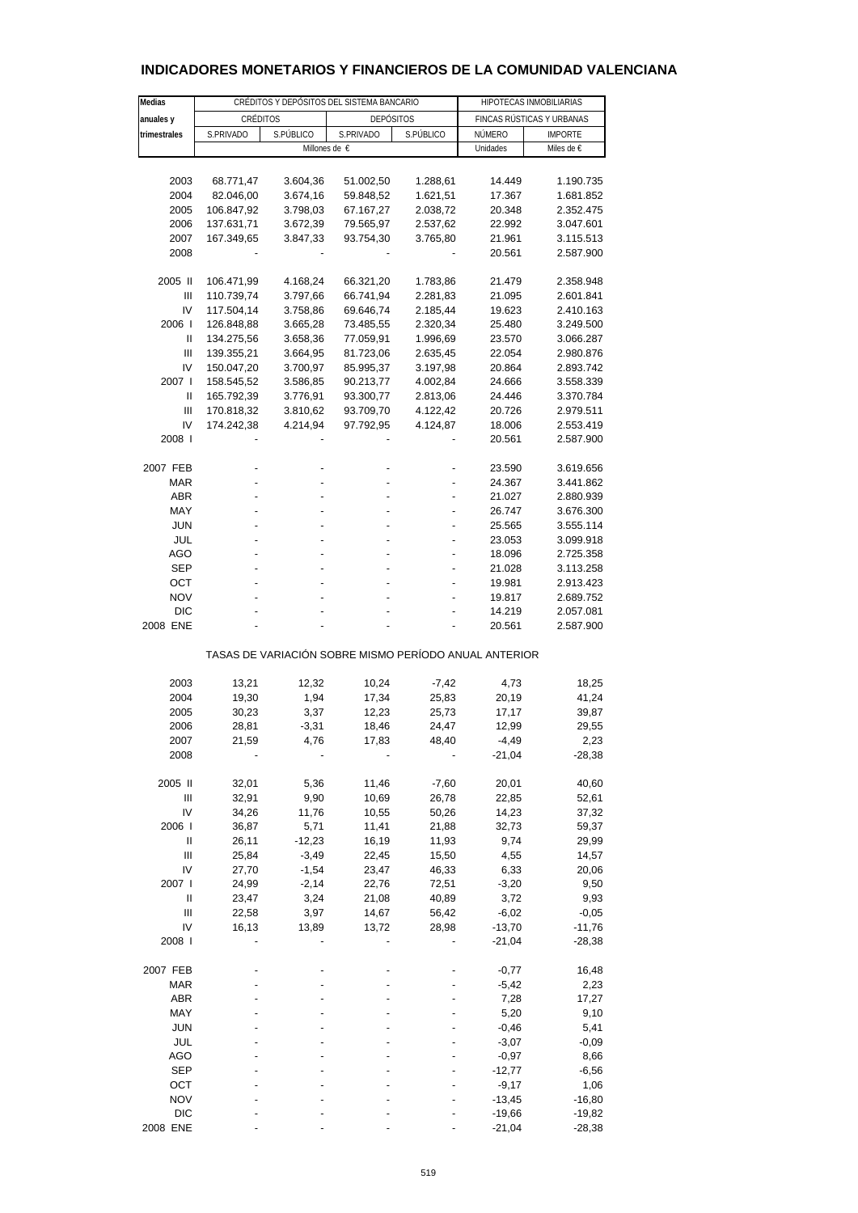| Medias                                                |            | CRÉDITOS Y DEPÓSITOS DEL SISTEMA BANCARIO |                  |                | HIPOTECAS INMOBILIARIAS |                           |  |  |
|-------------------------------------------------------|------------|-------------------------------------------|------------------|----------------|-------------------------|---------------------------|--|--|
| anuales y                                             | CRÉDITOS   |                                           | <b>DEPÓSITOS</b> |                |                         | FINCAS RÚSTICAS Y URBANAS |  |  |
| trimestrales                                          | S.PRIVADO  | S.PÚBLICO                                 | S.PRIVADO        | S.PÚBLICO      | NÚMERO                  | <b>IMPORTE</b>            |  |  |
|                                                       |            |                                           | Millones de €    |                | Unidades                | Miles de €                |  |  |
|                                                       |            |                                           |                  |                |                         |                           |  |  |
| 2003                                                  | 68.771,47  | 3.604,36                                  | 51.002,50        | 1.288,61       | 14.449                  | 1.190.735                 |  |  |
| 2004                                                  | 82.046,00  | 3.674,16                                  | 59.848,52        | 1.621,51       | 17.367                  | 1.681.852                 |  |  |
| 2005                                                  | 106.847,92 | 3.798,03                                  | 67.167,27        | 2.038,72       | 20.348                  | 2.352.475                 |  |  |
| 2006                                                  | 137.631,71 | 3.672,39                                  | 79.565,97        | 2.537,62       | 22.992                  | 3.047.601                 |  |  |
| 2007                                                  | 167.349,65 | 3.847,33                                  | 93.754,30        | 3.765,80       | 21.961                  | 3.115.513                 |  |  |
| 2008                                                  |            |                                           |                  |                | 20.561                  | 2.587.900                 |  |  |
| 2005 II                                               | 106.471,99 | 4.168,24                                  | 66.321,20        | 1.783,86       | 21.479                  | 2.358.948                 |  |  |
| Ш                                                     | 110.739,74 | 3.797,66                                  | 66.741,94        | 2.281,83       | 21.095                  | 2.601.841                 |  |  |
| IV                                                    | 117.504,14 | 3.758,86                                  | 69.646,74        | 2.185,44       | 19.623                  | 2.410.163                 |  |  |
| 2006                                                  | 126.848,88 | 3.665,28                                  | 73.485,55        | 2.320,34       | 25.480                  | 3.249.500                 |  |  |
| Ш                                                     |            |                                           |                  |                |                         |                           |  |  |
|                                                       | 134.275,56 | 3.658,36                                  | 77.059,91        | 1.996,69       | 23.570                  | 3.066.287                 |  |  |
| Ш                                                     | 139.355,21 | 3.664,95                                  | 81.723,06        | 2.635,45       | 22.054                  | 2.980.876                 |  |  |
| IV                                                    | 150.047,20 | 3.700,97                                  | 85.995,37        | 3.197,98       | 20.864                  | 2.893.742                 |  |  |
| 2007 l                                                | 158.545,52 | 3.586,85                                  | 90.213,77        | 4.002,84       | 24.666                  | 3.558.339                 |  |  |
| Ш                                                     | 165.792,39 | 3.776,91                                  | 93.300,77        | 2.813,06       | 24.446                  | 3.370.784                 |  |  |
| Ш                                                     | 170.818,32 | 3.810,62                                  | 93.709,70        | 4.122,42       | 20.726                  | 2.979.511                 |  |  |
| IV                                                    | 174.242,38 | 4.214,94                                  | 97.792,95        | 4.124,87       | 18.006                  | 2.553.419                 |  |  |
| 2008                                                  |            |                                           |                  |                | 20.561                  | 2.587.900                 |  |  |
| 2007 FEB                                              |            |                                           |                  |                | 23.590                  | 3.619.656                 |  |  |
| MAR                                                   |            |                                           |                  | $\overline{a}$ | 24.367                  | 3.441.862                 |  |  |
| <b>ABR</b>                                            |            |                                           |                  |                | 21.027                  | 2.880.939                 |  |  |
| MAY                                                   |            |                                           |                  |                | 26.747                  | 3.676.300                 |  |  |
|                                                       |            |                                           |                  |                |                         |                           |  |  |
| <b>JUN</b>                                            |            |                                           |                  |                | 25.565                  | 3.555.114                 |  |  |
| JUL                                                   |            |                                           |                  |                | 23.053                  | 3.099.918                 |  |  |
| AGO                                                   |            |                                           |                  |                | 18.096                  | 2.725.358                 |  |  |
| <b>SEP</b>                                            |            |                                           |                  |                | 21.028                  | 3.113.258                 |  |  |
| ОСТ                                                   |            |                                           |                  |                | 19.981                  | 2.913.423                 |  |  |
| <b>NOV</b>                                            |            |                                           |                  |                | 19.817                  | 2.689.752                 |  |  |
| <b>DIC</b>                                            |            |                                           |                  |                | 14.219                  | 2.057.081                 |  |  |
| 2008 ENE                                              |            |                                           |                  |                | 20.561                  | 2.587.900                 |  |  |
| TASAS DE VARIACIÓN SOBRE MISMO PERÍODO ANUAL ANTERIOR |            |                                           |                  |                |                         |                           |  |  |
| 2003                                                  | 13,21      | 12,32                                     | 10,24            | $-7,42$        | 4,73                    | 18,25                     |  |  |
| 2004                                                  | 19,30      | 1,94                                      | 17,34            | 25,83          | 20,19                   | 41,24                     |  |  |
| 2005                                                  | 30,23      |                                           | 12,23            |                | 17,17                   |                           |  |  |
|                                                       |            | 3,37                                      |                  | 25,73          |                         | 39,87                     |  |  |
| 2006                                                  | 28,81      | $-3,31$                                   | 18,46            | 24,47          | 12,99                   | 29,55                     |  |  |
| 2007                                                  | 21,59      | 4,76                                      | 17,83            | 48,40          | $-4,49$                 | 2,23                      |  |  |
| 2008                                                  |            |                                           |                  |                | $-21,04$                | $-28,38$                  |  |  |
| 2005 II                                               | 32,01      | 5,36                                      | 11,46            | $-7,60$        | 20,01                   | 40,60                     |  |  |
| $\mathbf{III}$                                        | 32,91      | 9,90                                      | 10,69            | 26,78          | 22,85                   | 52,61                     |  |  |
| IV                                                    | 34,26      | 11,76                                     | 10,55            | 50,26          | 14,23                   | 37,32                     |  |  |
| 2006                                                  | 36,87      | 5,71                                      | 11,41            | 21,88          | 32,73                   | 59,37                     |  |  |
| Ш                                                     | 26,11      | $-12,23$                                  | 16,19            | 11,93          | 9,74                    | 29,99                     |  |  |
| Ш                                                     | 25,84      | $-3,49$                                   | 22,45            | 15,50          | 4,55                    | 14,57                     |  |  |
| IV                                                    | 27,70      | $-1,54$                                   | 23,47            | 46,33          | 6,33                    | 20,06                     |  |  |
| 2007 l                                                | 24,99      | $-2,14$                                   | 22,76            | 72,51          | $-3,20$                 | 9,50                      |  |  |
| Ш                                                     | 23,47      | 3,24                                      | 21,08            | 40,89          | 3,72                    | 9,93                      |  |  |
| $\mathbf{III}$                                        |            | 3,97                                      |                  |                | $-6,02$                 |                           |  |  |
|                                                       | 22,58      |                                           | 14,67            | 56,42          |                         | $-0,05$                   |  |  |
| IV                                                    | 16,13      | 13,89                                     | 13,72            | 28,98          | $-13,70$                | -11,76                    |  |  |
| 2008 l                                                |            |                                           |                  |                | $-21,04$                | $-28,38$                  |  |  |
| 2007 FEB                                              |            |                                           |                  |                | $-0,77$                 | 16,48                     |  |  |
| <b>MAR</b>                                            |            |                                           |                  |                | $-5,42$                 | 2,23                      |  |  |
| <b>ABR</b>                                            |            |                                           |                  |                | 7,28                    | 17,27                     |  |  |
| MAY                                                   |            |                                           |                  |                | 5,20                    | 9,10                      |  |  |
| JUN                                                   |            |                                           |                  |                | $-0,46$                 | 5,41                      |  |  |
| JUL                                                   |            |                                           |                  |                | $-3,07$                 | $-0,09$                   |  |  |
| AGO                                                   |            |                                           |                  |                | $-0,97$                 | 8,66                      |  |  |
| <b>SEP</b>                                            |            |                                           |                  |                | $-12,77$                | $-6,56$                   |  |  |
| OCT                                                   |            |                                           |                  |                | $-9,17$                 | 1,06                      |  |  |
| <b>NOV</b>                                            |            |                                           |                  |                | $-13,45$                | $-16,80$                  |  |  |
| <b>DIC</b>                                            |            |                                           |                  |                | $-19,66$                | $-19,82$                  |  |  |
| 2008 ENE                                              |            |                                           |                  |                | $-21,04$                | $-28,38$                  |  |  |
|                                                       |            |                                           |                  |                |                         |                           |  |  |

# **INDICADORES MONETARIOS Y FINANCIEROS DE LA COMUNIDAD VALENCIANA**